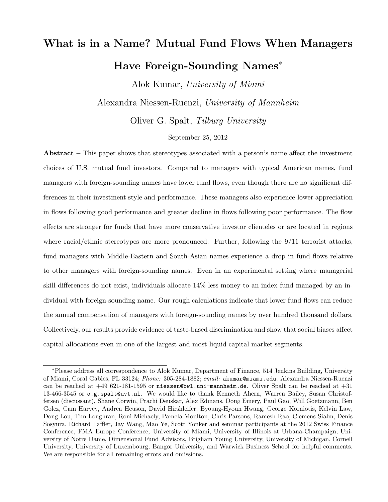# What is in a Name? Mutual Fund Flows When Managers Have Foreign-Sounding Names<sup>∗</sup>

Alok Kumar, University of Miami

Alexandra Niessen-Ruenzi, University of Mannheim

Oliver G. Spalt, Tilburg University

#### September 25, 2012

Abstract – This paper shows that stereotypes associated with a person's name affect the investment choices of U.S. mutual fund investors. Compared to managers with typical American names, fund managers with foreign-sounding names have lower fund flows, even though there are no significant differences in their investment style and performance. These managers also experience lower appreciation in flows following good performance and greater decline in flows following poor performance. The flow effects are stronger for funds that have more conservative investor clienteles or are located in regions where racial/ethnic stereotypes are more pronounced. Further, following the 9/11 terrorist attacks, fund managers with Middle-Eastern and South-Asian names experience a drop in fund flows relative to other managers with foreign-sounding names. Even in an experimental setting where managerial skill differences do not exist, individuals allocate 14% less money to an index fund managed by an individual with foreign-sounding name. Our rough calculations indicate that lower fund flows can reduce the annual compensation of managers with foreign-sounding names by over hundred thousand dollars. Collectively, our results provide evidence of taste-based discrimination and show that social biases affect capital allocations even in one of the largest and most liquid capital market segments.

<sup>∗</sup>Please address all correspondence to Alok Kumar, Department of Finance, 514 Jenkins Building, University of Miami, Coral Gables, FL 33124; Phone: 305-284-1882; email: akumar@miami.edu. Alexandra Niessen-Ruenzi can be reached at  $+49$  621-181-1595 or niessen@bwl.uni-mannheim.de. Oliver Spalt can be reached at  $+31$ 13-466-3545 or o.g.spalt@uvt.nl. We would like to thank Kenneth Ahern, Warren Bailey, Susan Christoffersen (discussant), Shane Corwin, Prachi Deuskar, Alex Edmans, Doug Emery, Paul Gao, Will Goetzmann, Ben Golez, Cam Harvey, Andrea Heuson, David Hirshleifer, Byoung-Hyoun Hwang, George Korniotis, Kelvin Law, Dong Lou, Tim Loughran, Roni Michaely, Pamela Moulton, Chris Parsons, Ramesh Rao, Clemens Sialm, Denis Sosyura, Richard Taffler, Jay Wang, Mao Ye, Scott Yonker and seminar participants at the 2012 Swiss Finance Conference, FMA Europe Conference, University of Miami, University of Illinois at Urbana-Champaign, University of Notre Dame, Dimensional Fund Advisors, Brigham Young University, University of Michigan, Cornell University, University of Luxembourg, Bangor University, and Warwick Business School for helpful comments. We are responsible for all remaining errors and omissions.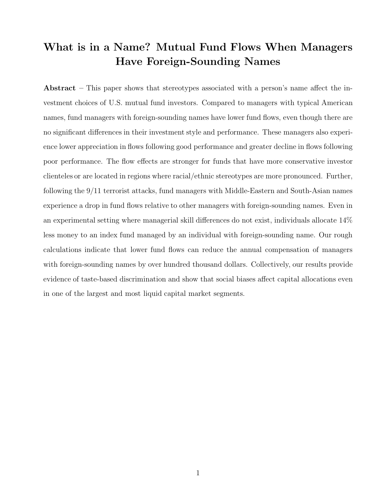# What is in a Name? Mutual Fund Flows When Managers Have Foreign-Sounding Names

Abstract – This paper shows that stereotypes associated with a person's name affect the investment choices of U.S. mutual fund investors. Compared to managers with typical American names, fund managers with foreign-sounding names have lower fund flows, even though there are no significant differences in their investment style and performance. These managers also experience lower appreciation in flows following good performance and greater decline in flows following poor performance. The flow effects are stronger for funds that have more conservative investor clienteles or are located in regions where racial/ethnic stereotypes are more pronounced. Further, following the 9/11 terrorist attacks, fund managers with Middle-Eastern and South-Asian names experience a drop in fund flows relative to other managers with foreign-sounding names. Even in an experimental setting where managerial skill differences do not exist, individuals allocate 14% less money to an index fund managed by an individual with foreign-sounding name. Our rough calculations indicate that lower fund flows can reduce the annual compensation of managers with foreign-sounding names by over hundred thousand dollars. Collectively, our results provide evidence of taste-based discrimination and show that social biases affect capital allocations even in one of the largest and most liquid capital market segments.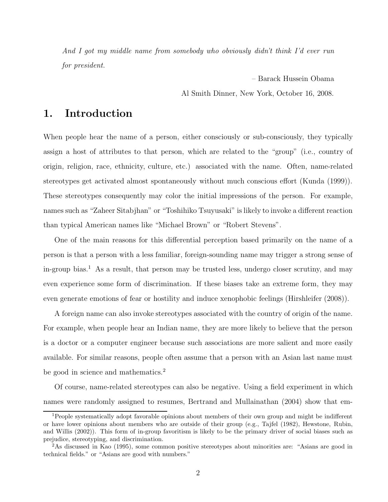And I got my middle name from somebody who obviously didn't think I'd ever run for president.

> – Barack Hussein Obama Al Smith Dinner, New York, October 16, 2008.

# 1. Introduction

When people hear the name of a person, either consciously or sub-consciously, they typically assign a host of attributes to that person, which are related to the "group" (i.e., country of origin, religion, race, ethnicity, culture, etc.) associated with the name. Often, name-related stereotypes get activated almost spontaneously without much conscious effort (Kunda (1999)). These stereotypes consequently may color the initial impressions of the person. For example, names such as "Zaheer Sitabjhan" or "Toshihiko Tsuyusaki" is likely to invoke a different reaction than typical American names like "Michael Brown" or "Robert Stevens".

One of the main reasons for this differential perception based primarily on the name of a person is that a person with a less familiar, foreign-sounding name may trigger a strong sense of in-group bias.<sup>1</sup> As a result, that person may be trusted less, undergo closer scrutiny, and may even experience some form of discrimination. If these biases take an extreme form, they may even generate emotions of fear or hostility and induce xenophobic feelings (Hirshleifer (2008)).

A foreign name can also invoke stereotypes associated with the country of origin of the name. For example, when people hear an Indian name, they are more likely to believe that the person is a doctor or a computer engineer because such associations are more salient and more easily available. For similar reasons, people often assume that a person with an Asian last name must be good in science and mathematics.<sup>2</sup>

Of course, name-related stereotypes can also be negative. Using a field experiment in which names were randomly assigned to resumes, Bertrand and Mullainathan (2004) show that em-

<sup>&</sup>lt;sup>1</sup>People systematically adopt favorable opinions about members of their own group and might be indifferent or have lower opinions about members who are outside of their group (e.g., Tajfel (1982), Hewstone, Rubin, and Willis (2002)). This form of in-group favoritism is likely to be the primary driver of social biases such as prejudice, stereotyping, and discrimination.

<sup>2</sup>As discussed in Kao (1995), some common positive stereotypes about minorities are: "Asians are good in technical fields." or "Asians are good with numbers."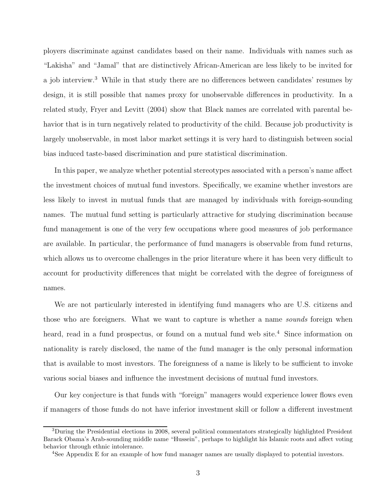ployers discriminate against candidates based on their name. Individuals with names such as "Lakisha" and "Jamal" that are distinctively African-American are less likely to be invited for a job interview.<sup>3</sup> While in that study there are no differences between candidates' resumes by design, it is still possible that names proxy for unobservable differences in productivity. In a related study, Fryer and Levitt (2004) show that Black names are correlated with parental behavior that is in turn negatively related to productivity of the child. Because job productivity is largely unobservable, in most labor market settings it is very hard to distinguish between social bias induced taste-based discrimination and pure statistical discrimination.

In this paper, we analyze whether potential stereotypes associated with a person's name affect the investment choices of mutual fund investors. Specifically, we examine whether investors are less likely to invest in mutual funds that are managed by individuals with foreign-sounding names. The mutual fund setting is particularly attractive for studying discrimination because fund management is one of the very few occupations where good measures of job performance are available. In particular, the performance of fund managers is observable from fund returns, which allows us to overcome challenges in the prior literature where it has been very difficult to account for productivity differences that might be correlated with the degree of foreignness of names.

We are not particularly interested in identifying fund managers who are U.S. citizens and those who are foreigners. What we want to capture is whether a name sounds foreign when heard, read in a fund prospectus, or found on a mutual fund web site.<sup>4</sup> Since information on nationality is rarely disclosed, the name of the fund manager is the only personal information that is available to most investors. The foreignness of a name is likely to be sufficient to invoke various social biases and influence the investment decisions of mutual fund investors.

Our key conjecture is that funds with "foreign" managers would experience lower flows even if managers of those funds do not have inferior investment skill or follow a different investment

<sup>&</sup>lt;sup>3</sup>During the Presidential elections in 2008, several political commentators strategically highlighted President Barack Obama's Arab-sounding middle name "Hussein", perhaps to highlight his Islamic roots and affect voting behavior through ethnic intolerance.

<sup>4</sup>See Appendix E for an example of how fund manager names are usually displayed to potential investors.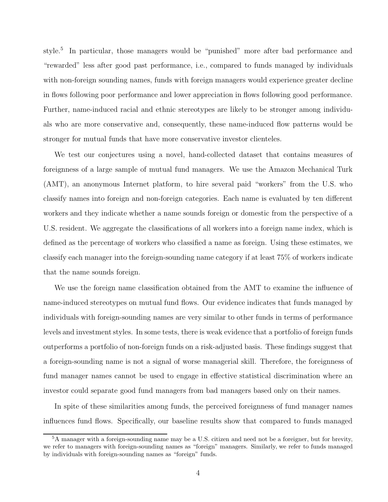style.<sup>5</sup> In particular, those managers would be "punished" more after bad performance and "rewarded" less after good past performance, i.e., compared to funds managed by individuals with non-foreign sounding names, funds with foreign managers would experience greater decline in flows following poor performance and lower appreciation in flows following good performance. Further, name-induced racial and ethnic stereotypes are likely to be stronger among individuals who are more conservative and, consequently, these name-induced flow patterns would be stronger for mutual funds that have more conservative investor clienteles.

We test our conjectures using a novel, hand-collected dataset that contains measures of foreignness of a large sample of mutual fund managers. We use the Amazon Mechanical Turk (AMT), an anonymous Internet platform, to hire several paid "workers" from the U.S. who classify names into foreign and non-foreign categories. Each name is evaluated by ten different workers and they indicate whether a name sounds foreign or domestic from the perspective of a U.S. resident. We aggregate the classifications of all workers into a foreign name index, which is defined as the percentage of workers who classified a name as foreign. Using these estimates, we classify each manager into the foreign-sounding name category if at least 75% of workers indicate that the name sounds foreign.

We use the foreign name classification obtained from the AMT to examine the influence of name-induced stereotypes on mutual fund flows. Our evidence indicates that funds managed by individuals with foreign-sounding names are very similar to other funds in terms of performance levels and investment styles. In some tests, there is weak evidence that a portfolio of foreign funds outperforms a portfolio of non-foreign funds on a risk-adjusted basis. These findings suggest that a foreign-sounding name is not a signal of worse managerial skill. Therefore, the foreignness of fund manager names cannot be used to engage in effective statistical discrimination where an investor could separate good fund managers from bad managers based only on their names.

In spite of these similarities among funds, the perceived foreignness of fund manager names influences fund flows. Specifically, our baseline results show that compared to funds managed

<sup>5</sup>A manager with a foreign-sounding name may be a U.S. citizen and need not be a foreigner, but for brevity, we refer to managers with foreign-sounding names as "foreign" managers. Similarly, we refer to funds managed by individuals with foreign-sounding names as "foreign" funds.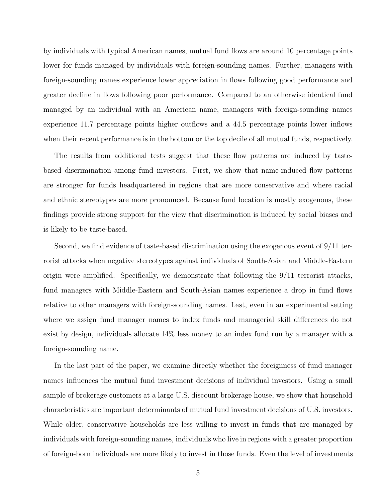by individuals with typical American names, mutual fund flows are around 10 percentage points lower for funds managed by individuals with foreign-sounding names. Further, managers with foreign-sounding names experience lower appreciation in flows following good performance and greater decline in flows following poor performance. Compared to an otherwise identical fund managed by an individual with an American name, managers with foreign-sounding names experience 11.7 percentage points higher outflows and a 44.5 percentage points lower inflows when their recent performance is in the bottom or the top decile of all mutual funds, respectively.

The results from additional tests suggest that these flow patterns are induced by tastebased discrimination among fund investors. First, we show that name-induced flow patterns are stronger for funds headquartered in regions that are more conservative and where racial and ethnic stereotypes are more pronounced. Because fund location is mostly exogenous, these findings provide strong support for the view that discrimination is induced by social biases and is likely to be taste-based.

Second, we find evidence of taste-based discrimination using the exogenous event of 9/11 terrorist attacks when negative stereotypes against individuals of South-Asian and Middle-Eastern origin were amplified. Specifically, we demonstrate that following the 9/11 terrorist attacks, fund managers with Middle-Eastern and South-Asian names experience a drop in fund flows relative to other managers with foreign-sounding names. Last, even in an experimental setting where we assign fund manager names to index funds and managerial skill differences do not exist by design, individuals allocate 14% less money to an index fund run by a manager with a foreign-sounding name.

In the last part of the paper, we examine directly whether the foreignness of fund manager names influences the mutual fund investment decisions of individual investors. Using a small sample of brokerage customers at a large U.S. discount brokerage house, we show that household characteristics are important determinants of mutual fund investment decisions of U.S. investors. While older, conservative households are less willing to invest in funds that are managed by individuals with foreign-sounding names, individuals who live in regions with a greater proportion of foreign-born individuals are more likely to invest in those funds. Even the level of investments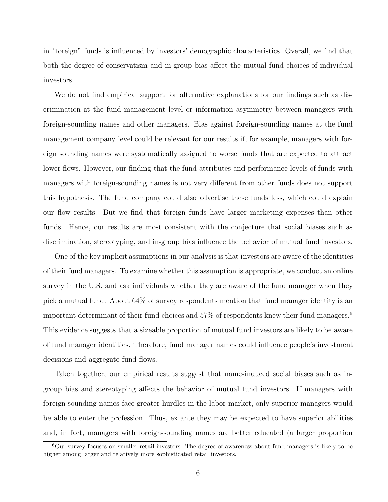in "foreign" funds is influenced by investors' demographic characteristics. Overall, we find that both the degree of conservatism and in-group bias affect the mutual fund choices of individual investors.

We do not find empirical support for alternative explanations for our findings such as discrimination at the fund management level or information asymmetry between managers with foreign-sounding names and other managers. Bias against foreign-sounding names at the fund management company level could be relevant for our results if, for example, managers with foreign sounding names were systematically assigned to worse funds that are expected to attract lower flows. However, our finding that the fund attributes and performance levels of funds with managers with foreign-sounding names is not very different from other funds does not support this hypothesis. The fund company could also advertise these funds less, which could explain our flow results. But we find that foreign funds have larger marketing expenses than other funds. Hence, our results are most consistent with the conjecture that social biases such as discrimination, stereotyping, and in-group bias influence the behavior of mutual fund investors.

One of the key implicit assumptions in our analysis is that investors are aware of the identities of their fund managers. To examine whether this assumption is appropriate, we conduct an online survey in the U.S. and ask individuals whether they are aware of the fund manager when they pick a mutual fund. About 64% of survey respondents mention that fund manager identity is an important determinant of their fund choices and  $57\%$  of respondents knew their fund managers.<sup>6</sup> This evidence suggests that a sizeable proportion of mutual fund investors are likely to be aware of fund manager identities. Therefore, fund manager names could influence people's investment decisions and aggregate fund flows.

Taken together, our empirical results suggest that name-induced social biases such as ingroup bias and stereotyping affects the behavior of mutual fund investors. If managers with foreign-sounding names face greater hurdles in the labor market, only superior managers would be able to enter the profession. Thus, ex ante they may be expected to have superior abilities and, in fact, managers with foreign-sounding names are better educated (a larger proportion

<sup>6</sup>Our survey focuses on smaller retail investors. The degree of awareness about fund managers is likely to be higher among larger and relatively more sophisticated retail investors.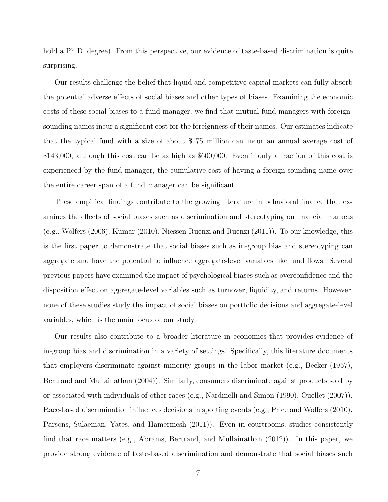hold a Ph.D. degree). From this perspective, our evidence of taste-based discrimination is quite surprising.

Our results challenge the belief that liquid and competitive capital markets can fully absorb the potential adverse effects of social biases and other types of biases. Examining the economic costs of these social biases to a fund manager, we find that mutual fund managers with foreignsounding names incur a significant cost for the foreignness of their names. Our estimates indicate that the typical fund with a size of about \$175 million can incur an annual average cost of \$143,000, although this cost can be as high as \$600,000. Even if only a fraction of this cost is experienced by the fund manager, the cumulative cost of having a foreign-sounding name over the entire career span of a fund manager can be significant.

These empirical findings contribute to the growing literature in behavioral finance that examines the effects of social biases such as discrimination and stereotyping on financial markets (e.g., Wolfers (2006), Kumar (2010), Niessen-Ruenzi and Ruenzi (2011)). To our knowledge, this is the first paper to demonstrate that social biases such as in-group bias and stereotyping can aggregate and have the potential to influence aggregate-level variables like fund flows. Several previous papers have examined the impact of psychological biases such as overconfidence and the disposition effect on aggregate-level variables such as turnover, liquidity, and returns. However, none of these studies study the impact of social biases on portfolio decisions and aggregate-level variables, which is the main focus of our study.

Our results also contribute to a broader literature in economics that provides evidence of in-group bias and discrimination in a variety of settings. Specifically, this literature documents that employers discriminate against minority groups in the labor market (e.g., Becker (1957), Bertrand and Mullainathan (2004)). Similarly, consumers discriminate against products sold by or associated with individuals of other races (e.g., Nardinelli and Simon (1990), Ouellet (2007)). Race-based discrimination influences decisions in sporting events (e.g., Price and Wolfers (2010), Parsons, Sulaeman, Yates, and Hamermesh (2011)). Even in courtrooms, studies consistently find that race matters (e.g., Abrams, Bertrand, and Mullainathan (2012)). In this paper, we provide strong evidence of taste-based discrimination and demonstrate that social biases such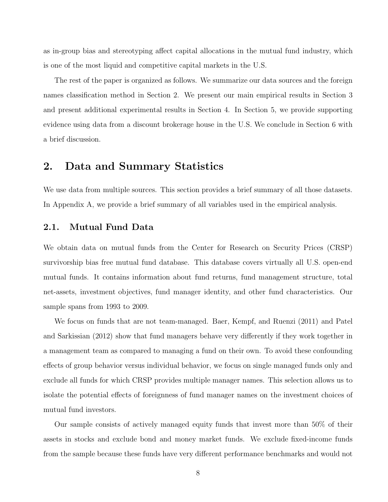as in-group bias and stereotyping affect capital allocations in the mutual fund industry, which is one of the most liquid and competitive capital markets in the U.S.

The rest of the paper is organized as follows. We summarize our data sources and the foreign names classification method in Section 2. We present our main empirical results in Section 3 and present additional experimental results in Section 4. In Section 5, we provide supporting evidence using data from a discount brokerage house in the U.S. We conclude in Section 6 with a brief discussion.

### 2. Data and Summary Statistics

We use data from multiple sources. This section provides a brief summary of all those datasets. In Appendix A, we provide a brief summary of all variables used in the empirical analysis.

#### 2.1. Mutual Fund Data

We obtain data on mutual funds from the Center for Research on Security Prices (CRSP) survivorship bias free mutual fund database. This database covers virtually all U.S. open-end mutual funds. It contains information about fund returns, fund management structure, total net-assets, investment objectives, fund manager identity, and other fund characteristics. Our sample spans from 1993 to 2009.

We focus on funds that are not team-managed. Baer, Kempf, and Ruenzi (2011) and Patel and Sarkissian (2012) show that fund managers behave very differently if they work together in a management team as compared to managing a fund on their own. To avoid these confounding effects of group behavior versus individual behavior, we focus on single managed funds only and exclude all funds for which CRSP provides multiple manager names. This selection allows us to isolate the potential effects of foreignness of fund manager names on the investment choices of mutual fund investors.

Our sample consists of actively managed equity funds that invest more than 50% of their assets in stocks and exclude bond and money market funds. We exclude fixed-income funds from the sample because these funds have very different performance benchmarks and would not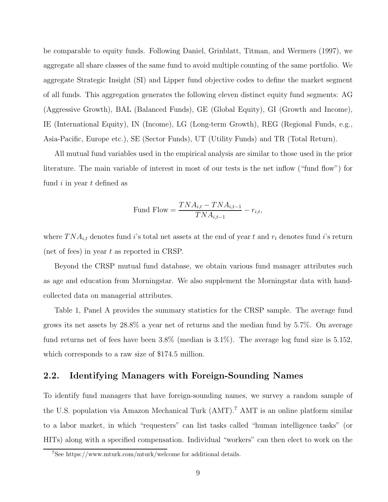be comparable to equity funds. Following Daniel, Grinblatt, Titman, and Wermers (1997), we aggregate all share classes of the same fund to avoid multiple counting of the same portfolio. We aggregate Strategic Insight (SI) and Lipper fund objective codes to define the market segment of all funds. This aggregation generates the following eleven distinct equity fund segments: AG (Aggressive Growth), BAL (Balanced Funds), GE (Global Equity), GI (Growth and Income), IE (International Equity), IN (Income), LG (Long-term Growth), REG (Regional Funds, e.g., Asia-Pacific, Europe etc.), SE (Sector Funds), UT (Utility Funds) and TR (Total Return).

All mutual fund variables used in the empirical analysis are similar to those used in the prior literature. The main variable of interest in most of our tests is the net inflow ("fund flow") for fund  $i$  in year  $t$  defined as

Find Flow = 
$$
\frac{TNA_{i,t} - TNA_{i,t-1}}{TNA_{i,t-1}} - r_{i,t},
$$

where  $T N A_{i,t}$  denotes fund i's total net assets at the end of year t and  $r_t$  denotes fund i's return (net of fees) in year  $t$  as reported in CRSP.

Beyond the CRSP mutual fund database, we obtain various fund manager attributes such as age and education from Morningstar. We also supplement the Morningstar data with handcollected data on managerial attributes.

Table 1, Panel A provides the summary statistics for the CRSP sample. The average fund grows its net assets by 28.8% a year net of returns and the median fund by 5.7%. On average fund returns net of fees have been 3.8% (median is 3.1%). The average log fund size is 5.152, which corresponds to a raw size of \$174.5 million.

#### 2.2. Identifying Managers with Foreign-Sounding Names

To identify fund managers that have foreign-sounding names, we survey a random sample of the U.S. population via Amazon Mechanical Turk (AMT).<sup>7</sup> AMT is an online platform similar to a labor market, in which "requesters" can list tasks called "human intelligence tasks" (or HITs) along with a specified compensation. Individual "workers" can then elect to work on the

<sup>7</sup>See https://www.mturk.com/mturk/welcome for additional details.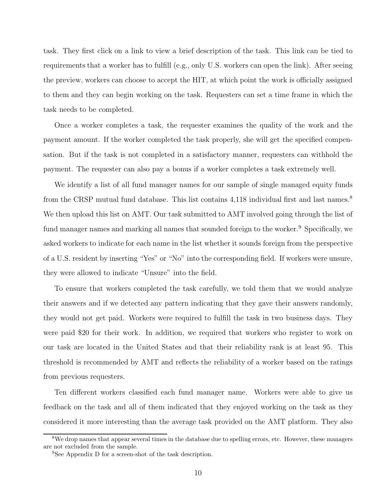task. They first click on a link to view a brief description of the task. This link can be tied to requirements that a worker has to fulfill (e.g., only U.S. workers can open the link). After seeing the preview, workers can choose to accept the HIT, at which point the work is officially assigned to them and they can begin working on the task. Requesters can set a time frame in which the task needs to be completed.

Once a worker completes a task, the requester examines the quality of the work and the payment amount. If the worker completed the task properly, she will get the specified compensation. But if the task is not completed in a satisfactory manner, requesters can withhold the payment. The requester can also pay a bonus if a worker completes a task extremely well.

We identify a list of all fund manager names for our sample of single managed equity funds from the CRSP mutual fund database. This list contains 4,118 individual first and last names.<sup>8</sup> We then upload this list on AMT. Our task submitted to AMT involved going through the list of fund manager names and marking all names that sounded foreign to the worker.<sup>9</sup> Specifically, we asked workers to indicate for each name in the list whether it sounds foreign from the perspective of a U.S. resident by inserting "Yes" or "No" into the corresponding field. If workers were unsure, they were allowed to indicate "Unsure" into the field.

To ensure that workers completed the task carefully, we told them that we would analyze their answers and if we detected any pattern indicating that they gave their answers randomly, they would not get paid. Workers were required to fulfill the task in two business days. They were paid \$20 for their work. In addition, we required that workers who register to work on our task are located in the United States and that their reliability rank is at least 95. This threshold is recommended by AMT and reflects the reliability of a worker based on the ratings from previous requesters.

Ten different workers classified each fund manager name. Workers were able to give us feedback on the task and all of them indicated that they enjoyed working on the task as they considered it more interesting than the average task provided on the AMT platform. They also

<sup>&</sup>lt;sup>8</sup>We drop names that appear several times in the database due to spelling errors, etc. However, these managers are not excluded from the sample.

<sup>&</sup>lt;sup>9</sup>See Appendix D for a screen-shot of the task description.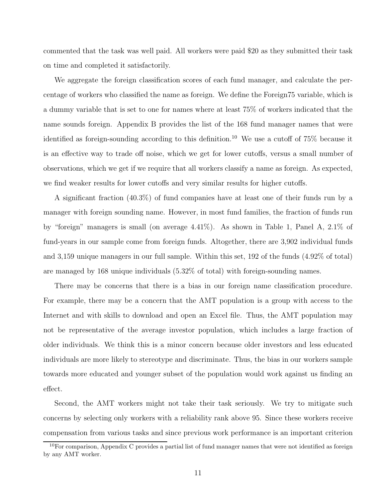commented that the task was well paid. All workers were paid \$20 as they submitted their task on time and completed it satisfactorily.

We aggregate the foreign classification scores of each fund manager, and calculate the percentage of workers who classified the name as foreign. We define the Foreign75 variable, which is a dummy variable that is set to one for names where at least 75% of workers indicated that the name sounds foreign. Appendix B provides the list of the 168 fund manager names that were identified as foreign-sounding according to this definition. <sup>10</sup> We use a cutoff of 75% because it is an effective way to trade off noise, which we get for lower cutoffs, versus a small number of observations, which we get if we require that all workers classify a name as foreign. As expected, we find weaker results for lower cutoffs and very similar results for higher cutoffs.

A significant fraction (40.3%) of fund companies have at least one of their funds run by a manager with foreign sounding name. However, in most fund families, the fraction of funds run by "foreign" managers is small (on average 4.41%). As shown in Table 1, Panel A, 2.1% of fund-years in our sample come from foreign funds. Altogether, there are 3,902 individual funds and 3,159 unique managers in our full sample. Within this set, 192 of the funds (4.92% of total) are managed by 168 unique individuals (5.32% of total) with foreign-sounding names.

There may be concerns that there is a bias in our foreign name classification procedure. For example, there may be a concern that the AMT population is a group with access to the Internet and with skills to download and open an Excel file. Thus, the AMT population may not be representative of the average investor population, which includes a large fraction of older individuals. We think this is a minor concern because older investors and less educated individuals are more likely to stereotype and discriminate. Thus, the bias in our workers sample towards more educated and younger subset of the population would work against us finding an effect.

Second, the AMT workers might not take their task seriously. We try to mitigate such concerns by selecting only workers with a reliability rank above 95. Since these workers receive compensation from various tasks and since previous work performance is an important criterion

<sup>&</sup>lt;sup>10</sup>For comparison, Appendix C provides a partial list of fund manager names that were not identified as foreign by any AMT worker.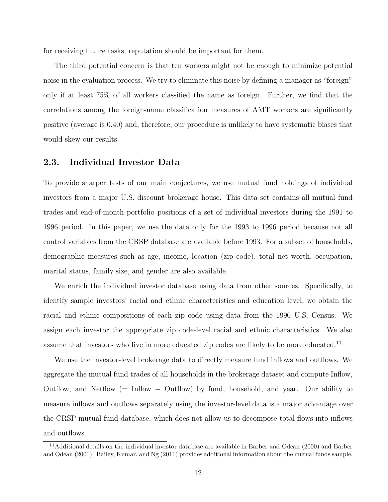for receiving future tasks, reputation should be important for them.

The third potential concern is that ten workers might not be enough to minimize potential noise in the evaluation process. We try to eliminate this noise by defining a manager as "foreign" only if at least 75% of all workers classified the name as foreign. Further, we find that the correlations among the foreign-name classification measures of AMT workers are significantly positive (average is 0.40) and, therefore, our procedure is unlikely to have systematic biases that would skew our results.

#### 2.3. Individual Investor Data

To provide sharper tests of our main conjectures, we use mutual fund holdings of individual investors from a major U.S. discount brokerage house. This data set contains all mutual fund trades and end-of-month portfolio positions of a set of individual investors during the 1991 to 1996 period. In this paper, we use the data only for the 1993 to 1996 period because not all control variables from the CRSP database are available before 1993. For a subset of households, demographic measures such as age, income, location (zip code), total net worth, occupation, marital status, family size, and gender are also available.

We enrich the individual investor database using data from other sources. Specifically, to identify sample investors' racial and ethnic characteristics and education level, we obtain the racial and ethnic compositions of each zip code using data from the 1990 U.S. Census. We assign each investor the appropriate zip code-level racial and ethnic characteristics. We also assume that investors who live in more educated zip codes are likely to be more educated.<sup>11</sup>

We use the investor-level brokerage data to directly measure fund inflows and outflows. We aggregate the mutual fund trades of all households in the brokerage dataset and compute Inflow, Outflow, and Netflow (= Inflow − Outflow) by fund, household, and year. Our ability to measure inflows and outflows separately using the investor-level data is a major advantage over the CRSP mutual fund database, which does not allow us to decompose total flows into inflows and outflows.

<sup>&</sup>lt;sup>11</sup>Additional details on the individual investor database are available in Barber and Odean (2000) and Barber and Odean (2001). Bailey, Kumar, and Ng (2011) provides additional information about the mutual funds sample.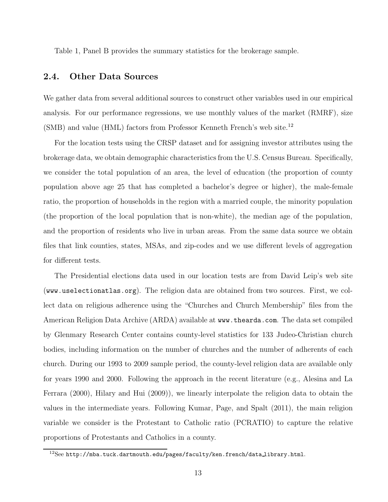Table 1, Panel B provides the summary statistics for the brokerage sample.

#### 2.4. Other Data Sources

We gather data from several additional sources to construct other variables used in our empirical analysis. For our performance regressions, we use monthly values of the market (RMRF), size (SMB) and value (HML) factors from Professor Kenneth French's web site.<sup>12</sup>

For the location tests using the CRSP dataset and for assigning investor attributes using the brokerage data, we obtain demographic characteristics from the U.S. Census Bureau. Specifically, we consider the total population of an area, the level of education (the proportion of county population above age 25 that has completed a bachelor's degree or higher), the male-female ratio, the proportion of households in the region with a married couple, the minority population (the proportion of the local population that is non-white), the median age of the population, and the proportion of residents who live in urban areas. From the same data source we obtain files that link counties, states, MSAs, and zip-codes and we use different levels of aggregation for different tests.

The Presidential elections data used in our location tests are from David Leip's web site (www.uselectionatlas.org). The religion data are obtained from two sources. First, we collect data on religious adherence using the "Churches and Church Membership" files from the American Religion Data Archive (ARDA) available at www.thearda.com. The data set compiled by Glenmary Research Center contains county-level statistics for 133 Judeo-Christian church bodies, including information on the number of churches and the number of adherents of each church. During our 1993 to 2009 sample period, the county-level religion data are available only for years 1990 and 2000. Following the approach in the recent literature (e.g., Alesina and La Ferrara (2000), Hilary and Hui (2009)), we linearly interpolate the religion data to obtain the values in the intermediate years. Following Kumar, Page, and Spalt (2011), the main religion variable we consider is the Protestant to Catholic ratio (PCRATIO) to capture the relative proportions of Protestants and Catholics in a county.

<sup>12</sup>See http://mba.tuck.dartmouth.edu/pages/faculty/ken.french/data library.html.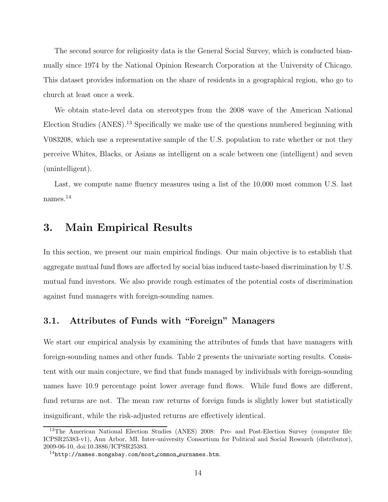The second source for religiosity data is the General Social Survey, which is conducted biannually since 1974 by the National Opinion Research Corporation at the University of Chicago. This dataset provides information on the share of residents in a geographical region, who go to church at least once a week.

We obtain state-level data on stereotypes from the 2008 wave of the American National Election Studies (ANES).<sup>13</sup> Specifically we make use of the questions numbered beginning with V083208, which use a representative sample of the U.S. population to rate whether or not they perceive Whites, Blacks, or Asians as intelligent on a scale between one (intelligent) and seven (unintelligent).

Last, we compute name fluency measures using a list of the 10,000 most common U.S. last names.<sup>14</sup>

# 3. Main Empirical Results

In this section, we present our main empirical findings. Our main objective is to establish that aggregate mutual fund flows are affected by social bias induced taste-based discrimination by U.S. mutual fund investors. We also provide rough estimates of the potential costs of discrimination against fund managers with foreign-sounding names.

#### 3.1. Attributes of Funds with "Foreign" Managers

We start our empirical analysis by examining the attributes of funds that have managers with foreign-sounding names and other funds. Table 2 presents the univariate sorting results. Consistent with our main conjecture, we find that funds managed by individuals with foreign-sounding names have 10.9 percentage point lower average fund flows. While fund flows are different, fund returns are not. The mean raw returns of foreign funds is slightly lower but statistically insignificant, while the risk-adjusted returns are effectively identical.

<sup>&</sup>lt;sup>13</sup>The American National Election Studies (ANES) 2008: Pre- and Post-Election Survey (computer file: ICPSR25383-v1), Ann Arbor, MI. Inter-university Consortium for Political and Social Research (distributor), 2009-06-10, doi:10.3886/ICPSR25383.

 $14$ http://names.mongabay.com/most\_common\_surnames.htm.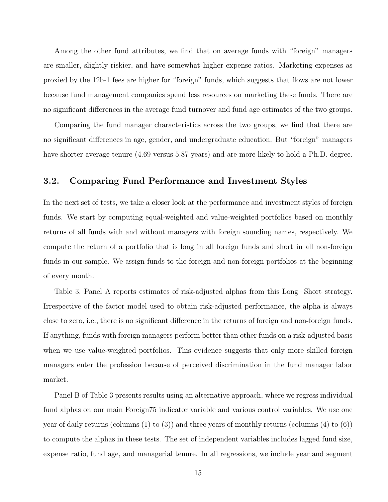Among the other fund attributes, we find that on average funds with "foreign" managers are smaller, slightly riskier, and have somewhat higher expense ratios. Marketing expenses as proxied by the 12b-1 fees are higher for "foreign" funds, which suggests that flows are not lower because fund management companies spend less resources on marketing these funds. There are no significant differences in the average fund turnover and fund age estimates of the two groups.

Comparing the fund manager characteristics across the two groups, we find that there are no significant differences in age, gender, and undergraduate education. But "foreign" managers have shorter average tenure (4.69 versus 5.87 years) and are more likely to hold a Ph.D. degree.

#### 3.2. Comparing Fund Performance and Investment Styles

In the next set of tests, we take a closer look at the performance and investment styles of foreign funds. We start by computing equal-weighted and value-weighted portfolios based on monthly returns of all funds with and without managers with foreign sounding names, respectively. We compute the return of a portfolio that is long in all foreign funds and short in all non-foreign funds in our sample. We assign funds to the foreign and non-foreign portfolios at the beginning of every month.

Table 3, Panel A reports estimates of risk-adjusted alphas from this Long−Short strategy. Irrespective of the factor model used to obtain risk-adjusted performance, the alpha is always close to zero, i.e., there is no significant difference in the returns of foreign and non-foreign funds. If anything, funds with foreign managers perform better than other funds on a risk-adjusted basis when we use value-weighted portfolios. This evidence suggests that only more skilled foreign managers enter the profession because of perceived discrimination in the fund manager labor market.

Panel B of Table 3 presents results using an alternative approach, where we regress individual fund alphas on our main Foreign75 indicator variable and various control variables. We use one year of daily returns (columns  $(1)$  to  $(3)$ ) and three years of monthly returns (columns  $(4)$  to  $(6)$ ) to compute the alphas in these tests. The set of independent variables includes lagged fund size, expense ratio, fund age, and managerial tenure. In all regressions, we include year and segment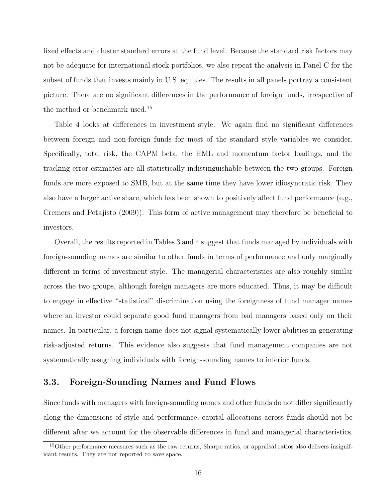fixed effects and cluster standard errors at the fund level. Because the standard risk factors may not be adequate for international stock portfolios, we also repeat the analysis in Panel C for the subset of funds that invests mainly in U.S. equities. The results in all panels portray a consistent picture. There are no significant differences in the performance of foreign funds, irrespective of the method or benchmark used.<sup>15</sup>

Table 4 looks at differences in investment style. We again find no significant differences between foreign and non-foreign funds for most of the standard style variables we consider. Specifically, total risk, the CAPM beta, the HML and momentum factor loadings, and the tracking error estimates are all statistically indistinguishable between the two groups. Foreign funds are more exposed to SMB, but at the same time they have lower idiosyncratic risk. They also have a larger active share, which has been shown to positively affect fund performance (e.g., Cremers and Petajisto (2009)). This form of active management may therefore be beneficial to investors.

Overall, the results reported in Tables 3 and 4 suggest that funds managed by individuals with foreign-sounding names are similar to other funds in terms of performance and only marginally different in terms of investment style. The managerial characteristics are also roughly similar across the two groups, although foreign managers are more educated. Thus, it may be difficult to engage in effective "statistical" discrimination using the foreignness of fund manager names where an investor could separate good fund managers from bad managers based only on their names. In particular, a foreign name does not signal systematically lower abilities in generating risk-adjusted returns. This evidence also suggests that fund management companies are not systematically assigning individuals with foreign-sounding names to inferior funds.

#### 3.3. Foreign-Sounding Names and Fund Flows

Since funds with managers with foreign-sounding names and other funds do not differ significantly along the dimensions of style and performance, capital allocations across funds should not be different after we account for the observable differences in fund and managerial characteristics.

<sup>&</sup>lt;sup>15</sup>Other performance measures such as the raw returns, Sharpe ratios, or appraisal ratios also delivers insignificant results. They are not reported to save space.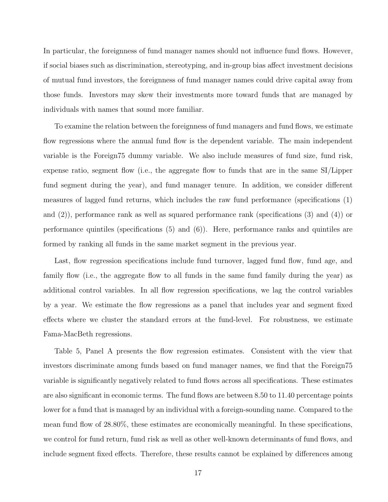In particular, the foreignness of fund manager names should not influence fund flows. However, if social biases such as discrimination, stereotyping, and in-group bias affect investment decisions of mutual fund investors, the foreignness of fund manager names could drive capital away from those funds. Investors may skew their investments more toward funds that are managed by individuals with names that sound more familiar.

To examine the relation between the foreignness of fund managers and fund flows, we estimate flow regressions where the annual fund flow is the dependent variable. The main independent variable is the Foreign75 dummy variable. We also include measures of fund size, fund risk, expense ratio, segment flow (i.e., the aggregate flow to funds that are in the same SI/Lipper fund segment during the year), and fund manager tenure. In addition, we consider different measures of lagged fund returns, which includes the raw fund performance (specifications (1) and (2)), performance rank as well as squared performance rank (specifications (3) and (4)) or performance quintiles (specifications (5) and (6)). Here, performance ranks and quintiles are formed by ranking all funds in the same market segment in the previous year.

Last, flow regression specifications include fund turnover, lagged fund flow, fund age, and family flow (i.e., the aggregate flow to all funds in the same fund family during the year) as additional control variables. In all flow regression specifications, we lag the control variables by a year. We estimate the flow regressions as a panel that includes year and segment fixed effects where we cluster the standard errors at the fund-level. For robustness, we estimate Fama-MacBeth regressions.

Table 5, Panel A presents the flow regression estimates. Consistent with the view that investors discriminate among funds based on fund manager names, we find that the Foreign75 variable is significantly negatively related to fund flows across all specifications. These estimates are also significant in economic terms. The fund flows are between 8.50 to 11.40 percentage points lower for a fund that is managed by an individual with a foreign-sounding name. Compared to the mean fund flow of 28.80%, these estimates are economically meaningful. In these specifications, we control for fund return, fund risk as well as other well-known determinants of fund flows, and include segment fixed effects. Therefore, these results cannot be explained by differences among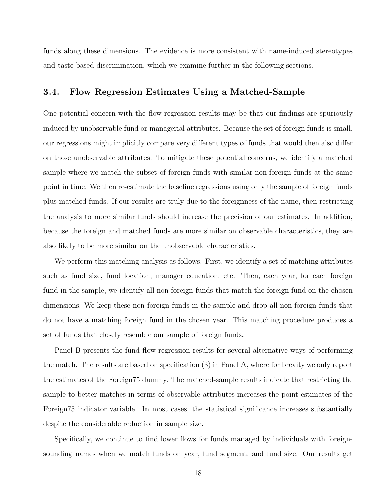funds along these dimensions. The evidence is more consistent with name-induced stereotypes and taste-based discrimination, which we examine further in the following sections.

#### 3.4. Flow Regression Estimates Using a Matched-Sample

One potential concern with the flow regression results may be that our findings are spuriously induced by unobservable fund or managerial attributes. Because the set of foreign funds is small, our regressions might implicitly compare very different types of funds that would then also differ on those unobservable attributes. To mitigate these potential concerns, we identify a matched sample where we match the subset of foreign funds with similar non-foreign funds at the same point in time. We then re-estimate the baseline regressions using only the sample of foreign funds plus matched funds. If our results are truly due to the foreignness of the name, then restricting the analysis to more similar funds should increase the precision of our estimates. In addition, because the foreign and matched funds are more similar on observable characteristics, they are also likely to be more similar on the unobservable characteristics.

We perform this matching analysis as follows. First, we identify a set of matching attributes such as fund size, fund location, manager education, etc. Then, each year, for each foreign fund in the sample, we identify all non-foreign funds that match the foreign fund on the chosen dimensions. We keep these non-foreign funds in the sample and drop all non-foreign funds that do not have a matching foreign fund in the chosen year. This matching procedure produces a set of funds that closely resemble our sample of foreign funds.

Panel B presents the fund flow regression results for several alternative ways of performing the match. The results are based on specification (3) in Panel A, where for brevity we only report the estimates of the Foreign75 dummy. The matched-sample results indicate that restricting the sample to better matches in terms of observable attributes increases the point estimates of the Foreign75 indicator variable. In most cases, the statistical significance increases substantially despite the considerable reduction in sample size.

Specifically, we continue to find lower flows for funds managed by individuals with foreignsounding names when we match funds on year, fund segment, and fund size. Our results get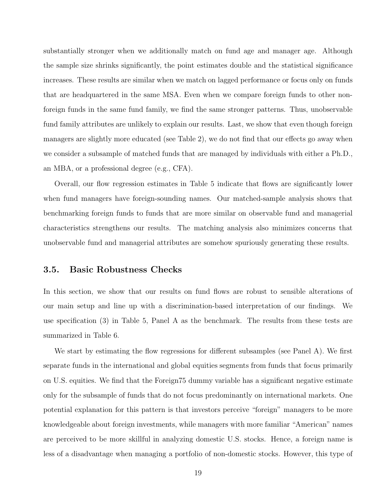substantially stronger when we additionally match on fund age and manager age. Although the sample size shrinks significantly, the point estimates double and the statistical significance increases. These results are similar when we match on lagged performance or focus only on funds that are headquartered in the same MSA. Even when we compare foreign funds to other nonforeign funds in the same fund family, we find the same stronger patterns. Thus, unobservable fund family attributes are unlikely to explain our results. Last, we show that even though foreign managers are slightly more educated (see Table 2), we do not find that our effects go away when we consider a subsample of matched funds that are managed by individuals with either a Ph.D., an MBA, or a professional degree (e.g., CFA).

Overall, our flow regression estimates in Table 5 indicate that flows are significantly lower when fund managers have foreign-sounding names. Our matched-sample analysis shows that benchmarking foreign funds to funds that are more similar on observable fund and managerial characteristics strengthens our results. The matching analysis also minimizes concerns that unobservable fund and managerial attributes are somehow spuriously generating these results.

#### 3.5. Basic Robustness Checks

In this section, we show that our results on fund flows are robust to sensible alterations of our main setup and line up with a discrimination-based interpretation of our findings. We use specification (3) in Table 5, Panel A as the benchmark. The results from these tests are summarized in Table 6.

We start by estimating the flow regressions for different subsamples (see Panel A). We first separate funds in the international and global equities segments from funds that focus primarily on U.S. equities. We find that the Foreign75 dummy variable has a significant negative estimate only for the subsample of funds that do not focus predominantly on international markets. One potential explanation for this pattern is that investors perceive "foreign" managers to be more knowledgeable about foreign investments, while managers with more familiar "American" names are perceived to be more skillful in analyzing domestic U.S. stocks. Hence, a foreign name is less of a disadvantage when managing a portfolio of non-domestic stocks. However, this type of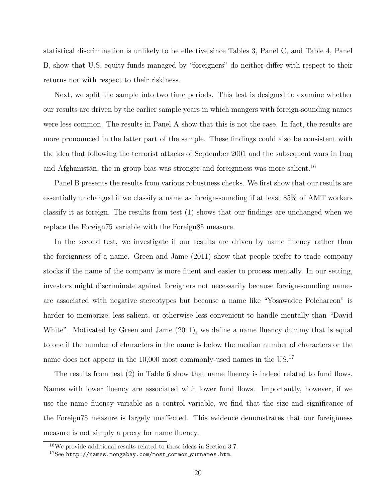statistical discrimination is unlikely to be effective since Tables 3, Panel C, and Table 4, Panel B, show that U.S. equity funds managed by "foreigners" do neither differ with respect to their returns nor with respect to their riskiness.

Next, we split the sample into two time periods. This test is designed to examine whether our results are driven by the earlier sample years in which mangers with foreign-sounding names were less common. The results in Panel A show that this is not the case. In fact, the results are more pronounced in the latter part of the sample. These findings could also be consistent with the idea that following the terrorist attacks of September 2001 and the subsequent wars in Iraq and Afghanistan, the in-group bias was stronger and foreignness was more salient.<sup>16</sup>

Panel B presents the results from various robustness checks. We first show that our results are essentially unchanged if we classify a name as foreign-sounding if at least 85% of AMT workers classify it as foreign. The results from test (1) shows that our findings are unchanged when we replace the Foreign75 variable with the Foreign85 measure.

In the second test, we investigate if our results are driven by name fluency rather than the foreignness of a name. Green and Jame (2011) show that people prefer to trade company stocks if the name of the company is more fluent and easier to process mentally. In our setting, investors might discriminate against foreigners not necessarily because foreign-sounding names are associated with negative stereotypes but because a name like "Yosawadee Polchareon" is harder to memorize, less salient, or otherwise less convenient to handle mentally than "David White". Motivated by Green and Jame  $(2011)$ , we define a name fluency dummy that is equal to one if the number of characters in the name is below the median number of characters or the name does not appear in the 10,000 most commonly-used names in the US.<sup>17</sup>

The results from test (2) in Table 6 show that name fluency is indeed related to fund flows. Names with lower fluency are associated with lower fund flows. Importantly, however, if we use the name fluency variable as a control variable, we find that the size and significance of the Foreign75 measure is largely unaffected. This evidence demonstrates that our foreignness measure is not simply a proxy for name fluency.

<sup>16</sup>We provide additional results related to these ideas in Section 3.7.

 $17$ See http://names.mongabay.com/most\_common\_surnames.htm.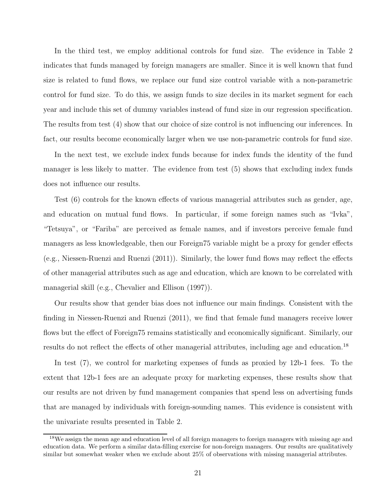In the third test, we employ additional controls for fund size. The evidence in Table 2 indicates that funds managed by foreign managers are smaller. Since it is well known that fund size is related to fund flows, we replace our fund size control variable with a non-parametric control for fund size. To do this, we assign funds to size deciles in its market segment for each year and include this set of dummy variables instead of fund size in our regression specification. The results from test (4) show that our choice of size control is not influencing our inferences. In fact, our results become economically larger when we use non-parametric controls for fund size.

In the next test, we exclude index funds because for index funds the identity of the fund manager is less likely to matter. The evidence from test (5) shows that excluding index funds does not influence our results.

Test (6) controls for the known effects of various managerial attributes such as gender, age, and education on mutual fund flows. In particular, if some foreign names such as "Ivka", "Tetsuya", or "Fariba" are perceived as female names, and if investors perceive female fund managers as less knowledgeable, then our Foreign75 variable might be a proxy for gender effects (e.g., Niessen-Ruenzi and Ruenzi (2011)). Similarly, the lower fund flows may reflect the effects of other managerial attributes such as age and education, which are known to be correlated with managerial skill (e.g., Chevalier and Ellison (1997)).

Our results show that gender bias does not influence our main findings. Consistent with the finding in Niessen-Ruenzi and Ruenzi (2011), we find that female fund managers receive lower flows but the effect of Foreign75 remains statistically and economically significant. Similarly, our results do not reflect the effects of other managerial attributes, including age and education.<sup>18</sup>

In test (7), we control for marketing expenses of funds as proxied by 12b-1 fees. To the extent that 12b-1 fees are an adequate proxy for marketing expenses, these results show that our results are not driven by fund management companies that spend less on advertising funds that are managed by individuals with foreign-sounding names. This evidence is consistent with the univariate results presented in Table 2.

<sup>&</sup>lt;sup>18</sup>We assign the mean age and education level of all foreign managers to foreign managers with missing age and education data. We perform a similar data-filling exercise for non-foreign managers. Our results are qualitatively similar but somewhat weaker when we exclude about 25% of observations with missing managerial attributes.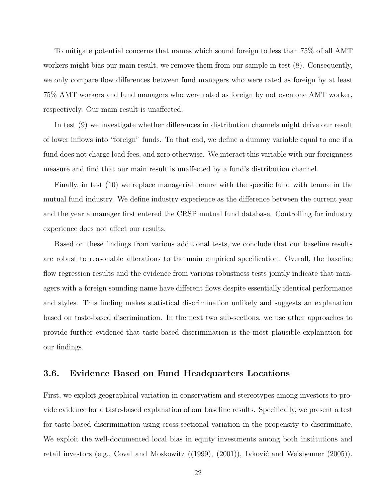To mitigate potential concerns that names which sound foreign to less than 75% of all AMT workers might bias our main result, we remove them from our sample in test (8). Consequently, we only compare flow differences between fund managers who were rated as foreign by at least 75% AMT workers and fund managers who were rated as foreign by not even one AMT worker, respectively. Our main result is unaffected.

In test (9) we investigate whether differences in distribution channels might drive our result of lower inflows into "foreign" funds. To that end, we define a dummy variable equal to one if a fund does not charge load fees, and zero otherwise. We interact this variable with our foreignness measure and find that our main result is unaffected by a fund's distribution channel.

Finally, in test (10) we replace managerial tenure with the specific fund with tenure in the mutual fund industry. We define industry experience as the difference between the current year and the year a manager first entered the CRSP mutual fund database. Controlling for industry experience does not affect our results.

Based on these findings from various additional tests, we conclude that our baseline results are robust to reasonable alterations to the main empirical specification. Overall, the baseline flow regression results and the evidence from various robustness tests jointly indicate that managers with a foreign sounding name have different flows despite essentially identical performance and styles. This finding makes statistical discrimination unlikely and suggests an explanation based on taste-based discrimination. In the next two sub-sections, we use other approaches to provide further evidence that taste-based discrimination is the most plausible explanation for our findings.

#### 3.6. Evidence Based on Fund Headquarters Locations

First, we exploit geographical variation in conservatism and stereotypes among investors to provide evidence for a taste-based explanation of our baseline results. Specifically, we present a test for taste-based discrimination using cross-sectional variation in the propensity to discriminate. We exploit the well-documented local bias in equity investments among both institutions and retail investors (e.g., Coval and Moskowitz  $((1999), (2001))$ , Ivković and Weisbenner  $(2005)$ ).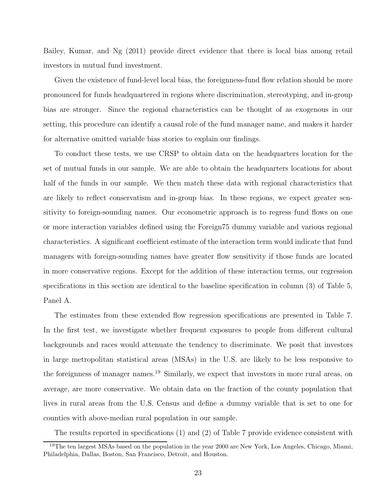Bailey, Kumar, and Ng (2011) provide direct evidence that there is local bias among retail investors in mutual fund investment.

Given the existence of fund-level local bias, the foreignness-fund flow relation should be more pronounced for funds headquartered in regions where discrimination, stereotyping, and in-group bias are stronger. Since the regional characteristics can be thought of as exogenous in our setting, this procedure can identify a causal role of the fund manager name, and makes it harder for alternative omitted variable bias stories to explain our findings.

To conduct these tests, we use CRSP to obtain data on the headquarters location for the set of mutual funds in our sample. We are able to obtain the headquarters locations for about half of the funds in our sample. We then match these data with regional characteristics that are likely to reflect conservatism and in-group bias. In these regions, we expect greater sensitivity to foreign-sounding names. Our econometric approach is to regress fund flows on one or more interaction variables defined using the Foreign75 dummy variable and various regional characteristics. A significant coefficient estimate of the interaction term would indicate that fund managers with foreign-sounding names have greater flow sensitivity if those funds are located in more conservative regions. Except for the addition of these interaction terms, our regression specifications in this section are identical to the baseline specification in column (3) of Table 5, Panel A.

The estimates from these extended flow regression specifications are presented in Table 7. In the first test, we investigate whether frequent exposures to people from different cultural backgrounds and races would attenuate the tendency to discriminate. We posit that investors in large metropolitan statistical areas (MSAs) in the U.S. are likely to be less responsive to the foreignness of manager names.<sup>19</sup> Similarly, we expect that investors in more rural areas, on average, are more conservative. We obtain data on the fraction of the county population that lives in rural areas from the U.S. Census and define a dummy variable that is set to one for counties with above-median rural population in our sample.

The results reported in specifications (1) and (2) of Table 7 provide evidence consistent with

<sup>&</sup>lt;sup>19</sup>The ten largest MSAs based on the population in the year 2000 are New York, Los Angeles, Chicago, Miami, Philadelphia, Dallas, Boston, San Francisco, Detroit, and Houston.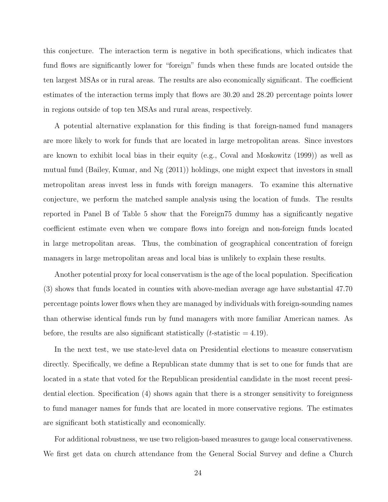this conjecture. The interaction term is negative in both specifications, which indicates that fund flows are significantly lower for "foreign" funds when these funds are located outside the ten largest MSAs or in rural areas. The results are also economically significant. The coefficient estimates of the interaction terms imply that flows are 30.20 and 28.20 percentage points lower in regions outside of top ten MSAs and rural areas, respectively.

A potential alternative explanation for this finding is that foreign-named fund managers are more likely to work for funds that are located in large metropolitan areas. Since investors are known to exhibit local bias in their equity (e.g., Coval and Moskowitz (1999)) as well as mutual fund (Bailey, Kumar, and Ng (2011)) holdings, one might expect that investors in small metropolitan areas invest less in funds with foreign managers. To examine this alternative conjecture, we perform the matched sample analysis using the location of funds. The results reported in Panel B of Table 5 show that the Foreign75 dummy has a significantly negative coefficient estimate even when we compare flows into foreign and non-foreign funds located in large metropolitan areas. Thus, the combination of geographical concentration of foreign managers in large metropolitan areas and local bias is unlikely to explain these results.

Another potential proxy for local conservatism is the age of the local population. Specification (3) shows that funds located in counties with above-median average age have substantial 47.70 percentage points lower flows when they are managed by individuals with foreign-sounding names than otherwise identical funds run by fund managers with more familiar American names. As before, the results are also significant statistically (*t*-statistic  $= 4.19$ ).

In the next test, we use state-level data on Presidential elections to measure conservatism directly. Specifically, we define a Republican state dummy that is set to one for funds that are located in a state that voted for the Republican presidential candidate in the most recent presidential election. Specification (4) shows again that there is a stronger sensitivity to foreignness to fund manager names for funds that are located in more conservative regions. The estimates are significant both statistically and economically.

For additional robustness, we use two religion-based measures to gauge local conservativeness. We first get data on church attendance from the General Social Survey and define a Church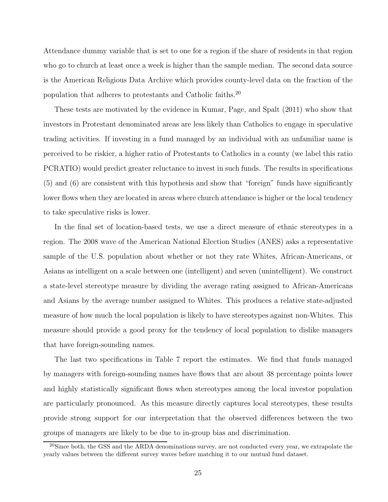Attendance dummy variable that is set to one for a region if the share of residents in that region who go to church at least once a week is higher than the sample median. The second data source is the American Religious Data Archive which provides county-level data on the fraction of the population that adheres to protestants and Catholic faiths. 20

These tests are motivated by the evidence in Kumar, Page, and Spalt (2011) who show that investors in Protestant denominated areas are less likely than Catholics to engage in speculative trading activities. If investing in a fund managed by an individual with an unfamiliar name is perceived to be riskier, a higher ratio of Protestants to Catholics in a county (we label this ratio PCRATIO) would predict greater reluctance to invest in such funds. The results in specifications (5) and (6) are consistent with this hypothesis and show that "foreign" funds have significantly lower flows when they are located in areas where church attendance is higher or the local tendency to take speculative risks is lower.

In the final set of location-based tests, we use a direct measure of ethnic stereotypes in a region. The 2008 wave of the American National Election Studies (ANES) asks a representative sample of the U.S. population about whether or not they rate Whites, African-Americans, or Asians as intelligent on a scale between one (intelligent) and seven (unintelligent). We construct a state-level stereotype measure by dividing the average rating assigned to African-Americans and Asians by the average number assigned to Whites. This produces a relative state-adjusted measure of how much the local population is likely to have stereotypes against non-Whites. This measure should provide a good proxy for the tendency of local population to dislike managers that have foreign-sounding names.

The last two specifications in Table 7 report the estimates. We find that funds managed by managers with foreign-sounding names have flows that are about 38 percentage points lower and highly statistically significant flows when stereotypes among the local investor population are particularly pronounced. As this measure directly captures local stereotypes, these results provide strong support for our interpretation that the observed differences between the two groups of managers are likely to be due to in-group bias and discrimination.

 $^{20}$ Since both, the GSS and the ARDA denominations survey, are not conducted every year, we extrapolate the yearly values between the different survey waves before matching it to our mutual fund dataset.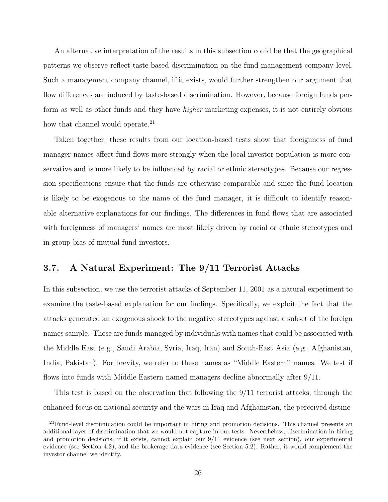An alternative interpretation of the results in this subsection could be that the geographical patterns we observe reflect taste-based discrimination on the fund management company level. Such a management company channel, if it exists, would further strengthen our argument that flow differences are induced by taste-based discrimination. However, because foreign funds perform as well as other funds and they have higher marketing expenses, it is not entirely obvious how that channel would operate.<sup>21</sup>

Taken together, these results from our location-based tests show that foreignness of fund manager names affect fund flows more strongly when the local investor population is more conservative and is more likely to be influenced by racial or ethnic stereotypes. Because our regression specifications ensure that the funds are otherwise comparable and since the fund location is likely to be exogenous to the name of the fund manager, it is difficult to identify reasonable alternative explanations for our findings. The differences in fund flows that are associated with foreignness of managers' names are most likely driven by racial or ethnic stereotypes and in-group bias of mutual fund investors.

#### 3.7. A Natural Experiment: The 9/11 Terrorist Attacks

In this subsection, we use the terrorist attacks of September 11, 2001 as a natural experiment to examine the taste-based explanation for our findings. Specifically, we exploit the fact that the attacks generated an exogenous shock to the negative stereotypes against a subset of the foreign names sample. These are funds managed by individuals with names that could be associated with the Middle East (e.g., Saudi Arabia, Syria, Iraq, Iran) and South-East Asia (e.g., Afghanistan, India, Pakistan). For brevity, we refer to these names as "Middle Eastern" names. We test if flows into funds with Middle Eastern named managers decline abnormally after 9/11.

This test is based on the observation that following the 9/11 terrorist attacks, through the enhanced focus on national security and the wars in Iraq and Afghanistan, the perceived distinc-

 $^{21}$ Fund-level discrimination could be important in hiring and promotion decisions. This channel presents an additional layer of discrimination that we would not capture in our tests. Nevertheless, discrimination in hiring and promotion decisions, if it exists, cannot explain our 9/11 evidence (see next section), our experimental evidence (see Section 4.2), and the brokerage data evidence (see Section 5.2). Rather, it would complement the investor channel we identify.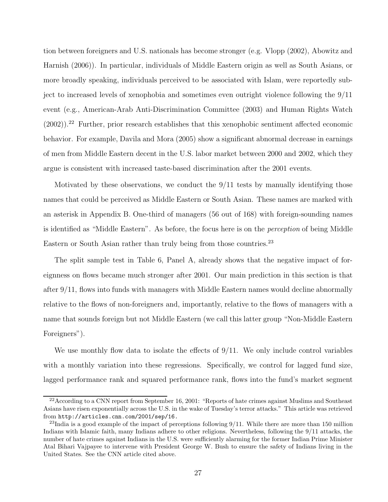tion between foreigners and U.S. nationals has become stronger (e.g. Vlopp (2002), Abowitz and Harnish (2006)). In particular, individuals of Middle Eastern origin as well as South Asians, or more broadly speaking, individuals perceived to be associated with Islam, were reportedly subject to increased levels of xenophobia and sometimes even outright violence following the 9/11 event (e.g., American-Arab Anti-Discrimination Committee (2003) and Human Rights Watch  $(2002)$ ).<sup>22</sup> Further, prior research establishes that this xenophobic sentiment affected economic behavior. For example, Davila and Mora (2005) show a significant abnormal decrease in earnings of men from Middle Eastern decent in the U.S. labor market between 2000 and 2002, which they argue is consistent with increased taste-based discrimination after the 2001 events.

Motivated by these observations, we conduct the 9/11 tests by manually identifying those names that could be perceived as Middle Eastern or South Asian. These names are marked with an asterisk in Appendix B. One-third of managers (56 out of 168) with foreign-sounding names is identified as "Middle Eastern". As before, the focus here is on the perception of being Middle Eastern or South Asian rather than truly being from those countries.<sup>23</sup>

The split sample test in Table 6, Panel A, already shows that the negative impact of foreignness on flows became much stronger after 2001. Our main prediction in this section is that after 9/11, flows into funds with managers with Middle Eastern names would decline abnormally relative to the flows of non-foreigners and, importantly, relative to the flows of managers with a name that sounds foreign but not Middle Eastern (we call this latter group "Non-Middle Eastern Foreigners").

We use monthly flow data to isolate the effects of  $9/11$ . We only include control variables with a monthly variation into these regressions. Specifically, we control for lagged fund size, lagged performance rank and squared performance rank, flows into the fund's market segment

 $^{22}$ According to a CNN report from September 16, 2001: "Reports of hate crimes against Muslims and Southeast Asians have risen exponentially across the U.S. in the wake of Tuesday's terror attacks." This article was retrieved from http://articles.cnn.com/2001/sep/16.

<sup>&</sup>lt;sup>23</sup>India is a good example of the impact of perceptions following  $9/11$ . While there are more than 150 million Indians with Islamic faith, many Indians adhere to other religions. Nevertheless, following the 9/11 attacks, the number of hate crimes against Indians in the U.S. were sufficiently alarming for the former Indian Prime Minister Atal Bihari Vajpayee to intervene with President George W. Bush to ensure the safety of Indians living in the United States. See the CNN article cited above.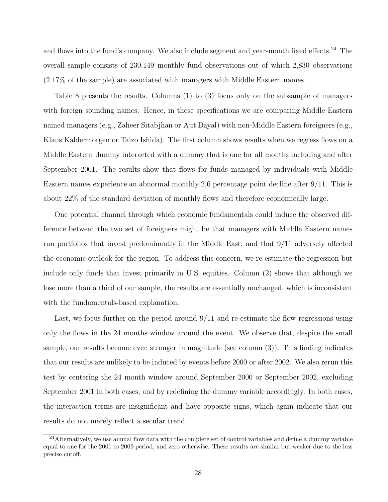and flows into the fund's company. We also include segment and year-month fixed effects.<sup>24</sup> The overall sample consists of 230,149 monthly fund observations out of which 2,830 observations (2.17% of the sample) are associated with managers with Middle Eastern names.

Table 8 presents the results. Columns (1) to (3) focus only on the subsample of managers with foreign sounding names. Hence, in these specifications we are comparing Middle Eastern named managers (e.g., Zaheer Sitabjhan or Ajit Dayal) with non-Middle Eastern foreigners (e.g., Klaus Kaldermorgen or Taizo Ishida). The first column shows results when we regress flows on a Middle Eastern dummy interacted with a dummy that is one for all months including and after September 2001. The results show that flows for funds managed by individuals with Middle Eastern names experience an abnormal monthly 2.6 percentage point decline after 9/11. This is about 22% of the standard deviation of monthly flows and therefore economically large.

One potential channel through which economic fundamentals could induce the observed difference between the two set of foreigners might be that managers with Middle Eastern names run portfolios that invest predominantly in the Middle East, and that 9/11 adversely affected the economic outlook for the region. To address this concern, we re-estimate the regression but include only funds that invest primarily in U.S. equities. Column (2) shows that although we lose more than a third of our sample, the results are essentially unchanged, which is inconsistent with the fundamentals-based explanation.

Last, we focus further on the period around  $9/11$  and re-estimate the flow regressions using only the flows in the 24 months window around the event. We observe that, despite the small sample, our results become even stronger in magnitude (see column (3)). This finding indicates that our results are unlikely to be induced by events before 2000 or after 2002. We also rerun this test by centering the 24 month window around September 2000 or September 2002, excluding September 2001 in both cases, and by redefining the dummy variable accordingly. In both cases, the interaction terms are insignificant and have opposite signs, which again indicate that our results do not merely reflect a secular trend.

<sup>&</sup>lt;sup>24</sup>Alternatively, we use annual flow data with the complete set of control variables and define a dummy variable equal to one for the 2001 to 2009 period, and zero otherwise. These results are similar but weaker due to the less precise cutoff.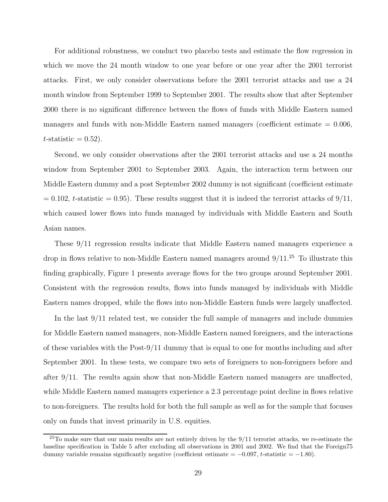For additional robustness, we conduct two placebo tests and estimate the flow regression in which we move the 24 month window to one year before or one year after the 2001 terrorist attacks. First, we only consider observations before the 2001 terrorist attacks and use a 24 month window from September 1999 to September 2001. The results show that after September 2000 there is no significant difference between the flows of funds with Middle Eastern named managers and funds with non-Middle Eastern named managers (coefficient estimate  $= 0.006$ ,  $t$ -statistic = 0.52).

Second, we only consider observations after the 2001 terrorist attacks and use a 24 months window from September 2001 to September 2003. Again, the interaction term between our Middle Eastern dummy and a post September 2002 dummy is not significant (coefficient estimate  $= 0.102$ , t-statistic  $= 0.95$ ). These results suggest that it is indeed the terrorist attacks of  $9/11$ , which caused lower flows into funds managed by individuals with Middle Eastern and South Asian names.

These 9/11 regression results indicate that Middle Eastern named managers experience a drop in flows relative to non-Middle Eastern named managers around  $9/11<sup>25</sup>$  To illustrate this finding graphically, Figure 1 presents average flows for the two groups around September 2001. Consistent with the regression results, flows into funds managed by individuals with Middle Eastern names dropped, while the flows into non-Middle Eastern funds were largely unaffected.

In the last 9/11 related test, we consider the full sample of managers and include dummies for Middle Eastern named managers, non-Middle Eastern named foreigners, and the interactions of these variables with the Post-9/11 dummy that is equal to one for months including and after September 2001. In these tests, we compare two sets of foreigners to non-foreigners before and after 9/11. The results again show that non-Middle Eastern named managers are unaffected, while Middle Eastern named managers experience a 2.3 percentage point decline in flows relative to non-foreigners. The results hold for both the full sample as well as for the sample that focuses only on funds that invest primarily in U.S. equities.

 $25T$ o make sure that our main results are not entirely driven by the  $9/11$  terrorist attacks, we re-estimate the baseline specification in Table 5 after excluding all observations in 2001 and 2002. We find that the Foreign75 dummy variable remains significantly negative (coefficient estimate  $= -0.097$ , t-statistic  $= -1.80$ ).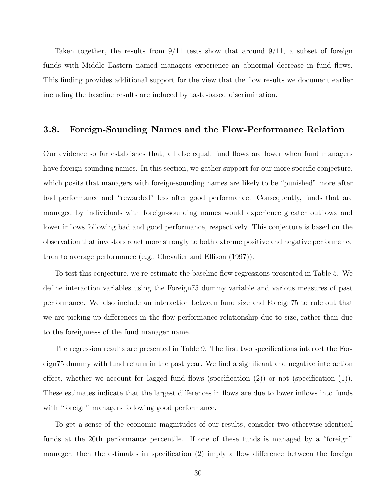Taken together, the results from 9/11 tests show that around 9/11, a subset of foreign funds with Middle Eastern named managers experience an abnormal decrease in fund flows. This finding provides additional support for the view that the flow results we document earlier including the baseline results are induced by taste-based discrimination.

#### 3.8. Foreign-Sounding Names and the Flow-Performance Relation

Our evidence so far establishes that, all else equal, fund flows are lower when fund managers have foreign-sounding names. In this section, we gather support for our more specific conjecture, which posits that managers with foreign-sounding names are likely to be "punished" more after bad performance and "rewarded" less after good performance. Consequently, funds that are managed by individuals with foreign-sounding names would experience greater outflows and lower inflows following bad and good performance, respectively. This conjecture is based on the observation that investors react more strongly to both extreme positive and negative performance than to average performance (e.g., Chevalier and Ellison (1997)).

To test this conjecture, we re-estimate the baseline flow regressions presented in Table 5. We define interaction variables using the Foreign75 dummy variable and various measures of past performance. We also include an interaction between fund size and Foreign75 to rule out that we are picking up differences in the flow-performance relationship due to size, rather than due to the foreignness of the fund manager name.

The regression results are presented in Table 9. The first two specifications interact the Foreign75 dummy with fund return in the past year. We find a significant and negative interaction effect, whether we account for lagged fund flows (specification  $(2)$ ) or not (specification  $(1)$ ). These estimates indicate that the largest differences in flows are due to lower inflows into funds with "foreign" managers following good performance.

To get a sense of the economic magnitudes of our results, consider two otherwise identical funds at the 20th performance percentile. If one of these funds is managed by a "foreign" manager, then the estimates in specification (2) imply a flow difference between the foreign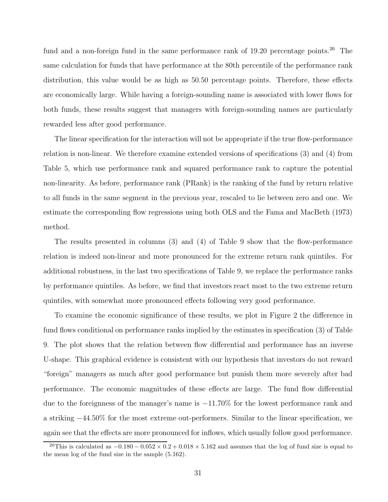fund and a non-foreign fund in the same performance rank of  $19.20$  percentage points.<sup>26</sup> The same calculation for funds that have performance at the 80th percentile of the performance rank distribution, this value would be as high as 50.50 percentage points. Therefore, these effects are economically large. While having a foreign-sounding name is associated with lower flows for both funds, these results suggest that managers with foreign-sounding names are particularly rewarded less after good performance.

The linear specification for the interaction will not be appropriate if the true flow-performance relation is non-linear. We therefore examine extended versions of specifications (3) and (4) from Table 5, which use performance rank and squared performance rank to capture the potential non-linearity. As before, performance rank (PRank) is the ranking of the fund by return relative to all funds in the same segment in the previous year, rescaled to lie between zero and one. We estimate the corresponding flow regressions using both OLS and the Fama and MacBeth (1973) method.

The results presented in columns  $(3)$  and  $(4)$  of Table 9 show that the flow-performance relation is indeed non-linear and more pronounced for the extreme return rank quintiles. For additional robustness, in the last two specifications of Table 9, we replace the performance ranks by performance quintiles. As before, we find that investors react most to the two extreme return quintiles, with somewhat more pronounced effects following very good performance.

To examine the economic significance of these results, we plot in Figure 2 the difference in fund flows conditional on performance ranks implied by the estimates in specification (3) of Table 9. The plot shows that the relation between flow differential and performance has an inverse U-shape. This graphical evidence is consistent with our hypothesis that investors do not reward "foreign" managers as much after good performance but punish them more severely after bad performance. The economic magnitudes of these effects are large. The fund flow differential due to the foreignness of the manager's name is −11.70% for the lowest performance rank and a striking −44.50% for the most extreme out-performers. Similar to the linear specification, we again see that the effects are more pronounced for inflows, which usually follow good performance.

<sup>&</sup>lt;sup>26</sup>This is calculated as  $-0.180 - 0.052 \times 0.2 + 0.018 \times 5.162$  and assumes that the log of fund size is equal to the mean log of the fund size in the sample (5.162).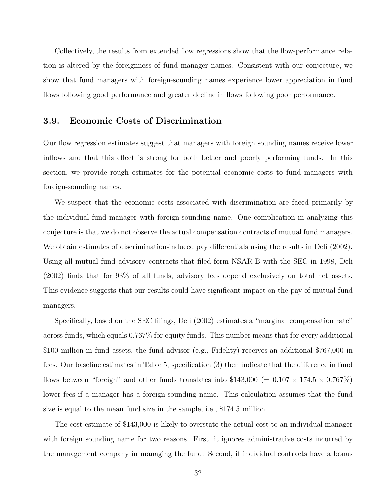Collectively, the results from extended flow regressions show that the flow-performance relation is altered by the foreignness of fund manager names. Consistent with our conjecture, we show that fund managers with foreign-sounding names experience lower appreciation in fund flows following good performance and greater decline in flows following poor performance.

#### 3.9. Economic Costs of Discrimination

Our flow regression estimates suggest that managers with foreign sounding names receive lower inflows and that this effect is strong for both better and poorly performing funds. In this section, we provide rough estimates for the potential economic costs to fund managers with foreign-sounding names.

We suspect that the economic costs associated with discrimination are faced primarily by the individual fund manager with foreign-sounding name. One complication in analyzing this conjecture is that we do not observe the actual compensation contracts of mutual fund managers. We obtain estimates of discrimination-induced pay differentials using the results in Deli (2002). Using all mutual fund advisory contracts that filed form NSAR-B with the SEC in 1998, Deli (2002) finds that for 93% of all funds, advisory fees depend exclusively on total net assets. This evidence suggests that our results could have significant impact on the pay of mutual fund managers.

Specifically, based on the SEC filings, Deli (2002) estimates a "marginal compensation rate" across funds, which equals 0.767% for equity funds. This number means that for every additional \$100 million in fund assets, the fund advisor (e.g., Fidelity) receives an additional \$767,000 in fees. Our baseline estimates in Table 5, specification (3) then indicate that the difference in fund flows between "foreign" and other funds translates into \$143,000 (=  $0.107 \times 174.5 \times 0.767\%$ ) lower fees if a manager has a foreign-sounding name. This calculation assumes that the fund size is equal to the mean fund size in the sample, i.e., \$174.5 million.

The cost estimate of \$143,000 is likely to overstate the actual cost to an individual manager with foreign sounding name for two reasons. First, it ignores administrative costs incurred by the management company in managing the fund. Second, if individual contracts have a bonus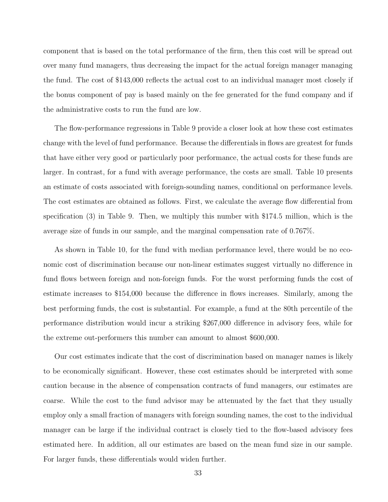component that is based on the total performance of the firm, then this cost will be spread out over many fund managers, thus decreasing the impact for the actual foreign manager managing the fund. The cost of \$143,000 reflects the actual cost to an individual manager most closely if the bonus component of pay is based mainly on the fee generated for the fund company and if the administrative costs to run the fund are low.

The flow-performance regressions in Table 9 provide a closer look at how these cost estimates change with the level of fund performance. Because the differentials in flows are greatest for funds that have either very good or particularly poor performance, the actual costs for these funds are larger. In contrast, for a fund with average performance, the costs are small. Table 10 presents an estimate of costs associated with foreign-sounding names, conditional on performance levels. The cost estimates are obtained as follows. First, we calculate the average flow differential from specification (3) in Table 9. Then, we multiply this number with \$174.5 million, which is the average size of funds in our sample, and the marginal compensation rate of 0.767%.

As shown in Table 10, for the fund with median performance level, there would be no economic cost of discrimination because our non-linear estimates suggest virtually no difference in fund flows between foreign and non-foreign funds. For the worst performing funds the cost of estimate increases to \$154,000 because the difference in flows increases. Similarly, among the best performing funds, the cost is substantial. For example, a fund at the 80th percentile of the performance distribution would incur a striking \$267,000 difference in advisory fees, while for the extreme out-performers this number can amount to almost \$600,000.

Our cost estimates indicate that the cost of discrimination based on manager names is likely to be economically significant. However, these cost estimates should be interpreted with some caution because in the absence of compensation contracts of fund managers, our estimates are coarse. While the cost to the fund advisor may be attenuated by the fact that they usually employ only a small fraction of managers with foreign sounding names, the cost to the individual manager can be large if the individual contract is closely tied to the flow-based advisory fees estimated here. In addition, all our estimates are based on the mean fund size in our sample. For larger funds, these differentials would widen further.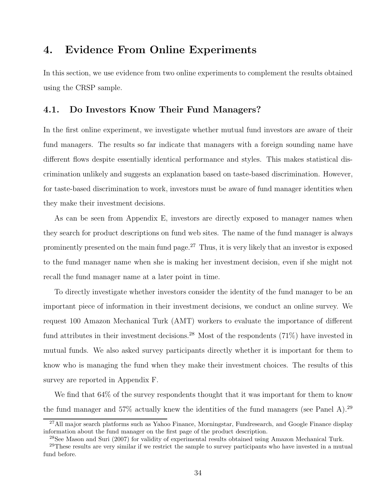## 4. Evidence From Online Experiments

In this section, we use evidence from two online experiments to complement the results obtained using the CRSP sample.

#### 4.1. Do Investors Know Their Fund Managers?

In the first online experiment, we investigate whether mutual fund investors are aware of their fund managers. The results so far indicate that managers with a foreign sounding name have different flows despite essentially identical performance and styles. This makes statistical discrimination unlikely and suggests an explanation based on taste-based discrimination. However, for taste-based discrimination to work, investors must be aware of fund manager identities when they make their investment decisions.

As can be seen from Appendix E, investors are directly exposed to manager names when they search for product descriptions on fund web sites. The name of the fund manager is always prominently presented on the main fund page.<sup>27</sup> Thus, it is very likely that an investor is exposed to the fund manager name when she is making her investment decision, even if she might not recall the fund manager name at a later point in time.

To directly investigate whether investors consider the identity of the fund manager to be an important piece of information in their investment decisions, we conduct an online survey. We request 100 Amazon Mechanical Turk (AMT) workers to evaluate the importance of different fund attributes in their investment decisions.<sup>28</sup> Most of the respondents  $(71\%)$  have invested in mutual funds. We also asked survey participants directly whether it is important for them to know who is managing the fund when they make their investment choices. The results of this survey are reported in Appendix F.

We find that  $64\%$  of the survey respondents thought that it was important for them to know the fund manager and  $57\%$  actually knew the identities of the fund managers (see Panel A).<sup>29</sup>

<sup>&</sup>lt;sup>27</sup>All major search platforms such as Yahoo Finance, Morningstar, Fundresearch, and Google Finance display information about the fund manager on the first page of the product description.

<sup>28</sup>See Mason and Suri (2007) for validity of experimental results obtained using Amazon Mechanical Turk.

<sup>&</sup>lt;sup>29</sup>These results are very similar if we restrict the sample to survey participants who have invested in a mutual fund before.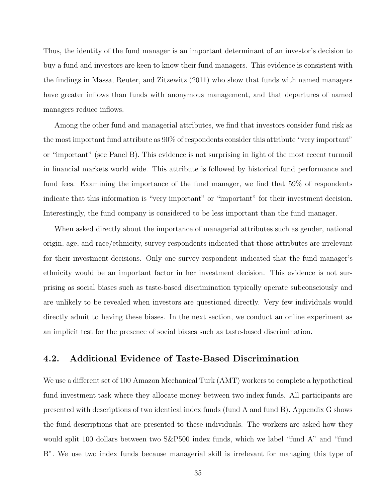Thus, the identity of the fund manager is an important determinant of an investor's decision to buy a fund and investors are keen to know their fund managers. This evidence is consistent with the findings in Massa, Reuter, and Zitzewitz (2011) who show that funds with named managers have greater inflows than funds with anonymous management, and that departures of named managers reduce inflows.

Among the other fund and managerial attributes, we find that investors consider fund risk as the most important fund attribute as 90% of respondents consider this attribute "very important" or "important" (see Panel B). This evidence is not surprising in light of the most recent turmoil in financial markets world wide. This attribute is followed by historical fund performance and fund fees. Examining the importance of the fund manager, we find that 59% of respondents indicate that this information is "very important" or "important" for their investment decision. Interestingly, the fund company is considered to be less important than the fund manager.

When asked directly about the importance of managerial attributes such as gender, national origin, age, and race/ethnicity, survey respondents indicated that those attributes are irrelevant for their investment decisions. Only one survey respondent indicated that the fund manager's ethnicity would be an important factor in her investment decision. This evidence is not surprising as social biases such as taste-based discrimination typically operate subconsciously and are unlikely to be revealed when investors are questioned directly. Very few individuals would directly admit to having these biases. In the next section, we conduct an online experiment as an implicit test for the presence of social biases such as taste-based discrimination.

#### 4.2. Additional Evidence of Taste-Based Discrimination

We use a different set of 100 Amazon Mechanical Turk (AMT) workers to complete a hypothetical fund investment task where they allocate money between two index funds. All participants are presented with descriptions of two identical index funds (fund A and fund B). Appendix G shows the fund descriptions that are presented to these individuals. The workers are asked how they would split 100 dollars between two S&P500 index funds, which we label "fund A" and "fund B". We use two index funds because managerial skill is irrelevant for managing this type of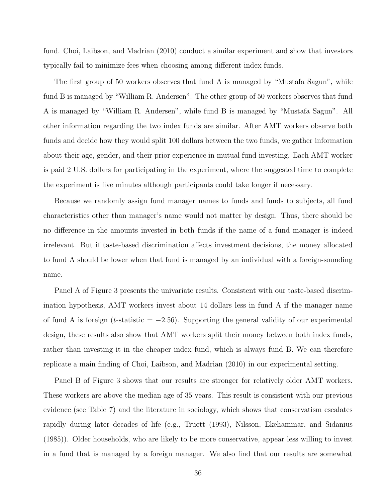fund. Choi, Laibson, and Madrian (2010) conduct a similar experiment and show that investors typically fail to minimize fees when choosing among different index funds.

The first group of 50 workers observes that fund A is managed by "Mustafa Sagun", while fund B is managed by "William R. Andersen". The other group of 50 workers observes that fund A is managed by "William R. Andersen", while fund B is managed by "Mustafa Sagun". All other information regarding the two index funds are similar. After AMT workers observe both funds and decide how they would split 100 dollars between the two funds, we gather information about their age, gender, and their prior experience in mutual fund investing. Each AMT worker is paid 2 U.S. dollars for participating in the experiment, where the suggested time to complete the experiment is five minutes although participants could take longer if necessary.

Because we randomly assign fund manager names to funds and funds to subjects, all fund characteristics other than manager's name would not matter by design. Thus, there should be no difference in the amounts invested in both funds if the name of a fund manager is indeed irrelevant. But if taste-based discrimination affects investment decisions, the money allocated to fund A should be lower when that fund is managed by an individual with a foreign-sounding name.

Panel A of Figure 3 presents the univariate results. Consistent with our taste-based discrimination hypothesis, AMT workers invest about 14 dollars less in fund A if the manager name of fund A is foreign ( $t$ -statistic = -2.56). Supporting the general validity of our experimental design, these results also show that AMT workers split their money between both index funds, rather than investing it in the cheaper index fund, which is always fund B. We can therefore replicate a main finding of Choi, Laibson, and Madrian (2010) in our experimental setting.

Panel B of Figure 3 shows that our results are stronger for relatively older AMT workers. These workers are above the median age of 35 years. This result is consistent with our previous evidence (see Table 7) and the literature in sociology, which shows that conservatism escalates rapidly during later decades of life (e.g., Truett (1993), Nilsson, Ekehammar, and Sidanius (1985)). Older households, who are likely to be more conservative, appear less willing to invest in a fund that is managed by a foreign manager. We also find that our results are somewhat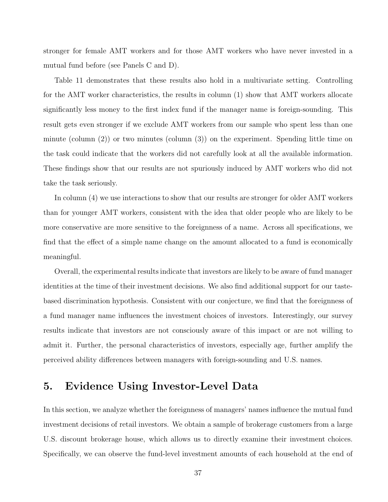stronger for female AMT workers and for those AMT workers who have never invested in a mutual fund before (see Panels C and D).

Table 11 demonstrates that these results also hold in a multivariate setting. Controlling for the AMT worker characteristics, the results in column (1) show that AMT workers allocate significantly less money to the first index fund if the manager name is foreign-sounding. This result gets even stronger if we exclude AMT workers from our sample who spent less than one minute (column (2)) or two minutes (column (3)) on the experiment. Spending little time on the task could indicate that the workers did not carefully look at all the available information. These findings show that our results are not spuriously induced by AMT workers who did not take the task seriously.

In column (4) we use interactions to show that our results are stronger for older AMT workers than for younger AMT workers, consistent with the idea that older people who are likely to be more conservative are more sensitive to the foreignness of a name. Across all specifications, we find that the effect of a simple name change on the amount allocated to a fund is economically meaningful.

Overall, the experimental results indicate that investors are likely to be aware of fund manager identities at the time of their investment decisions. We also find additional support for our tastebased discrimination hypothesis. Consistent with our conjecture, we find that the foreignness of a fund manager name influences the investment choices of investors. Interestingly, our survey results indicate that investors are not consciously aware of this impact or are not willing to admit it. Further, the personal characteristics of investors, especially age, further amplify the perceived ability differences between managers with foreign-sounding and U.S. names.

# 5. Evidence Using Investor-Level Data

In this section, we analyze whether the foreignness of managers' names influence the mutual fund investment decisions of retail investors. We obtain a sample of brokerage customers from a large U.S. discount brokerage house, which allows us to directly examine their investment choices. Specifically, we can observe the fund-level investment amounts of each household at the end of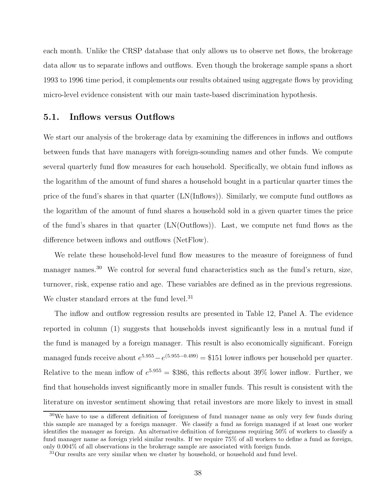each month. Unlike the CRSP database that only allows us to observe net flows, the brokerage data allow us to separate inflows and outflows. Even though the brokerage sample spans a short 1993 to 1996 time period, it complements our results obtained using aggregate flows by providing micro-level evidence consistent with our main taste-based discrimination hypothesis.

### 5.1. Inflows versus Outflows

We start our analysis of the brokerage data by examining the differences in inflows and outflows between funds that have managers with foreign-sounding names and other funds. We compute several quarterly fund flow measures for each household. Specifically, we obtain fund inflows as the logarithm of the amount of fund shares a household bought in a particular quarter times the price of the fund's shares in that quarter (LN(Inflows)). Similarly, we compute fund outflows as the logarithm of the amount of fund shares a household sold in a given quarter times the price of the fund's shares in that quarter (LN(Outflows)). Last, we compute net fund flows as the difference between inflows and outflows (NetFlow).

We relate these household-level fund flow measures to the measure of foreignness of fund manager names.<sup>30</sup> We control for several fund characteristics such as the fund's return, size, turnover, risk, expense ratio and age. These variables are defined as in the previous regressions. We cluster standard errors at the fund level.<sup>31</sup>

The inflow and outflow regression results are presented in Table 12, Panel A. The evidence reported in column (1) suggests that households invest significantly less in a mutual fund if the fund is managed by a foreign manager. This result is also economically significant. Foreign managed funds receive about  $e^{5.955} - e^{(5.955 - 0.499)} = $151$  lower inflows per household per quarter. Relative to the mean inflow of  $e^{5.955} = $386$ , this reflects about 39% lower inflow. Further, we find that households invest significantly more in smaller funds. This result is consistent with the literature on investor sentiment showing that retail investors are more likely to invest in small

 $30$ We have to use a different definition of foreignness of fund manager name as only very few funds during this sample are managed by a foreign manager. We classify a fund as foreign managed if at least one worker identifies the manager as foreign. An alternative definition of foreignness requiring 50% of workers to classify a fund manager name as foreign yield similar results. If we require 75% of all workers to define a fund as foreign, only 0.004% of all observations in the brokerage sample are associated with foreign funds.

<sup>&</sup>lt;sup>31</sup>Our results are very similar when we cluster by household, or household and fund level.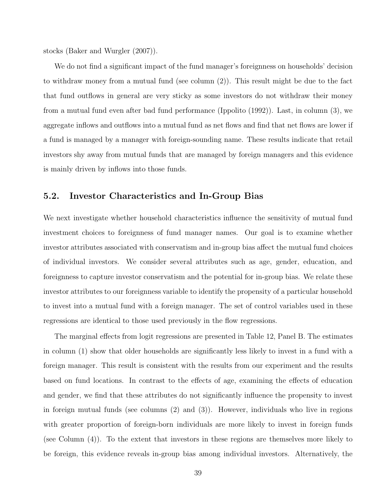stocks (Baker and Wurgler (2007)).

We do not find a significant impact of the fund manager's foreignness on households' decision to withdraw money from a mutual fund (see column (2)). This result might be due to the fact that fund outflows in general are very sticky as some investors do not withdraw their money from a mutual fund even after bad fund performance (Ippolito (1992)). Last, in column (3), we aggregate inflows and outflows into a mutual fund as net flows and find that net flows are lower if a fund is managed by a manager with foreign-sounding name. These results indicate that retail investors shy away from mutual funds that are managed by foreign managers and this evidence is mainly driven by inflows into those funds.

### 5.2. Investor Characteristics and In-Group Bias

We next investigate whether household characteristics influence the sensitivity of mutual fund investment choices to foreignness of fund manager names. Our goal is to examine whether investor attributes associated with conservatism and in-group bias affect the mutual fund choices of individual investors. We consider several attributes such as age, gender, education, and foreignness to capture investor conservatism and the potential for in-group bias. We relate these investor attributes to our foreignness variable to identify the propensity of a particular household to invest into a mutual fund with a foreign manager. The set of control variables used in these regressions are identical to those used previously in the flow regressions.

The marginal effects from logit regressions are presented in Table 12, Panel B. The estimates in column (1) show that older households are significantly less likely to invest in a fund with a foreign manager. This result is consistent with the results from our experiment and the results based on fund locations. In contrast to the effects of age, examining the effects of education and gender, we find that these attributes do not significantly influence the propensity to invest in foreign mutual funds (see columns (2) and (3)). However, individuals who live in regions with greater proportion of foreign-born individuals are more likely to invest in foreign funds (see Column (4)). To the extent that investors in these regions are themselves more likely to be foreign, this evidence reveals in-group bias among individual investors. Alternatively, the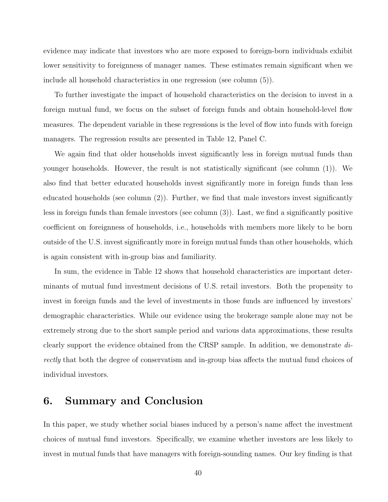evidence may indicate that investors who are more exposed to foreign-born individuals exhibit lower sensitivity to foreignness of manager names. These estimates remain significant when we include all household characteristics in one regression (see column (5)).

To further investigate the impact of household characteristics on the decision to invest in a foreign mutual fund, we focus on the subset of foreign funds and obtain household-level flow measures. The dependent variable in these regressions is the level of flow into funds with foreign managers. The regression results are presented in Table 12, Panel C.

We again find that older households invest significantly less in foreign mutual funds than younger households. However, the result is not statistically significant (see column (1)). We also find that better educated households invest significantly more in foreign funds than less educated households (see column (2)). Further, we find that male investors invest significantly less in foreign funds than female investors (see column (3)). Last, we find a significantly positive coefficient on foreignness of households, i.e., households with members more likely to be born outside of the U.S. invest significantly more in foreign mutual funds than other households, which is again consistent with in-group bias and familiarity.

In sum, the evidence in Table 12 shows that household characteristics are important determinants of mutual fund investment decisions of U.S. retail investors. Both the propensity to invest in foreign funds and the level of investments in those funds are influenced by investors' demographic characteristics. While our evidence using the brokerage sample alone may not be extremely strong due to the short sample period and various data approximations, these results clearly support the evidence obtained from the CRSP sample. In addition, we demonstrate directly that both the degree of conservatism and in-group bias affects the mutual fund choices of individual investors.

### 6. Summary and Conclusion

In this paper, we study whether social biases induced by a person's name affect the investment choices of mutual fund investors. Specifically, we examine whether investors are less likely to invest in mutual funds that have managers with foreign-sounding names. Our key finding is that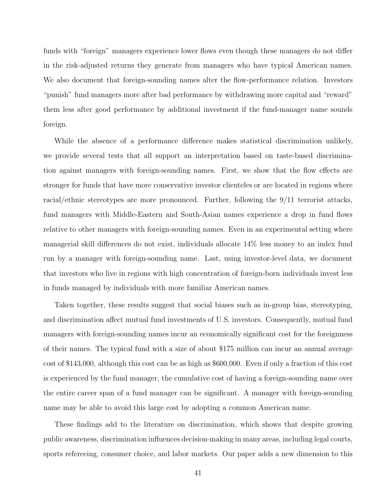funds with "foreign" managers experience lower flows even though these managers do not differ in the risk-adjusted returns they generate from managers who have typical American names. We also document that foreign-sounding names alter the flow-performance relation. Investors "punish" fund managers more after bad performance by withdrawing more capital and "reward" them less after good performance by additional investment if the fund-manager name sounds foreign.

While the absence of a performance difference makes statistical discrimination unlikely, we provide several tests that all support an interpretation based on taste-based discrimination against managers with foreign-sounding names. First, we show that the flow effects are stronger for funds that have more conservative investor clienteles or are located in regions where racial/ethnic stereotypes are more pronounced. Further, following the 9/11 terrorist attacks, fund managers with Middle-Eastern and South-Asian names experience a drop in fund flows relative to other managers with foreign-sounding names. Even in an experimental setting where managerial skill differences do not exist, individuals allocate 14% less money to an index fund run by a manager with foreign-sounding name. Last, using investor-level data, we document that investors who live in regions with high concentration of foreign-born individuals invest less in funds managed by individuals with more familiar American names.

Taken together, these results suggest that social biases such as in-group bias, stereotyping, and discrimination affect mutual fund investments of U.S. investors. Consequently, mutual fund managers with foreign-sounding names incur an economically significant cost for the foreignness of their names. The typical fund with a size of about \$175 million can incur an annual average cost of \$143,000, although this cost can be as high as \$600,000. Even if only a fraction of this cost is experienced by the fund manager, the cumulative cost of having a foreign-sounding name over the entire career span of a fund manager can be significant. A manager with foreign-sounding name may be able to avoid this large cost by adopting a common American name.

These findings add to the literature on discrimination, which shows that despite growing public awareness, discrimination influences decision-making in many areas, including legal courts, sports refereeing, consumer choice, and labor markets. Our paper adds a new dimension to this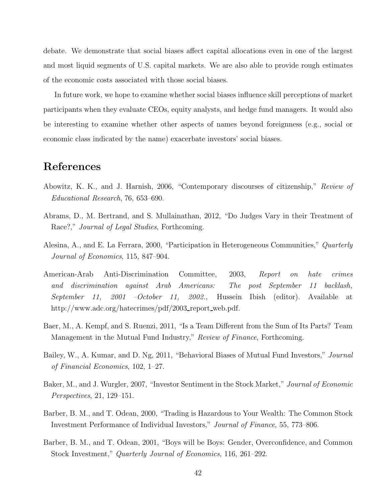debate. We demonstrate that social biases affect capital allocations even in one of the largest and most liquid segments of U.S. capital markets. We are also able to provide rough estimates of the economic costs associated with those social biases.

In future work, we hope to examine whether social biases influence skill perceptions of market participants when they evaluate CEOs, equity analysts, and hedge fund managers. It would also be interesting to examine whether other aspects of names beyond foreignness (e.g., social or economic class indicated by the name) exacerbate investors' social biases.

# References

- Abowitz, K. K., and J. Harnish, 2006, "Contemporary discourses of citizenship," Review of Educational Research, 76, 653–690.
- Abrams, D., M. Bertrand, and S. Mullainathan, 2012, "Do Judges Vary in their Treatment of Race?," Journal of Legal Studies, Forthcoming.
- Alesina, A., and E. La Ferrara, 2000, "Participation in Heterogeneous Communities," Quarterly Journal of Economics, 115, 847–904.
- American-Arab Anti-Discrimination Committee, 2003, Report on hate crimes and discrimination against Arab Americans: The post September 11 backlash, September 11, 2001 –October 11, 2002., Hussein Ibish (editor). Available at http://www.adc.org/hatecrimes/pdf/2003\_report\_web.pdf.
- Baer, M., A. Kempf, and S. Ruenzi, 2011, "Is a Team Different from the Sum of Its Parts? Team Management in the Mutual Fund Industry," Review of Finance, Forthcoming.
- Bailey, W., A. Kumar, and D. Ng, 2011, "Behavioral Biases of Mutual Fund Investors," Journal of Financial Economics, 102, 1–27.
- Baker, M., and J. Wurgler, 2007, "Investor Sentiment in the Stock Market," Journal of Economic Perspectives, 21, 129–151.
- Barber, B. M., and T. Odean, 2000, "Trading is Hazardous to Your Wealth: The Common Stock Investment Performance of Individual Investors," Journal of Finance, 55, 773–806.
- Barber, B. M., and T. Odean, 2001, "Boys will be Boys: Gender, Overconfidence, and Common Stock Investment," Quarterly Journal of Economics, 116, 261–292.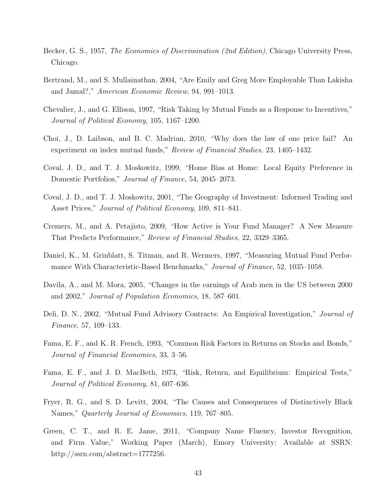- Becker, G. S., 1957, *The Economics of Discrimination (2nd Edition)*, Chicago University Press, Chicago.
- Bertrand, M., and S. Mullainathan, 2004, "Are Emily and Greg More Employable Than Lakisha and Jamal?," American Economic Review, 94, 991–1013.
- Chevalier, J., and G. Ellison, 1997, "Risk Taking by Mutual Funds as a Response to Incentives," Journal of Political Economy, 105, 1167–1200.
- Choi, J., D. Laibson, and B. C. Madrian, 2010, "Why does the law of one price fail? An experiment on index mutual funds," Review of Financial Studies, 23, 1405–1432.
- Coval, J. D., and T. J. Moskowitz, 1999, "Home Bias at Home: Local Equity Preference in Domestic Portfolios," Journal of Finance, 54, 2045–2073.
- Coval, J. D., and T. J. Moskowitz, 2001, "The Geography of Investment: Informed Trading and Asset Prices," *Journal of Political Economy*, 109, 811–841.
- Cremers, M., and A. Petajisto, 2009, "How Active is Your Fund Manager? A New Measure That Predicts Performance," Review of Financial Studies, 22, 3329–3365.
- Daniel, K., M. Grinblatt, S. Titman, and R. Wermers, 1997, "Measuring Mutual Fund Performance With Characteristic-Based Benchmarks," Journal of Finance, 52, 1035–1058.
- Davila, A., and M. Mora, 2005, "Changes in the earnings of Arab men in the US between 2000 and 2002," Journal of Population Economics, 18, 587–601.
- Deli, D. N., 2002, "Mutual Fund Advisory Contracts: An Empirical Investigation," Journal of Finance, 57, 109–133.
- Fama, E. F., and K. R. French, 1993, "Common Risk Factors in Returns on Stocks and Bonds," Journal of Financial Economics, 33, 3–56.
- Fama, E. F., and J. D. MacBeth, 1973, "Risk, Return, and Equilibrium: Empirical Tests," Journal of Political Economy, 81, 607–636.
- Fryer, R. G., and S. D. Levitt, 2004, "The Causes and Consequences of Distinctively Black Names," Quarterly Journal of Economics, 119, 767–805.
- Green, C. T., and R. E. Jame, 2011, "Company Name Fluency, Investor Recognition, and Firm Value," Working Paper (March), Emory University; Available at SSRN: http://ssrn.com/abstract=1777256.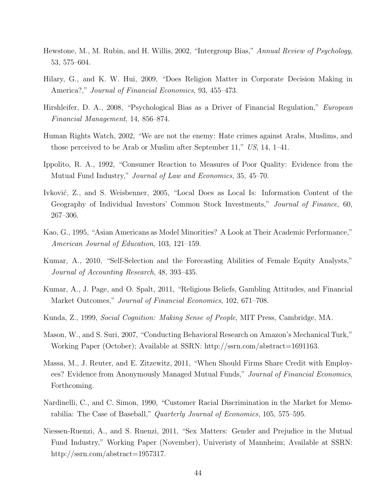- Hewstone, M., M. Rubin, and H. Willis, 2002, "Intergroup Bias," Annual Review of Psychology, 53, 575–604.
- Hilary, G., and K. W. Hui, 2009, "Does Religion Matter in Corporate Decision Making in America?," *Journal of Financial Economics*, 93, 455–473.
- Hirshleifer, D. A., 2008, "Psychological Bias as a Driver of Financial Regulation," European Financial Management, 14, 856–874.
- Human Rights Watch, 2002, "We are not the enemy: Hate crimes against Arabs, Muslims, and those perceived to be Arab or Muslim after September 11," US, 14, 1–41.
- Ippolito, R. A., 1992, "Consumer Reaction to Measures of Poor Quality: Evidence from the Mutual Fund Industry," Journal of Law and Economics, 35, 45–70.
- Ivković, Z., and S. Weisbenner, 2005, "Local Does as Local Is: Information Content of the Geography of Individual Investors' Common Stock Investments," Journal of Finance, 60, 267–306.
- Kao, G., 1995, "Asian Americans as Model Minorities? A Look at Their Academic Performance," American Journal of Education, 103, 121–159.
- Kumar, A., 2010, "Self-Selection and the Forecasting Abilities of Female Equity Analysts," Journal of Accounting Research, 48, 393–435.
- Kumar, A., J. Page, and O. Spalt, 2011, "Religious Beliefs, Gambling Attitudes, and Financial Market Outcomes," Journal of Financial Economics, 102, 671–708.
- Kunda, Z., 1999, Social Cognition: Making Sense of People, MIT Press, Cambridge, MA.
- Mason, W., and S. Suri, 2007, "Conducting Behavioral Research on Amazon's Mechanical Turk," Working Paper (October); Available at SSRN: http://ssrn.com/abstract=1691163.
- Massa, M., J. Reuter, and E. Zitzewitz, 2011, "When Should Firms Share Credit with Employees? Evidence from Anonymously Managed Mutual Funds," Journal of Financial Economics, Forthcoming.
- Nardinelli, C., and C. Simon, 1990, "Customer Racial Discrimination in the Market for Memorabilia: The Case of Baseball," Quarterly Journal of Economics, 105, 575–595.
- Niessen-Ruenzi, A., and S. Ruenzi, 2011, "Sex Matters: Gender and Prejudice in the Mutual Fund Industry," Working Paper (November), Univeristy of Mannheim; Available at SSRN: http://ssrn.com/abstract=1957317.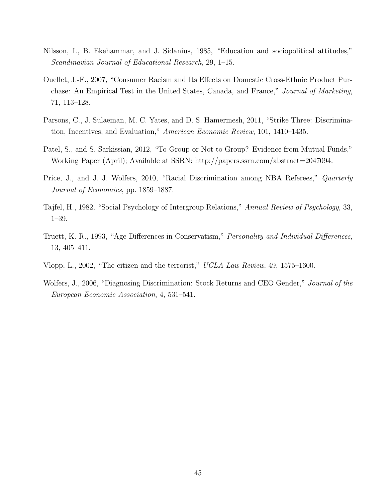- Nilsson, I., B. Ekehammar, and J. Sidanius, 1985, "Education and sociopolitical attitudes," Scandinavian Journal of Educational Research, 29, 1–15.
- Ouellet, J.-F., 2007, "Consumer Racism and Its Effects on Domestic Cross-Ethnic Product Purchase: An Empirical Test in the United States, Canada, and France," Journal of Marketing, 71, 113–128.
- Parsons, C., J. Sulaeman, M. C. Yates, and D. S. Hamermesh, 2011, "Strike Three: Discrimination, Incentives, and Evaluation," American Economic Review, 101, 1410–1435.
- Patel, S., and S. Sarkissian, 2012, "To Group or Not to Group? Evidence from Mutual Funds," Working Paper (April); Available at SSRN: http://papers.ssrn.com/abstract=2047094.
- Price, J., and J. J. Wolfers, 2010, "Racial Discrimination among NBA Referees," Quarterly Journal of Economics, pp. 1859–1887.
- Tajfel, H., 1982, "Social Psychology of Intergroup Relations," Annual Review of Psychology, 33, 1–39.
- Truett, K. R., 1993, "Age Differences in Conservatism," Personality and Individual Differences, 13, 405–411.
- Vlopp, L., 2002, "The citizen and the terrorist," UCLA Law Review, 49, 1575–1600.
- Wolfers, J., 2006, "Diagnosing Discrimination: Stock Returns and CEO Gender," Journal of the European Economic Association, 4, 531–541.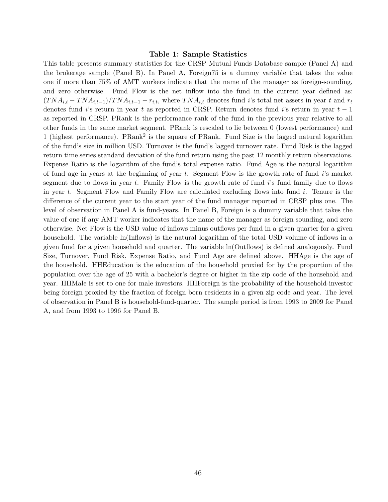#### Table 1: Sample Statistics

This table presents summary statistics for the CRSP Mutual Funds Database sample (Panel A) and the brokerage sample (Panel B). In Panel A, Foreign75 is a dummy variable that takes the value one if more than 75% of AMT workers indicate that the name of the manager as foreign-sounding, and zero otherwise. Fund Flow is the net inflow into the fund in the current year defined as:  $(TNA_{i,t} - TNA_{i,t-1})/TNA_{i,t-1} - r_{i,t}$ , where  $TNA_{i,t}$  denotes fund i's total net assets in year t and  $r_t$ denotes fund i's return in year t as reported in CRSP. Return denotes fund i's return in year  $t-1$ as reported in CRSP. PRank is the performance rank of the fund in the previous year relative to all other funds in the same market segment. PRank is rescaled to lie between 0 (lowest performance) and 1 (highest performance). PRank<sup>2</sup> is the square of PRank. Fund Size is the lagged natural logarithm of the fund's size in million USD. Turnover is the fund's lagged turnover rate. Fund Risk is the lagged return time series standard deviation of the fund return using the past 12 monthly return observations. Expense Ratio is the logarithm of the fund's total expense ratio. Fund Age is the natural logarithm of fund age in years at the beginning of year  $t$ . Segment Flow is the growth rate of fund  $i$ 's market segment due to flows in year t. Family Flow is the growth rate of fund  $i$ 's fund family due to flows in year t. Segment Flow and Family Flow are calculated excluding flows into fund i. Tenure is the difference of the current year to the start year of the fund manager reported in CRSP plus one. The level of observation in Panel A is fund-years. In Panel B, Foreign is a dummy variable that takes the value of one if any AMT worker indicates that the name of the manager as foreign sounding, and zero otherwise. Net Flow is the USD value of inflows minus outflows per fund in a given quarter for a given household. The variable ln(Inflows) is the natural logarithm of the total USD volume of inflows in a given fund for a given household and quarter. The variable ln(Outflows) is defined analogously. Fund Size, Turnover, Fund Risk, Expense Ratio, and Fund Age are defined above. HHAge is the age of the household. HHEducation is the education of the household proxied for by the proportion of the population over the age of 25 with a bachelor's degree or higher in the zip code of the household and year. HHMale is set to one for male investors. HHForeign is the probability of the household-investor being foreign proxied by the fraction of foreign born residents in a given zip code and year. The level of observation in Panel B is household-fund-quarter. The sample period is from 1993 to 2009 for Panel A, and from 1993 to 1996 for Panel B.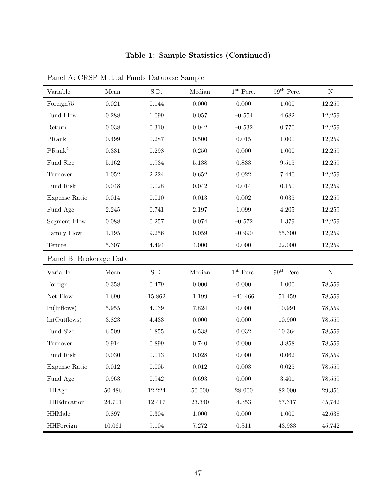### Table 1: Sample Statistics (Continued)

| Variable                | Mean         | S.D.        | Median      | $1^{\rm st}$ Perc. | $99th$ Perc.        | ${\rm N}$ |
|-------------------------|--------------|-------------|-------------|--------------------|---------------------|-----------|
| Foreign75               | $\,0.021\,$  | $0.144\,$   | 0.000       | 0.000              | 1.000               | 12,259    |
| Fund Flow               | 0.288        | 1.099       | 0.057       | $-0.554$           | 4.682               | 12,259    |
| Return                  | $0.038\,$    | $0.310\,$   | $\,0.042\,$ | $-0.532$           | 0.770               | 12,259    |
| PRank                   | 0.499        | 0.287       | 0.500       | $\,0.015\,$        | 1.000               | 12,259    |
| PRank <sup>2</sup>      | 0.331        | 0.298       | 0.250       | 0.000              | $1.000\,$           | 12,259    |
| Fund Size               | 5.162        | 1.934       | $5.138\,$   | 0.833              | $\ 9.515$           | 12,259    |
| Turnover                | 1.052        | $2.224\,$   | 0.652       | $\,0.022\,$        | 7.440               | 12,259    |
| Fund Risk               | 0.048        | $0.028\,$   | $\,0.042\,$ | $0.014\,$          | $0.150\,$           | 12,259    |
| Expense Ratio           | 0.014        | 0.010       | $\,0.013\,$ | $0.002\,$          | $\,0.035\,$         | 12,259    |
| Fund Age                | $2.245\,$    | 0.741       | $2.197\,$   | 1.099              | 4.205               | 12,259    |
| Segment Flow            | 0.088        | 0.257       | $0.074\,$   | $-0.572$           | 1.379               | 12,259    |
| Family Flow             | $1.195\,$    | $9.256\,$   | 0.059       | $-0.990$           | 55.300              | 12,259    |
| Tenure                  | $5.307\,$    | $4.494\,$   | 4.000       | 0.000              | 22.000              | 12,259    |
| Panel B: Brokerage Data |              |             |             |                    |                     |           |
| Variable                | ${\it Mean}$ | S.D.        | Median      | $1^{\rm st}$ Perc. | $99^{\rm th}$ Perc. | ${\bf N}$ |
| Foreign                 | 0.358        | 0.479       | 0.000       | 0.000              | 1.000               | 78,559    |
| Net Flow                | 1.690        | 15.862      | 1.199       | $-46.466$          | 51.459              | 78,559    |
| ln(Indows)              | $5.955\,$    | $4.039\,$   | 7.824       | 0.000              | 10.991              | 78,559    |
| ln(Outflows)            | 3.823        | 4.433       | 0.000       | 0.000              | 10.900              | 78,559    |
| Fund Size               | 6.509        | 1.855       | 6.538       | $\,0.032\,$        | $10.364\,$          | 78,559    |
| Turnover                | $\,0.914\,$  | 0.899       | 0.740       | 0.000              | $3.858\,$           | 78,559    |
| Fund Risk               | $0.030\,$    | $\,0.013\,$ | 0.028       | 0.000              | $\,0.062\,$         | 78,559    |
| Expense Ratio           | $\,0.012\,$  | $0.005\,$   | $0.012\,$   | $0.003\,$          | $\,0.025\,$         | 78,559    |
| Fund Age                | 0.963        | 0.942       | 0.693       | 0.000              | $3.401\,$           | 78,559    |
| <b>HHAge</b>            | $50.486\,$   | 12.224      | $50.000\,$  | 28.000             | 82.000              | 29,356    |
| HHEducation             | 24.701       | 12.417      | 23.340      | $4.353\,$          | 57.317              | 45,742    |
| <b>HHMale</b>           | 0.897        | 0.304       | $1.000\,$   | 0.000              | $1.000\,$           | 42,638    |
| <b>HHForeign</b>        | 10.061       | $9.104\,$   | 7.272       | $0.311\,$          | $\phantom{0}43.933$ | 45,742    |

Panel A: CRSP Mutual Funds Database Sample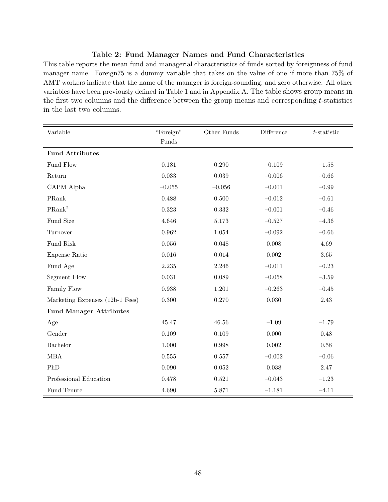#### Table 2: Fund Manager Names and Fund Characteristics

This table reports the mean fund and managerial characteristics of funds sorted by foreignness of fund manager name. Foreign75 is a dummy variable that takes on the value of one if more than 75% of AMT workers indicate that the name of the manager is foreign-sounding, and zero otherwise. All other variables have been previously defined in Table 1 and in Appendix A. The table shows group means in the first two columns and the difference between the group means and corresponding  $t$ -statistics in the last two columns.

| Variable                        | "Foreign"<br>Funds | Other Funds | Difference | $t$ -statistic |
|---------------------------------|--------------------|-------------|------------|----------------|
| <b>Fund Attributes</b>          |                    |             |            |                |
| Fund Flow                       | 0.181              | 0.290       | $-0.109$   | $-1.58$        |
| Return                          | 0.033              | 0.039       | $-0.006$   | $-0.66\,$      |
| CAPM Alpha                      | $-0.055$           | $-0.056$    | $-0.001$   | $-0.99$        |
| PRank                           | 0.488              | 0.500       | $-0.012$   | $-0.61$        |
| $\rm PRank^2$                   | 0.323              | 0.332       | $-0.001$   | $-0.46$        |
| Fund Size                       | 4.646              | 5.173       | $-0.527$   | $-4.36$        |
| Turnover                        | $\,0.962\,$        | 1.054       | $-0.092$   | $-0.66$        |
| Fund Risk                       | 0.056              | 0.048       | 0.008      | 4.69           |
| Expense Ratio                   | 0.016              | 0.014       | 0.002      | $3.65\,$       |
| Fund Age                        | 2.235              | 2.246       | $-0.011$   | $-0.23$        |
| Segment Flow                    | $\,0.031\,$        | 0.089       | $-0.058$   | $-3.59$        |
| Family Flow                     | 0.938              | 1.201       | $-0.263$   | $-0.45$        |
| Marketing Expenses (12b-1 Fees) | 0.300              | 0.270       | $0.030\,$  | $2.43\,$       |
| <b>Fund Manager Attributes</b>  |                    |             |            |                |
| Age                             | 45.47              | 46.56       | $-1.09$    | $-1.79$        |
| Gender                          | 0.109              | 0.109       | 0.000      | 0.48           |
| Bachelor                        | 1.000              | 0.998       | $0.002\,$  | $0.58\,$       |
| $\operatorname{MBA}$            | 0.555              | 0.557       | $-0.002$   | $-0.06$        |
| PhD                             | 0.090              | 0.052       | 0.038      | 2.47           |
| Professional Education          | 0.478              | 0.521       | $-0.043$   | $-1.23$        |
| Fund Tenure                     | 4.690              | 5.871       | $-1.181$   | $-4.11$        |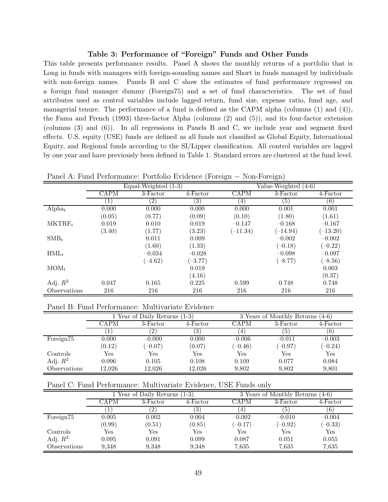#### Table 3: Performance of "Foreign" Funds and Other Funds

This table presents performance results. Panel A shows the monthly returns of a portfolio that is Long in funds with managers with foreign-sounding names and Short in funds managed by individuals with non-foreign names. Panels B and C show the estimates of fund performance regressed on a foreign fund manager dummy (Foreign75) and a set of fund characteristics. The set of fund attributes used as control variables include lagged return, fund size, expense ratio, fund age, and managerial tenure. The performance of a fund is defined as the CAPM alpha (columns (1) and (4)), the Fama and French (1993) three-factor Alpha (columns (2) and (5)), and its four-factor extension (columns (3) and (6)). In all regressions in Panels B and C, we include year and segment fixed effects. U.S. equity (USE) funds are defined as all funds not classified as Global Equity, International Equity, and Regional funds according to the SI/Lipper classification. All control variables are lagged by one year and have previously been defined in Table 1. Standard errors are clustered at the fund level.

| Panel A: Fund Performance: Portfolio Evidence (Foreign – Non-Foreign) |  |  |  |
|-----------------------------------------------------------------------|--|--|--|
|-----------------------------------------------------------------------|--|--|--|

|                    |             | Equal-Weighted $(1-3)$ |                   | Value-Weighted (4-6) |            |            |  |
|--------------------|-------------|------------------------|-------------------|----------------------|------------|------------|--|
|                    | <b>CAPM</b> | 3-Factor               | 4-Factor          | <b>CAPM</b>          | 3-Factor   | 4-Factor   |  |
|                    | $\perp$     | $\left( 2\right)$      | $\left( 3\right)$ | (4)                  | (5)        | $^{(6)}$   |  |
| Alpha <sub>t</sub> | 0.000       | 0.000                  | 0.000             | 0.000                | 0.001      | 0.001      |  |
|                    | (0.05)      | (0.77)                 | (0.09)            | (0.10)               | (1.80)     | (1.61)     |  |
| $MKTRF_t$          | 0.019       | 0.010                  | 0.019             | $-0.147$             | $-0.168$   | $-0.167$   |  |
|                    | (3.40)      | (1.77)                 | (3.23)            | $(-11.34)$           | $(-14.94)$ | $(-13.20)$ |  |
| $\text{SMB}_t$     |             | 0.011                  | 0.009             |                      | $-0.002$   | $-0.002$   |  |
|                    |             | (1.60)                 | (1.33)            |                      | $(-0.18)$  | $(-0.22)$  |  |
| $HML_t$            |             | $-0.034$               | $-0.028$          |                      | $-0.098$   | $-0.097$   |  |
|                    |             | $(-4.62)$              | $(-3.77)$         |                      | $(-8.77)$  | $(-8.56)$  |  |
| $MOM_t$            |             |                        | 0.019             |                      |            | 0.003      |  |
|                    |             |                        | (4.16)            |                      |            | (0.37)     |  |
| Adj. $R^2$         | 0.047       | 0.165                  | 0.225             | 0.599                | 0.748      | 0.748      |  |
| Observations       | 216         | 216                    | 216               | 216                  | 216        | 216        |  |

Panel B: Fund Performance: Multivariate Evidence

|                       |        | 1 Year of Daily Returns (1-3) |          |                      | 3 Years of Monthly Returns<br>$(4-6)$ |           |  |  |
|-----------------------|--------|-------------------------------|----------|----------------------|---------------------------------------|-----------|--|--|
|                       | CAPM   | 3-Factor                      | 4-Factor | CAPM                 | 3-Factor                              | 4-Factor  |  |  |
|                       |        | $^{2}$                        | O.       | 4                    | G.                                    | 6)        |  |  |
| Foreign <sup>75</sup> | 0.000  | $-0.000$                      | 0.000    | $-0.006$             | $-0.011$                              | $-0.003$  |  |  |
|                       | (0.12) | $(-0.07)$                     | (0.07)   | $(-0.46)$            | $(-0.97)$                             | $(-0.24)$ |  |  |
| Controls              | Yes    | Yes                           | Yes      | $\operatorname{Yes}$ | Yes                                   | Yes       |  |  |
| Adj. $R^2$            | 0.096  | 0.105                         | 0.108    | 0.109                | 0.077                                 | 0.084     |  |  |
| Observations          | 12.026 | 12.026                        | 12.026   | 9,802                | 9,802                                 | 9,801     |  |  |

| Panel C: Fund Performance: Multivariate Evidence, USE Funds only |  |  |  |
|------------------------------------------------------------------|--|--|--|
|                                                                  |  |  |  |

|                       |                              | 1 Year of Daily Returns (1-3) |         |              | 3 Years of Monthly Returns<br>$(4-6)$ |           |  |  |
|-----------------------|------------------------------|-------------------------------|---------|--------------|---------------------------------------|-----------|--|--|
|                       | CAPM<br>3-Factor<br>4-Factor |                               | CAPM    | 3-Factor     | $4$ -Factor                           |           |  |  |
|                       |                              | $\left( 2\right)$             | $\cdot$ | $\mathbf{F}$ | 6 I                                   | 6)        |  |  |
| Foreign <sup>75</sup> | 0.005                        | 0.002                         | 0.004   | $-0.002$     | $-0.010$                              | $-0.004$  |  |  |
|                       | (0.99)                       | (0.51)                        | (0.85)  | $(-0.17)$    | $(-0.92)$                             | $(-0.33)$ |  |  |
| Controls              | Yes                          | Yes                           | Yes     | Yes          | Yes                                   | Yes       |  |  |
| Adj. $R^2$            | 0.095                        | 0.091                         | 0.099   | 0.087        | 0.051                                 | 0.055     |  |  |
| Observations          | 9,348                        | 9,348                         | 9,348   | 7,635        | 7,635                                 | 7,635     |  |  |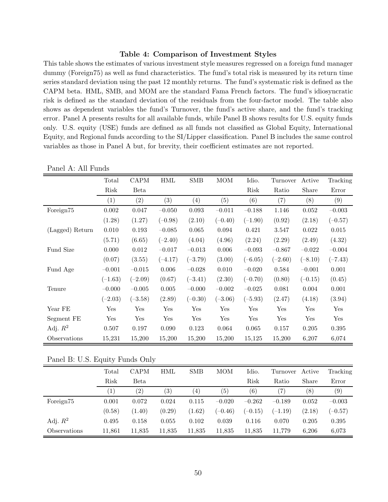#### Table 4: Comparison of Investment Styles

This table shows the estimates of various investment style measures regressed on a foreign fund manager dummy (Foreign75) as well as fund characteristics. The fund's total risk is measured by its return time series standard deviation using the past 12 monthly returns. The fund's systematic risk is defined as the CAPM beta. HML, SMB, and MOM are the standard Fama French factors. The fund's idiosyncratic risk is defined as the standard deviation of the residuals from the four-factor model. The table also shows as dependent variables the fund's Turnover, the fund's active share, and the fund's tracking error. Panel A presents results for all available funds, while Panel B shows results for U.S. equity funds only. U.S. equity (USE) funds are defined as all funds not classified as Global Equity, International Equity, and Regional funds according to the SI/Lipper classification. Panel B includes the same control variables as those in Panel A but, for brevity, their coefficient estimates are not reported.

|                 | Total     | <b>CAPM</b> | <b>HML</b> | <b>SMB</b> | <b>MOM</b>   | Idio.     | Turnover  | Active    | Tracking  |
|-----------------|-----------|-------------|------------|------------|--------------|-----------|-----------|-----------|-----------|
|                 | Risk      | Beta        |            |            |              | Risk      | Ratio     | Share     | Error     |
|                 | (1)       | (2)         | (3)        | (4)        | (5)          | (6)       | (7)       | (8)       | (9)       |
| Foreign75       | 0.002     | 0.047       | $-0.050$   | 0.093      | $-0.011$     | $-0.188$  | 1.146     | 0.052     | $-0.003$  |
|                 | (1.28)    | (1.27)      | $(-0.98)$  | (2.10)     | $(-0.40)$    | $(-1.90)$ | (0.92)    | (2.18)    | $(-0.57)$ |
| (Lagged) Return | 0.010     | 0.193       | $-0.085$   | 0.065      | 0.094        | 0.421     | 3.547     | 0.022     | 0.015     |
|                 | (5.71)    | (6.65)      | $(-2.40)$  | (4.04)     | (4.96)       | (2.24)    | (2.29)    | (2.49)    | (4.32)    |
| Fund Size       | 0.000     | 0.012       | $-0.017$   | $-0.013$   | 0.006        | $-0.093$  | $-0.867$  | $-0.022$  | $-0.004$  |
|                 | (0.07)    | (3.55)      | $(-4.17)$  | $(-3.79)$  | (3.00)       | $(-6.05)$ | $(-2.60)$ | $(-8.10)$ | $(-7.43)$ |
| Fund Age        | $-0.001$  | $-0.015$    | 0.006      | $-0.028$   | 0.010        | $-0.020$  | 0.584     | $-0.001$  | 0.001     |
|                 | $(-1.63)$ | $(-2.09)$   | (0.67)     | $(-3.41)$  | (2.30)       | $(-0.70)$ | (0.80)    | $(-0.15)$ | (0.45)    |
| Tenure          | $-0.000$  | $-0.005$    | 0.005      | $-0.000$   | $-0.002$     | $-0.025$  | 0.081     | 0.004     | 0.001     |
|                 | $(-2.03)$ | $(-3.58)$   | (2.89)     | $(-0.30)$  | $(-3.06)$    | $(-5.93)$ | (2.47)    | (4.18)    | (3.94)    |
| Year FE         | Yes       | Yes         | Yes        | Yes        | $_{\rm Yes}$ | Yes       | Yes       | Yes       | Yes       |
| Segment FE      | Yes       | Yes         | Yes        | Yes        | Yes          | Yes       | Yes       | Yes       | Yes       |
| Adj. $R^2$      | 0.507     | 0.197       | 0.090      | 0.123      | 0.064        | 0.065     | 0.157     | 0.205     | 0.395     |
| Observations    | 15,231    | 15,200      | 15,200     | 15,200     | 15,200       | 15,125    | 15,200    | 6,207     | 6,074     |

Panel A: All Funds

Panel B: U.S. Equity Funds Only

|                       | Total        | <b>CAPM</b>       | HML               | <b>SMB</b>       | <b>MOM</b> | Idio.     | Turnover          | Active | Tracking  |
|-----------------------|--------------|-------------------|-------------------|------------------|------------|-----------|-------------------|--------|-----------|
|                       | Risk         | Beta              |                   |                  |            | Risk      | Ratio             | Share  | Error     |
|                       | $\mathbf{1}$ | $\left( 2\right)$ | $\left( 3\right)$ | $\left(4\right)$ | (5)        | (6)       | $\left( 7\right)$ | (8)    | (9)       |
| Foreign <sup>75</sup> | 0.001        | 0.072             | 0.024             | 0.115            | $-0.020$   | $-0.262$  | $-0.189$          | 0.052  | $-0.003$  |
|                       | (0.58)       | (1.40)            | (0.29)            | (1.62)           | $(-0.46)$  | $(-0.15)$ | $(-1.19)$         | (2.18) | $(-0.57)$ |
| Adj. $R^2$            | 0.495        | 0.158             | 0.055             | 0.102            | 0.039      | 0.116     | 0.070             | 0.205  | 0.395     |
| Observations          | 11,861       | 11,835            | 11,835            | 11,835           | 11,835     | 11,835    | 11,779            | 6,206  | 6,073     |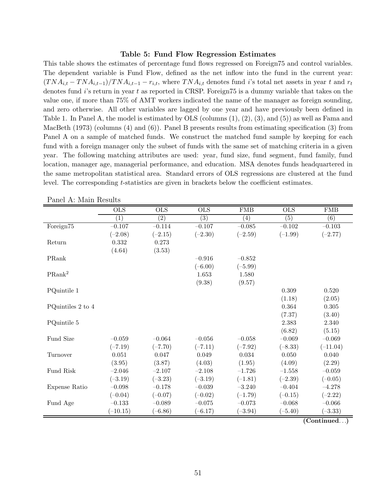#### Table 5: Fund Flow Regression Estimates

This table shows the estimates of percentage fund flows regressed on Foreign75 and control variables. The dependent variable is Fund Flow, defined as the net inflow into the fund in the current year:  $(TNA_{i,t} - TNA_{i,t-1})/TNA_{i,t-1} - r_{i,t}$ , where  $TNA_{i,t}$  denotes fund i's total net assets in year t and  $r_t$ denotes fund  $i$ 's return in year t as reported in CRSP. Foreign75 is a dummy variable that takes on the value one, if more than 75% of AMT workers indicated the name of the manager as foreign sounding, and zero otherwise. All other variables are lagged by one year and have previously been defined in Table 1. In Panel A, the model is estimated by OLS (columns (1), (2), (3), and (5)) as well as Fama and MacBeth (1973) (columns (4) and (6)). Panel B presents results from estimating specification (3) from Panel A on a sample of matched funds. We construct the matched fund sample by keeping for each fund with a foreign manager only the subset of funds with the same set of matching criteria in a given year. The following matching attributes are used: year, fund size, fund segment, fund family, fund location, manager age, managerial performance, and education. MSA denotes funds headquartered in the same metropolitan statistical area. Standard errors of OLS regressions are clustered at the fund level. The corresponding t-statistics are given in brackets below the coefficient estimates.

|                    | OLS              | OLS              | $\overline{\text{OLS}}$ | ${\rm FMB}$ | <b>OLS</b>       | ${\rm FMB}$      |
|--------------------|------------------|------------------|-------------------------|-------------|------------------|------------------|
|                    | $\overline{(1)}$ | $\overline{(2)}$ | $\overline{(3)}$        | (4)         | $\overline{(5)}$ | $\overline{(6)}$ |
| Foreign75          | $-0.107$         | $-0.114$         | $-0.107$                | $-0.085$    | $-0.102$         | $-0.103$         |
|                    | $(-2.08)$        | $(-2.15)$        | $(-2.30)$               | $(-2.59)$   | $(-1.99)$        | $(-2.77)$        |
| Return             | 0.332            | 0.273            |                         |             |                  |                  |
|                    | (4.64)           | (3.53)           |                         |             |                  |                  |
| PRank              |                  |                  | $-0.916$                | $-0.852$    |                  |                  |
|                    |                  |                  | $(-6.00)$               | $(-5.99)$   |                  |                  |
| PRank <sup>2</sup> |                  |                  | $1.653\,$               | 1.580       |                  |                  |
|                    |                  |                  | (9.38)                  | (9.57)      |                  |                  |
| PQuintile 1        |                  |                  |                         |             | $0.309\,$        | 0.520            |
|                    |                  |                  |                         |             | (1.18)           | (2.05)           |
| PQuintiles 2 to 4  |                  |                  |                         |             | 0.364            | 0.305            |
|                    |                  |                  |                         |             | (7.37)           | (3.40)           |
| PQuintile 5        |                  |                  |                         |             | 2.383            | 2.340            |
|                    |                  |                  |                         |             | (6.82)           | (5.15)           |
| Fund Size          | $-0.059$         | $-0.064$         | $-0.056$                | $-0.058$    | $-0.069$         | $-0.069$         |
|                    | $(-7.19)$        | $(-7.70)$        | $(-7.11)$               | $(-7.92)$   | $(-8.33)$        | $(-11.04)$       |
| Turnover           | 0.051            | 0.047            | 0.049                   | 0.034       | 0.050            | 0.040            |
|                    | (3.95)           | (3.87)           | (4.03)                  | (1.95)      | (4.09)           | (2.29)           |
| Fund Risk          | $-2.046$         | $-2.107$         | $-2.108$                | $-1.726$    | $-1.558$         | $-0.059$         |
|                    | $(-3.19)$        | $(-3.23)$        | $(-3.19)$               | $(-1.81)$   | $(-2.39)$        | $(-0.05)$        |
| Expense Ratio      | $-0.098$         | $-0.178$         | $-0.039$                | $-3.240$    | $-0.404$         | $-4.278$         |
|                    | $(-0.04)$        | $(-0.07)$        | $(-0.02)$               | $(-1.79)$   | $(-0.15)$        | $(-2.22)$        |
| Fund Age           | $-0.133$         | $-0.089$         | $-0.075$                | $-0.073$    | $-0.068$         | $-0.066$         |
|                    | $(-10.15)$       | $(-6.86)$        | $(-6.17)$               | $(-3.94)$   | $(-5.40)$        | $(-3.33)$        |

Panel A: Main Results

(Continued. . .)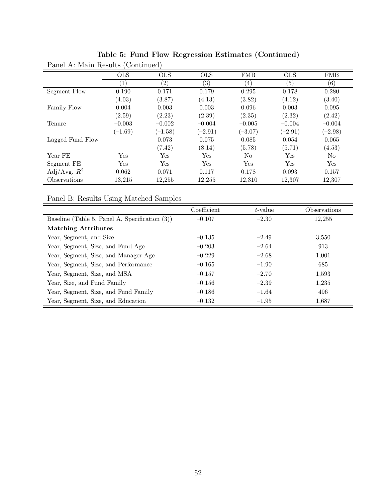|                  | <b>OLS</b> | <b>OLS</b> | <b>OLS</b>        | <b>FMB</b>       | <b>OLS</b>        | <b>FMB</b>        |
|------------------|------------|------------|-------------------|------------------|-------------------|-------------------|
|                  | $\perp$    | $\sqrt{2}$ | $\left( 3\right)$ | $\left(4\right)$ | $\left( 5\right)$ | $\left( 6\right)$ |
| Segment Flow     | 0.190      | 0.171      | 0.179             | 0.295            | 0.178             | 0.280             |
|                  | (4.03)     | (3.87)     | (4.13)            | (3.82)           | (4.12)            | (3.40)            |
| Family Flow      | 0.004      | 0.003      | 0.003             | 0.096            | 0.003             | 0.095             |
|                  | (2.59)     | (2.23)     | (2.39)            | (2.35)           | (2.32)            | (2.42)            |
| Tenure           | $-0.003$   | $-0.002$   | $-0.004$          | $-0.005$         | $-0.004$          | $-0.004$          |
|                  | $(-1.69)$  | $(-1.58)$  | $(-2.91)$         | $(-3.07)$        | $(-2.91)$         | $(-2.98)$         |
| Lagged Fund Flow |            | 0.073      | 0.075             | 0.085            | 0.054             | 0.065             |
|                  |            | (7.42)     | (8.14)            | (5.78)           | (5.71)            | (4.53)            |
| Year FE          | Yes        | Yes        | Yes               | N <sub>o</sub>   | Yes               | No                |
| Segment FE       | Yes        | Yes        | Yes               | Yes              | Yes               | Yes               |
| Adj/Avg. $R^2$   | 0.062      | 0.071      | 0.117             | 0.178            | 0.093             | 0.157             |
| Observations     | 13,215     | 12,255     | 12,255            | 12,310           | 12,307            | 12,307            |

Table 5: Fund Flow Regression Estimates (Continued) Panel A: Main Results (Continued)

Panel B: Results Using Matched Samples

|                                                   | Coefficient | t-value | Observations |
|---------------------------------------------------|-------------|---------|--------------|
| Baseline (Table 5, Panel A, Specification $(3)$ ) | $-0.107$    | $-2.30$ | 12,255       |
| <b>Matching Attributes</b>                        |             |         |              |
| Year, Segment, and Size                           | $-0.135$    | $-2.49$ | 3,550        |
| Year, Segment, Size, and Fund Age                 | $-0.203$    | $-2.64$ | 913          |
| Year, Segment, Size, and Manager Age              | $-0.229$    | $-2.68$ | 1,001        |
| Year, Segment, Size, and Performance              | $-0.165$    | $-1.90$ | 685          |
| Year, Segment, Size, and MSA                      | $-0.157$    | $-2.70$ | 1,593        |
| Year, Size, and Fund Family                       | $-0.156$    | $-2.39$ | 1.235        |
| Year, Segment, Size, and Fund Family              | $-0.186$    | $-1.64$ | 496          |
| Year, Segment, Size, and Education                | $-0.132$    | $-1.95$ | 1,687        |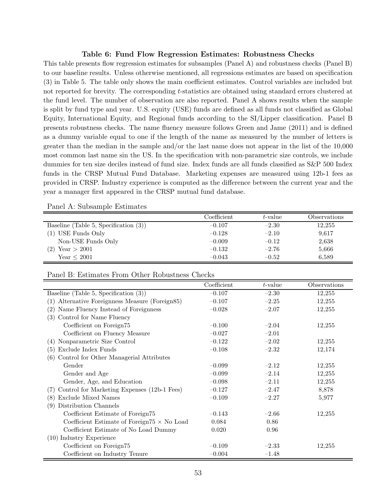#### Table 6: Fund Flow Regression Estimates: Robustness Checks

This table presents flow regression estimates for subsamples (Panel A) and robustness checks (Panel B) to our baseline results. Unless otherwise mentioned, all regressions estimates are based on specification (3) in Table 5. The table only shows the main coefficient estimates. Control variables are included but not reported for brevity. The corresponding t-statistics are obtained using standard errors clustered at the fund level. The number of observation are also reported. Panel A shows results when the sample is split by fund type and year. U.S. equity (USE) funds are defined as all funds not classified as Global Equity, International Equity, and Regional funds according to the SI/Lipper classification. Panel B presents robustness checks. The name fluency measure follows Green and Jame (2011) and is defined as a dummy variable equal to one if the length of the name as measured by the number of letters is greater than the median in the sample and/or the last name does not appear in the list of the 10,000 most common last name sin the US. In the specification with non-parametric size controls, we include dummies for ten size deciles instead of fund size. Index funds are all funds classified as S&P 500 Index funds in the CRSP Mutual Fund Database. Marketing expenses are measured using 12b-1 fees as provided in CRSP. Industry experience is computed as the difference between the current year and the year a manager first appeared in the CRSP mutual fund database.

|  | Panel A: Subsample Estimates |  |
|--|------------------------------|--|
|--|------------------------------|--|

|                                          | Coefficient | $t$ -value | Observations |
|------------------------------------------|-------------|------------|--------------|
| Baseline (Table 5, Specification $(3)$ ) | $-0.107$    | $-2.30$    | 12,255       |
| (1) USE Funds Only                       | $-0.128$    | $-2.10$    | 9,617        |
| Non-USE Funds Only                       | $-0.009$    | $-0.12$    | 2,638        |
| Year $>$ 2001<br>(2)                     | $-0.132$    | $-2.76$    | 5,666        |
| Year < 2001                              | $-0.043$    | $-0.52$    | 6,589        |

Panel B: Estimates From Other Robustness Checks

|                                                     | Coefficient | t-value | Observations |
|-----------------------------------------------------|-------------|---------|--------------|
| Baseline (Table 5, Specification $(3)$ )            | $-0.107$    | $-2.30$ | 12,255       |
| Alternative Foreignness Measure (Foreign85)<br>(1)  | $-0.107$    | $-2.25$ | 12,255       |
| Name Fluency Instead of Foreignness<br>(2)          | $-0.028$    | $-2.07$ | 12,255       |
| Control for Name Fluency<br>(3)                     |             |         |              |
| Coefficient on Foreign75                            | $-0.100$    | $-2.04$ | 12,255       |
| Coefficient on Fluency Measure                      | $-0.027$    | $-2.01$ |              |
| Nonparametric Size Control<br>(4)                   | $-0.122$    | $-2.02$ | 12,255       |
| Exclude Index Funds<br>(5)                          | $-0.108$    | $-2.32$ | 12,174       |
| Control for Other Managerial Attributes<br>(6)      |             |         |              |
| Gender                                              | $-0.099$    | $-2.12$ | 12,255       |
| Gender and Age                                      | $-0.099$    | $-2.14$ | 12,255       |
| Gender, Age, and Education                          | $-0.098$    | $-2.11$ | 12,255       |
| Control for Marketing Expenses (12b-1 Fees)<br>(7)  | $-0.127$    | $-2.47$ | 8,878        |
| <b>Exclude Mixed Names</b><br>(8)                   | $-0.109$    | $-2.27$ | 5,977        |
| Distribution Channels<br>(9)                        |             |         |              |
| Coefficient Estimate of Foreign75                   | $-0.143$    | $-2.66$ | 12,255       |
| Coefficient Estimate of Foreign $75 \times$ No Load | 0.084       | 0.86    |              |
| Coefficient Estimate of No Load Dummy               | 0.020       | 0.96    |              |
| $(10)$ Industry Experience                          |             |         |              |
| Coefficient on Foreign75                            | $-0.109$    | $-2.33$ | 12,255       |
| Coefficient on Industry Tenure                      | $-0.004$    | $-1.48$ |              |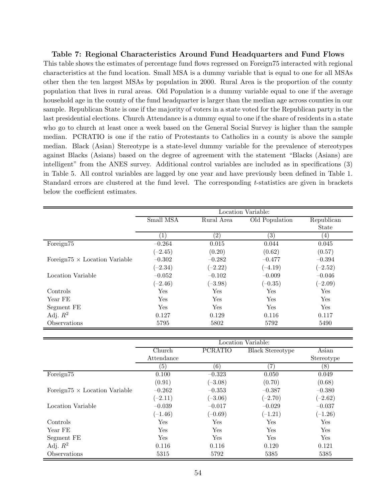#### Table 7: Regional Characteristics Around Fund Headquarters and Fund Flows

This table shows the estimates of percentage fund flows regressed on Foreign75 interacted with regional characteristics at the fund location. Small MSA is a dummy variable that is equal to one for all MSAs other then the ten largest MSAs by population in 2000. Rural Area is the proportion of the county population that lives in rural areas. Old Population is a dummy variable equal to one if the average household age in the county of the fund headquarter is larger than the median age across counties in our sample. Republican State is one if the majority of voters in a state voted for the Republican party in the last presidential elections. Church Attendance is a dummy equal to one if the share of residents in a state who go to church at least once a week based on the General Social Survey is higher than the sample median. PCRATIO is one if the ratio of Protestants to Catholics in a county is above the sample median. Black (Asian) Stereotype is a state-level dummy variable for the prevalence of stereotypes against Blacks (Asians) based on the degree of agreement with the statement "Blacks (Asians) are intelligent" from the ANES survey. Additional control variables are included as in specifications (3) in Table 5. All control variables are lagged by one year and have previously been defined in Table 1. Standard errors are clustered at the fund level. The corresponding t-statistics are given in brackets below the coefficient estimates.

|                                      | Location Variable:          |                   |                |              |  |  |
|--------------------------------------|-----------------------------|-------------------|----------------|--------------|--|--|
|                                      | Small MSA                   | Rural Area        | Old Population | Republican   |  |  |
|                                      |                             |                   |                | <b>State</b> |  |  |
|                                      | $\left\lceil 1\right\rceil$ | $\left( 2\right)$ | (3)            | (4)          |  |  |
| Foreign75                            | $-0.264$                    | 0.015             | 0.044          | 0.045        |  |  |
|                                      | $(-2.45)$                   | (0.20)            | (0.62)         | (0.57)       |  |  |
| Foreign75 $\times$ Location Variable | $-0.302$                    | $-0.282$          | $-0.477$       | $-0.394$     |  |  |
|                                      | $(-2.34)$                   | $(-2.22)$         | $(-4.19)$      | $(-2.52)$    |  |  |
| Location Variable                    | $-0.052$                    | $-0.102$          | $-0.009$       | $-0.046$     |  |  |
|                                      | $(-2.46)$                   | $(-3.98)$         | $(-0.35)$      | $(-2.09)$    |  |  |
| Controls                             | Yes                         | Yes               | Yes            | Yes          |  |  |
| Year FE                              | Yes                         | Yes               | Yes            | Yes          |  |  |
| Segment FE                           | Yes                         | Yes               | Yes            | Yes          |  |  |
| Adj. $R^2$                           | 0.127                       | 0.129             | 0.116          | 0.117        |  |  |
| Observations                         | 5795                        | 5802              | 5792           | 5490         |  |  |

|                                      |            |                | Location Variable:      |            |
|--------------------------------------|------------|----------------|-------------------------|------------|
|                                      | Church     | <b>PCRATIO</b> | <b>Black Stereotype</b> | Asian      |
|                                      | Attendance |                |                         | Stereotype |
|                                      | (5)        | (6)            | 7)                      | (8)        |
| Foreign75                            | 0.100      | $-0.323$       | 0.050                   | 0.049      |
|                                      | (0.91)     | $(-3.08)$      | (0.70)                  | (0.68)     |
| Foreign75 $\times$ Location Variable | $-0.262$   | $-0.353$       | $-0.387$                | $-0.380$   |
|                                      | $(-2.11)$  | $(-3.06)$      | $(-2.70)$               | $(-2.62)$  |
| Location Variable                    | $-0.039$   | $-0.017$       | $-0.029$                | $-0.037$   |
|                                      | $(-1.46)$  | $(-0.69)$      | $(-1.21)$               | $(-1.26)$  |
| Controls                             | Yes        | Yes            | Yes                     | Yes        |
| Year FE                              | Yes        | Yes            | Yes                     | Yes        |
| Segment FE                           | Yes        | Yes            | Yes                     | Yes        |
| Adj. $R^2$                           | 0.116      | 0.116          | 0.120                   | 0.121      |
| Observations                         | 5315       | 5792           | 5385                    | 5385       |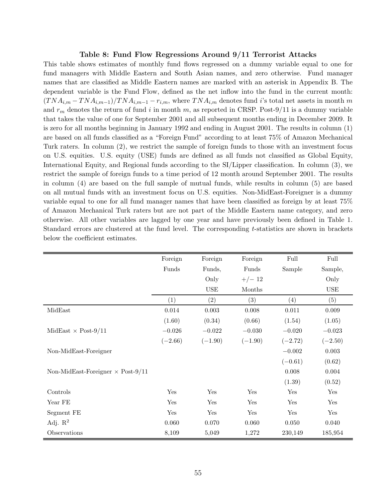#### Table 8: Fund Flow Regressions Around 9/11 Terrorist Attacks

This table shows estimates of monthly fund flows regressed on a dummy variable equal to one for fund managers with Middle Eastern and South Asian names, and zero otherwise. Fund manager names that are classified as Middle Eastern names are marked with an asterisk in Appendix B. The dependent variable is the Fund Flow, defined as the net inflow into the fund in the current month:  $(TNA_{i,m}-TNA_{i,m-1})/TNA_{i,m-1}-r_{i,m}$ , where  $TNA_{i,m}$  denotes fund i's total net assets in month m and  $r_m$  denotes the return of fund i in month m, as reported in CRSP. Post-9/11 is a dummy variable that takes the value of one for September 2001 and all subsequent months ending in December 2009. It is zero for all months beginning in January 1992 and ending in August 2001. The results in column (1) are based on all funds classified as a "Foreign Fund" according to at least 75% of Amazon Mechanical Turk raters. In column (2), we restrict the sample of foreign funds to those with an investment focus on U.S. equities. U.S. equity (USE) funds are defined as all funds not classified as Global Equity, International Equity, and Regional funds according to the SI/Lipper classification. In column (3), we restrict the sample of foreign funds to a time period of 12 month around September 2001. The results in column (4) are based on the full sample of mutual funds, while results in column (5) are based on all mutual funds with an investment focus on U.S. equities. Non-MidEast-Foreigner is a dummy variable equal to one for all fund manager names that have been classified as foreign by at least 75% of Amazon Mechanical Turk raters but are not part of the Middle Eastern name category, and zero otherwise. All other variables are lagged by one year and have previously been defined in Table 1. Standard errors are clustered at the fund level. The corresponding t-statistics are shown in brackets below the coefficient estimates.

|                                          | Foreign   | Foreign       | Foreign   | Full      | Full      |
|------------------------------------------|-----------|---------------|-----------|-----------|-----------|
|                                          | Funds     | Funds,        | Funds     | Sample    | Sample,   |
|                                          |           | Only          | $+/- 12$  |           | Only      |
|                                          |           | $_{\rm{USE}}$ | Months    |           | USE       |
|                                          | (1)       | (2)           | (3)       | (4)       | (5)       |
| MidEast                                  | 0.014     | 0.003         | 0.008     | 0.011     | 0.009     |
|                                          | (1.60)    | (0.34)        | (0.66)    | (1.54)    | (1.05)    |
| MidEast $\times$ Post-9/11               | $-0.026$  | $-0.022$      | $-0.030$  | $-0.020$  | $-0.023$  |
|                                          | $(-2.66)$ | $(-1.90)$     | $(-1.90)$ | $(-2.72)$ | $(-2.50)$ |
| Non-MidEast-Foreigner                    |           |               |           | $-0.002$  | 0.003     |
|                                          |           |               |           | $(-0.61)$ | (0.62)    |
| Non-MidEast-Foreigner $\times$ Post-9/11 |           |               |           | 0.008     | 0.004     |
|                                          |           |               |           | (1.39)    | (0.52)    |
| Controls                                 | Yes       | Yes           | Yes       | Yes       | Yes       |
| Year FE                                  | Yes       | Yes           | Yes       | Yes       | Yes       |
| Segment FE                               | Yes       | Yes           | Yes       | Yes       | Yes       |
| Adj. $\mathbb{R}^2$                      | 0.060     | 0.070         | 0.060     | 0.050     | 0.040     |
| Observations                             | 8,109     | 5,049         | 1,272     | 230,149   | 185,954   |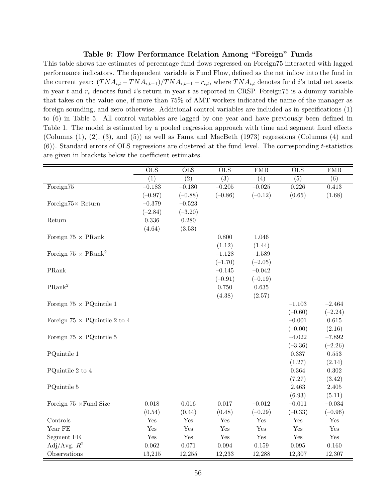#### Table 9: Flow Performance Relation Among "Foreign" Funds

This table shows the estimates of percentage fund flows regressed on Foreign75 interacted with lagged performance indicators. The dependent variable is Fund Flow, defined as the net inflow into the fund in the current year:  $(TNA_{i,t} - TNA_{i,t-1})/TNA_{i,t-1} - r_{i,t}$ , where  $TNA_{i,t}$  denotes fund i's total net assets in year t and  $r_t$  denotes fund i's return in year t as reported in CRSP. Foreign75 is a dummy variable that takes on the value one, if more than 75% of AMT workers indicated the name of the manager as foreign sounding, and zero otherwise. Additional control variables are included as in specifications (1) to (6) in Table 5. All control variables are lagged by one year and have previously been defined in Table 1. The model is estimated by a pooled regression approach with time and segment fixed effects (Columns (1), (2), (3), and (5)) as well as Fama and MacBeth (1973) regressions (Columns (4) and (6)). Standard errors of OLS regressions are clustered at the fund level. The corresponding t-statistics are given in brackets below the coefficient estimates.

|                                      | <b>OLS</b>       | $\overline{\text{OLS}}$ | <b>OLS</b> | FMB                  | $\overline{\text{OLS}}$ | FMB                  |
|--------------------------------------|------------------|-------------------------|------------|----------------------|-------------------------|----------------------|
|                                      | $\overline{(1)}$ | $\overline{(2)}$        | (3)        | (4)                  | $\overline{(5)}$        | $\overline{(6)}$     |
| Foreign75                            | $-0.183$         | $-0.180$                | $-0.205$   | $-0.025$             | 0.226                   | 0.413                |
|                                      | $(-0.97)$        | $(-0.88)$               | $(-0.86)$  | $(-0.12)$            | (0.65)                  | (1.68)               |
| Foreign $75\times$ Return            | $-0.379$         | $-0.523$                |            |                      |                         |                      |
|                                      | $(-2.84)$        | $(-3.20)$               |            |                      |                         |                      |
| Return                               | 0.336            | 0.280                   |            |                      |                         |                      |
|                                      | (4.64)           | (3.53)                  |            |                      |                         |                      |
| Foreign $75 \times$ PRank            |                  |                         | 0.800      | 1.046                |                         |                      |
|                                      |                  |                         | (1.12)     | (1.44)               |                         |                      |
| Foreign $75 \times \text{PRank}^2$   |                  |                         | $-1.128$   | $-1.589$             |                         |                      |
|                                      |                  |                         | $(-1.70)$  | $(-2.05)$            |                         |                      |
| PRank                                |                  |                         | $-0.145$   | $-0.042$             |                         |                      |
|                                      |                  |                         | $(-0.91)$  | $(-0.19)$            |                         |                      |
| PRank <sup>2</sup>                   |                  |                         | $0.750\,$  | $\,0.635\,$          |                         |                      |
|                                      |                  |                         | (4.38)     | (2.57)               |                         |                      |
| Foreign $75 \times$ PQuintile 1      |                  |                         |            |                      | $-1.103$                | $-2.464$             |
|                                      |                  |                         |            |                      | $(-0.60)$               | $(-2.24)$            |
| Foreign $75 \times$ PQuintile 2 to 4 |                  |                         |            |                      | $-0.001$                | 0.615                |
|                                      |                  |                         |            |                      | $(-0.00)$               | (2.16)               |
| Foreign $75 \times$ PQuintile 5      |                  |                         |            |                      | $-4.022$                | $-7.892$             |
|                                      |                  |                         |            |                      | $(-3.36)$               | $(-2.26)$            |
| PQuintile 1                          |                  |                         |            |                      | 0.337                   | $\,0.553\,$          |
|                                      |                  |                         |            |                      | (1.27)                  | (2.14)               |
| PQuintile 2 to 4                     |                  |                         |            |                      | 0.364                   | 0.302                |
|                                      |                  |                         |            |                      | (7.27)                  | (3.42)               |
| PQuintile 5                          |                  |                         |            |                      | 2.463                   | $2.405\,$            |
|                                      |                  |                         |            |                      | (6.93)                  | (5.11)               |
| Foreign $75 \times$ Fund Size        | 0.018            | 0.016                   | 0.017      | $-0.012$             | $-0.011$                | $-0.034$             |
|                                      | (0.54)           | (0.44)                  | (0.48)     | $(-0.29)$            | $(-0.33)$               | $(-0.96)$            |
| Controls                             | Yes              | Yes                     | Yes        | Yes                  | Yes                     | Yes                  |
| Year FE                              | Yes              | Yes                     | Yes        | Yes                  | Yes                     | Yes                  |
| Segment FE                           | Yes              | $\operatorname{Yes}$    | Yes        | $\operatorname{Yes}$ | Yes                     | $\operatorname{Yes}$ |
| Adj/Avg. $R^2$                       | 0.062            | 0.071                   | 0.094      | $\,0.159\,$          | $\,0.095\,$             | 0.160                |
| Observations                         | 13,215           | 12,255                  | 12,233     | 12,288               | 12,307                  | 12,307               |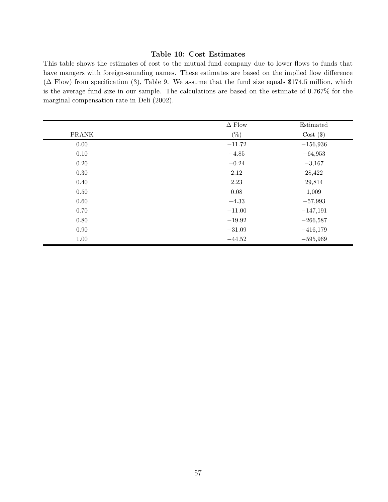#### Table 10: Cost Estimates

This table shows the estimates of cost to the mutual fund company due to lower flows to funds that have mangers with foreign-sounding names. These estimates are based on the implied flow difference  $(\Delta$  Flow) from specification (3), Table 9. We assume that the fund size equals \$174.5 million, which is the average fund size in our sample. The calculations are based on the estimate of 0.767% for the marginal compensation rate in Deli (2002).

|              | $\Delta$ Flow | Estimated   |
|--------------|---------------|-------------|
| <b>PRANK</b> | $(\%)$        | $Cost($ \$) |
| 0.00         | $-11.72$      | $-156,936$  |
| 0.10         | $-4.85$       | $-64,953$   |
| 0.20         | $-0.24$       | $-3,167$    |
| 0.30         | 2.12          | 28,422      |
| 0.40         | 2.23          | 29,814      |
| 0.50         | 0.08          | 1,009       |
| 0.60         | $-4.33$       | $-57,993$   |
| 0.70         | $-11.00$      | $-147,191$  |
| 0.80         | $-19.92$      | $-266,587$  |
| 0.90         | $-31.09$      | $-416,179$  |
| 1.00         | $-44.52$      | $-595,969$  |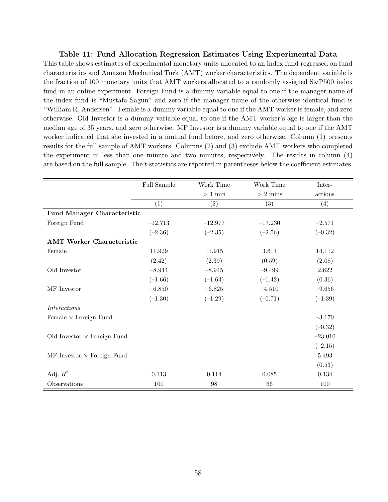#### Table 11: Fund Allocation Regression Estimates Using Experimental Data

This table shows estimates of experimental monetary units allocated to an index fund regressed on fund characteristics and Amazon Mechanical Turk (AMT) worker characteristics. The dependent variable is the fraction of 100 monetary units that AMT workers allocated to a randomly assigned S&P500 index fund in an online experiment. Foreign Fund is a dummy variable equal to one if the manager name of the index fund is "Mustafa Sagun" and zero if the manager name of the otherwise identical fund is "William R. Andersen". Female is a dummy variable equal to one if the AMT worker is female, and zero otherwise. Old Investor is a dummy variable equal to one if the AMT worker's age is larger than the median age of 35 years, and zero otherwise. MF Investor is a dummy variable equal to one if the AMT worker indicated that she invested in a mutual fund before, and zero otherwise. Column (1) presents results for the full sample of AMT workers. Columns (2) and (3) exclude AMT workers who completed the experiment in less than one minute and two minutes, respectively. The results in column (4) are based on the full sample. The t-statistics are reported in parentheses below the coefficient estimates.

|                                    | Full Sample | Work Time        | Work Time  | Inter-    |
|------------------------------------|-------------|------------------|------------|-----------|
|                                    |             | $>$ 1 $\rm{min}$ | $>$ 2 mins | actions   |
|                                    | (1)         | (2)              | (3)        | (4)       |
| Fund Manager Characteristic        |             |                  |            |           |
| Foreign Fund                       | $-12.713$   | $-12.977$        | $-17.230$  | $-2.571$  |
|                                    | $(-2.36)$   | $(-2.35)$        | $(-2.56)$  | $(-0.32)$ |
| <b>AMT Worker Characteristic</b>   |             |                  |            |           |
| Female                             | 11.929      | 11.915           | 3.611      | 14.112    |
|                                    | (2.42)      | (2.39)           | (0.59)     | (2.08)    |
| Old Investor                       | $-8.944$    | $-8.945$         | $-9.499$   | 2.622     |
|                                    | $(-1.66)$   | $(-1.64)$        | $(-1.42)$  | (0.36)    |
| MF Investor                        | $-6.850$    | $-6.825$         | $-4.510$   | $-9.656$  |
|                                    | $(-1.30)$   | $(-1.29)$        | $(-0.71)$  | $(-1.39)$ |
| <i>Interactions</i>                |             |                  |            |           |
| Female $\times$ Foreign Fund       |             |                  |            | $-3.170$  |
|                                    |             |                  |            | $(-0.32)$ |
| Old Investor $\times$ Foreign Fund |             |                  |            | $-23.010$ |
|                                    |             |                  |            | $(-2.15)$ |
| MF Investor $\times$ Foreign Fund  |             |                  |            | 5.493     |
|                                    |             |                  |            | (0.53)    |
| Adj. $R^2$                         | 0.113       | 0.114            | 0.085      | 0.134     |
| Observations                       | 100         | 98               | 66         | 100       |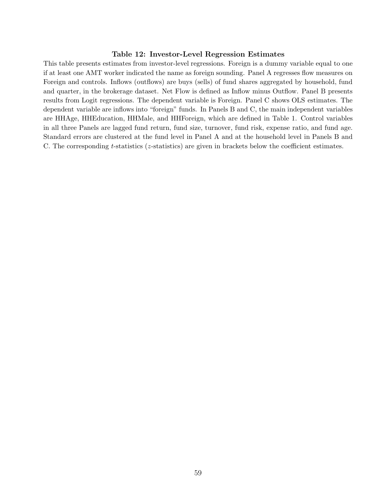#### Table 12: Investor-Level Regression Estimates

This table presents estimates from investor-level regressions. Foreign is a dummy variable equal to one if at least one AMT worker indicated the name as foreign sounding. Panel A regresses flow measures on Foreign and controls. Inflows (outflows) are buys (sells) of fund shares aggregated by household, fund and quarter, in the brokerage dataset. Net Flow is defined as Inflow minus Outflow. Panel B presents results from Logit regressions. The dependent variable is Foreign. Panel C shows OLS estimates. The dependent variable are inflows into "foreign" funds. In Panels B and C, the main independent variables are HHAge, HHEducation, HHMale, and HHForeign, which are defined in Table 1. Control variables in all three Panels are lagged fund return, fund size, turnover, fund risk, expense ratio, and fund age. Standard errors are clustered at the fund level in Panel A and at the household level in Panels B and C. The corresponding t-statistics (z-statistics) are given in brackets below the coefficient estimates.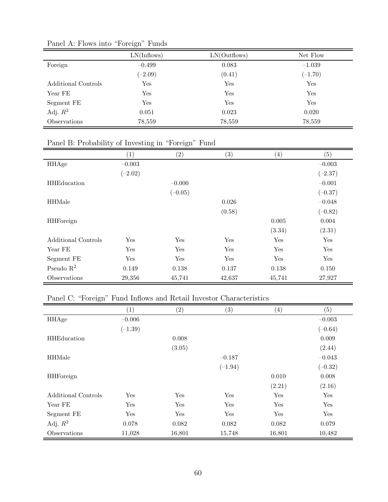|                     | LN(Inflows) | LN(Outflows) | Net Flow  |
|---------------------|-------------|--------------|-----------|
| Foreign             | $-0.499$    | 0.083        | $-1.039$  |
|                     | $(-2.09)$   | (0.41)       | $(-1.70)$ |
| Additional Controls | Yes         | Yes          | Yes       |
| Year FE             | Yes         | Yes          | Yes       |
| Segment FE          | Yes         | Yes          | Yes       |
| Adj. $R^2$          | 0.051       | 0.023        | 0.020     |
| Observations        | 78,559      | 78,559       | 78,559    |

Panel A: Flows into "Foreign" Funds

### Panel B: Probability of Investing in "Foreign" Fund

|                     | $\left( 1\right)$ | (2)       | (3)    | $\left( 4\right)$ | (5)       |
|---------------------|-------------------|-----------|--------|-------------------|-----------|
| HHAge               | $-0.003$          |           |        |                   | $-0.003$  |
|                     | $(-2.02)$         |           |        |                   | $(-2.37)$ |
| <b>HHEducation</b>  |                   | $-0.000$  |        |                   | $-0.001$  |
|                     |                   | $(-0.05)$ |        |                   | $(-0.37)$ |
| <b>HHMale</b>       |                   |           | 0.026  |                   | $-0.048$  |
|                     |                   |           | (0.58) |                   | $(-0.82)$ |
| <b>HHForeign</b>    |                   |           |        | 0.005             | 0.004     |
|                     |                   |           |        | (3.34)            | (2.31)    |
| Additional Controls | Yes               | Yes       | Yes    | Yes               | Yes       |
| Year FE             | Yes               | Yes       | Yes    | Yes               | Yes       |
| Segment FE          | Yes               | Yes       | Yes    | Yes               | Yes       |
| Pseudo $R^2$        | 0.149             | 0.138     | 0.137  | 0.138             | 0.150     |
| Observations        | 29,356            | 45,741    | 42,637 | 45,741            | 27,927    |

### Panel C: "Foreign" Fund Inflows and Retail Investor Characteristics

|                     | (1)       | (2)    | (3)       | $\left( 4\right)$ | (5)       |
|---------------------|-----------|--------|-----------|-------------------|-----------|
| HHAge               | $-0.006$  |        |           |                   | $-0.003$  |
|                     | $(-1.39)$ |        |           |                   | $(-0.64)$ |
| <b>HHEducation</b>  |           | 0.008  |           |                   | 0.009     |
|                     |           | (3.05) |           |                   | (2.44)    |
| <b>HHMale</b>       |           |        | $-0.187$  |                   | $-0.043$  |
|                     |           |        | $(-1.94)$ |                   | $(-0.32)$ |
| <b>HHForeign</b>    |           |        |           | 0.010             | 0.008     |
|                     |           |        |           | (2.21)            | (2.16)    |
| Additional Controls | Yes       | Yes    | Yes       | Yes               | Yes       |
| Year FE             | Yes       | Yes    | Yes       | Yes               | Yes       |
| Segment FE          | Yes       | Yes    | Yes       | Yes               | Yes       |
| Adj. $R^2$          | 0.078     | 0.082  | 0.082     | 0.082             | 0.079     |
| Observations        | 11,028    | 16,801 | 15,748    | 16,801            | 10,482    |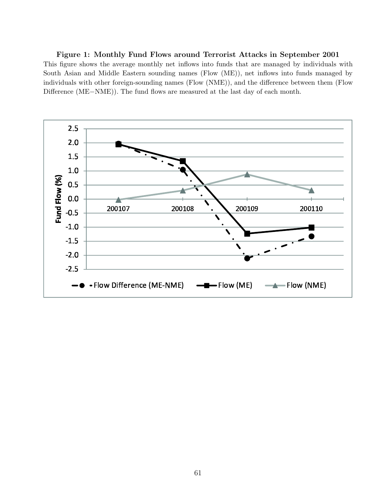Figure 1: Monthly Fund Flows around Terrorist Attacks in September 2001 This figure shows the average monthly net inflows into funds that are managed by individuals with South Asian and Middle Eastern sounding names (Flow (ME)), net inflows into funds managed by individuals with other foreign-sounding names (Flow (NME)), and the difference between them (Flow Difference (ME−NME)). The fund flows are measured at the last day of each month.

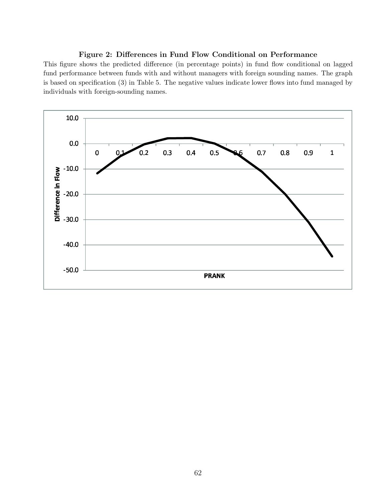#### Figure 2: Differences in Fund Flow Conditional on Performance

This figure shows the predicted difference (in percentage points) in fund flow conditional on lagged fund performance between funds with and without managers with foreign sounding names. The graph is based on specification (3) in Table 5. The negative values indicate lower flows into fund managed by individuals with foreign-sounding names.

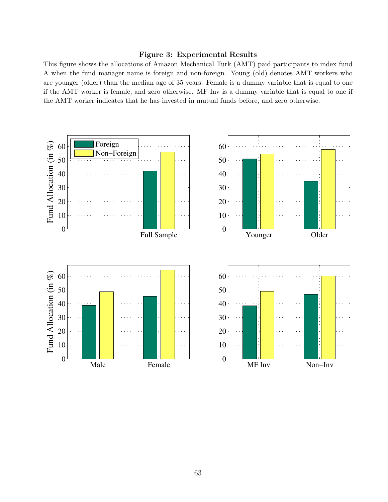#### Figure 3: Experimental Results

This figure shows the allocations of Amazon Mechanical Turk (AMT) paid participants to index fund A when the fund manager name is foreign and non-foreign. Young (old) denotes AMT workers who are younger (older) than the median age of 35 years. Female is a dummy variable that is equal to one if the AMT worker is female, and zero otherwise. MF Inv is a dummy variable that is equal to one if the AMT worker indicates that he has invested in mutual funds before, and zero otherwise.

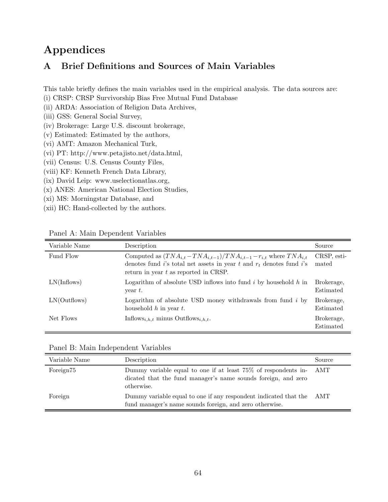# Appendices

### A Brief Definitions and Sources of Main Variables

This table briefly defines the main variables used in the empirical analysis. The data sources are:

- (i) CRSP: CRSP Survivorship Bias Free Mutual Fund Database
- (ii) ARDA: Association of Religion Data Archives,
- (iii) GSS: General Social Survey,
- (iv) Brokerage: Large U.S. discount brokerage,
- (v) Estimated: Estimated by the authors,
- (vi) AMT: Amazon Mechanical Turk,
- (vi) PT: http://www.petajisto.net/data.html,
- (vii) Census: U.S. Census County Files,
- (viii) KF: Kenneth French Data Library,
- (ix) David Leip: www.uselectionatlas.org,
- (x) ANES: American National Election Studies,
- (xi) MS: Morningstar Database, and
- (xii) HC: Hand-collected by the authors.

| Variable Name | Description                                                                                                                                                                                      | Source                  |
|---------------|--------------------------------------------------------------------------------------------------------------------------------------------------------------------------------------------------|-------------------------|
| Fund Flow     | Computed as $(TNA_{i,t}-TNA_{i,t-1})/TNA_{i,t-1}-r_{i,t}$ where $TNA_{i,t}$<br>denotes fund i's total net assets in year t and $r_t$ denotes fund i's<br>return in year $t$ as reported in CRSP. | CRSP, esti-<br>mated    |
| LN(Inflows)   | Logarithm of absolute USD inflows into fund $i$ by household $h$ in<br>year $t$ .                                                                                                                | Brokerage,<br>Estimated |
| LN(Outflows)  | Logarithm of absolute USD money withdrawals from fund $i$ by<br>household $h$ in year $t$ .                                                                                                      | Brokerage,<br>Estimated |
| Net Flows     | Inflows <sub>i.h.t</sub> minus Outflows <sub>i.h.t</sub> .                                                                                                                                       | Brokerage.<br>Estimated |

Panel A: Main Dependent Variables

|  |  | Panel B: Main Independent Variables |  |
|--|--|-------------------------------------|--|
|--|--|-------------------------------------|--|

| Variable Name         | Description                                                                                                                                       | Source |
|-----------------------|---------------------------------------------------------------------------------------------------------------------------------------------------|--------|
| Foreign <sup>75</sup> | Dummy variable equal to one if at least 75% of respondents in- AMT<br>dicated that the fund manager's name sounds foreign, and zero<br>otherwise. |        |
| Foreign               | Dummy variable equal to one if any respondent indicated that the AMT<br>fund manager's name sounds foreign, and zero otherwise.                   |        |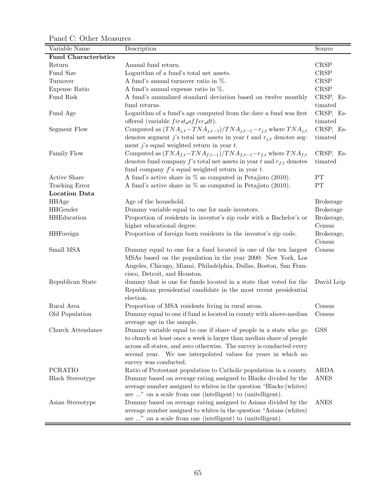Panel C: Other Measures

| Variable Name               | Description                                                                 | Source           |
|-----------------------------|-----------------------------------------------------------------------------|------------------|
| <b>Fund Characteristics</b> |                                                                             |                  |
| Return                      | Annual fund return.                                                         | <b>CRSP</b>      |
| Fund Size                   | Logarithm of a fund's total net assets.                                     | <b>CRSP</b>      |
| Turnover                    | A fund's annual turnover ratio in $\%$ .                                    | <b>CRSP</b>      |
| Expense Ratio               | A fund's annual expense ratio in $\%$ .                                     | CRSP             |
| Fund Risk                   | A fund's annualized standard deviation based on twelve monthly              | CRSP, Es-        |
|                             | fund returns.                                                               | timated          |
| Fund Age                    | Logarithm of a fund's age computed from the date a fund was first           | CRSP, Es-        |
|                             | offered (variable $first\_offer\_dt$ ).                                     | timated          |
| Segment Flow                | Computed as $(TNA_{j,t}-TNA_{j,t-1})/TNA_{j,t-1}-r_{j,t}$ where $TNA_{j,t}$ | CRSP, Es-        |
|                             | denotes segment j's total net assets in year $t$ and $r_{j,t}$ denotes seg- | timated          |
|                             | ment j's equal weighted return in year $t$ .                                |                  |
| Family Flow                 | Computed as $(TNA_{f,t}-TNA_{f,t-1})/TNA_{f,t-1}-r_{f,t}$ where $TNA_{f,t}$ | CRSP, Es-        |
|                             | denotes fund company f's total net assets in year t and $r_{f,t}$ denotes   | timated          |
|                             | fund company $f$ 's equal weighted return in year $t$ .                     |                  |
| <b>Active Share</b>         | A fund's active share in $\%$ as computed in Petajisto (2010).              | PT               |
| <b>Tracking Error</b>       | A fund's active share in $\%$ as computed in Petajisto (2010).              | PT               |
| <b>Location Data</b>        |                                                                             |                  |
| HHAge                       | Age of the household.                                                       | <b>Brokerage</b> |
| <b>HHGender</b>             | Dummy variable equal to one for male investors.                             | <b>Brokerage</b> |
| <b>HHEducation</b>          | Proportion of residents in investor's zip code with a Bachelor's or         | Brokerage,       |
|                             | higher educational degree.                                                  | Census           |
| <b>HHForeign</b>            | Proportion of foreign born residents in the investor's zip code.            | Brokerage,       |
|                             |                                                                             | Census           |
| Small MSA                   | Dummy equal to one for a fund located in one of the ten largest             | Census           |
|                             | MSAs based on the population in the year 2000: New York, Los                |                  |
|                             | Angeles, Chicago, Miami, Philadelphia, Dallas, Boston, San Fran-            |                  |
|                             | cisco, Detroit, and Houston.                                                |                  |
| Republican State            | dummy that is one for funds located in a state that voted for the           | David Leip       |
|                             | Republican presidential candidate in the most recent presidential           |                  |
|                             | election.                                                                   |                  |
| Rural Area                  | Proportion of MSA residents living in rural areas.                          | Census           |
| Old Population              | Dummy equal to one if fund is located in county with above-median           | Census           |
|                             | average age in the sample.                                                  |                  |
| Church Attendance           | Dummy variable equal to one if share of people in a state who go            | <b>GSS</b>       |
|                             | to church at least once a week is larger than median share of people        |                  |
|                             | across all states, and zero otherwise. The survey is conducted every        |                  |
|                             | second year. We use interpolated values for years in which no               |                  |
|                             | survey was conducted.                                                       |                  |
| <b>PCRATIO</b>              | Ratio of Protestant population to Catholic population in a county.          | <b>ARDA</b>      |
| <b>Black Stereotype</b>     | Dummy based on average rating assigned to Blacks divided by the             | <b>ANES</b>      |
|                             | average number assigned to whites in the question "Blacks (whites)          |                  |
|                             | are " on a scale from one (intelligent) to (unitelligent).                  |                  |
| Asian Stereotype            | Dummy based on average rating assigned to Asians divided by the             | <b>ANES</b>      |
|                             | average number assigned to whites in the question "Asians (whites)          |                  |
|                             | are " on a scale from one (intelligent) to (unitelligent).                  |                  |
|                             |                                                                             |                  |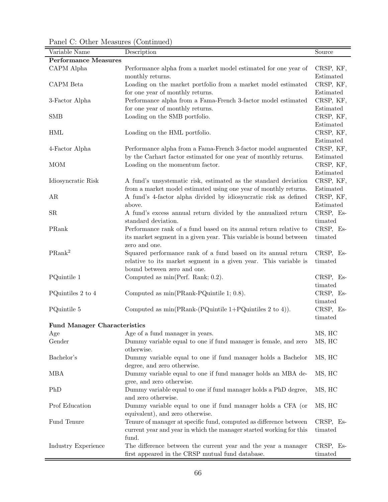Variable Name Description **Description** Source Performance Measures CAPM Alpha Performance alpha from a market model estimated for one year of monthly returns. CRSP, KF, Estimated CAPM Beta Loading on the market portfolio from a market model estimated for one year of monthly returns. CRSP, KF, Estimated 3-Factor Alpha Performance alpha from a Fama-French 3-factor model estimated for one year of monthly returns. CRSP, KF, Estimated SMB Loading on the SMB portfolio. CRSP, KF, Estimated HML Loading on the HML portfolio. CRSP, KF, Estimated 4-Factor Alpha Performance alpha from a Fama-French 3-factor model augmented by the Carhart factor estimated for one year of monthly returns. CRSP, KF, Estimated MOM Loading on the momentum factor. CRSP, KF, Estimated Idiosyncratic Risk A fund's unsystematic risk, estimated as the standard deviation from a market model estimated using one year of monthly returns. CRSP, KF, Estimated AR A fund's 4-factor alpha divided by idiosyncratic risk as defined above. CRSP, KF, Estimated SR A fund's excess annual return divided by the annualized return standard deviation. CRSP, Estimated PRank Performance rank of a fund based on its annual return relative to its market segment in a given year. This variable is bound between zero and one. CRSP, Estimated PRank<sup>2</sup> Squared performance rank of a fund based on its annual return relative to its market segment in a given year. This variable is bound between zero and one. CRSP, Estimated PQuintile 1 Computed as min(Perf. Rank; 0.2). CRSP, Estimated PQuintiles 2 to 4 Computed as min(PRank-PQuintile 1; 0.8). CRSP, Estimated PQuintile 5 Computed as min(PRank-(PQuintile 1+PQuintiles 2 to 4)). CRSP, Estimated Fund Manager Characteristics Age  $\alpha$  Age of a fund manager in years. MS, HC Gender **Dummy variable equal to one if fund manager is female, and zero** otherwise. MS, HC Bachelor's Dummy variable equal to one if fund manager holds a Bachelor degree, and zero otherwise. MS, HC MBA Dummy variable equal to one if fund manager holds an MBA degree, and zero otherwise. MS, HC PhD Dummy variable equal to one if fund manager holds a PhD degree, and zero otherwise. MS, HC Prof Education Dummy variable equal to one if fund manager holds a CFA (or equivalent), and zero otherwise. MS, HC Fund Tenure Tenure of manager at specific fund, computed as difference between current year and year in which the manager started working for this fund. CRSP, Estimated Industry Experience The difference between the current year and the year a manager CRSP, Es-

| Panel C: Other Measures (Continued) |  |
|-------------------------------------|--|
|-------------------------------------|--|

first appeared in the CRSP mutual fund database.

timated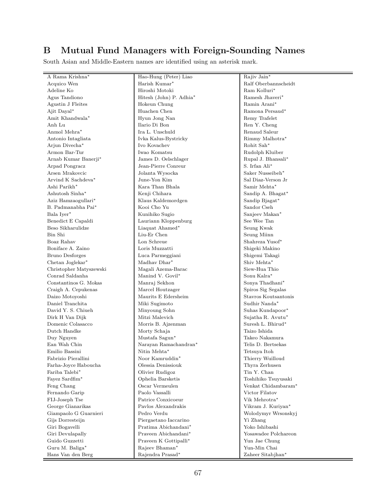# B Mutual Fund Managers with Foreign-Sounding Names

South Asian and Middle-Eastern names are identified using an asterisk mark.

| A Rama Krishna*         | Hao-Hung (Peter) Liao   | Rajiv Jain*          |
|-------------------------|-------------------------|----------------------|
| Acquico Wen             | Harish Kumar*           | Ralf Oberbannscheidt |
| Adeline Ko              | Hiroshi Motoki          | Ram Kolluri*         |
| Agus Tandiono           | Hitesh (John) P. Adhia* | Ramesh Jhaveri*      |
| Agustin J Fleites       | Hokeun Chung            | Ramin Arani*         |
| Ajit Dayal*             | Huachen Chen            | Ramona Persaud*      |
| Amit Khandwala*         | Hyun Jong Nan           | Remy Trafelet        |
| Anh Lu                  | Ilario Di Bon           | Ren Y. Cheng         |
| Anmol Mehra*            | Ira L. Unschuld         | Renaud Saleur        |
| Antonio Intagliata      | Ivka Kalus-Bystricky    | Rimmy Malhotra*      |
| Arjun Divecha*          | Ivo Kovachev            | Rohit Sah*           |
| Armon Bar-Tur           | Iwao Komatsu            | Rudolph Kluiber      |
| Arnab Kumar Banerji*    | James D. Oelschlager    | Rupal J. Bhansali*   |
| Arpad Pongracz          | Jean-Pierre Conreur     | S. Irfan Ali*        |
| Arsen Mrakovcic         | Jolanta Wysocka         | Saker Nusseibeh*     |
| Arvind K Sachdeva*      | June-Yon Kim            | Sal Diaz-Verson Jr   |
| Ashi Parikh*            | Kara Than Bhala         | Samir Mehta*         |
| Ashutosh Sinha*         | Kenji Chihara           | Sandip A. Bhagat*    |
| Aziz Hamzaogullari*     | Klaus Kaldemordgen      | Sandip Bjagat*       |
| B. Padmanabha Pai*      | Kooi Cho Yu             | Sandor Cseh          |
| Bala Iyer*              | Kunihiko Sugio          | Sanjeev Makan*       |
| Benedict E Capaldi      | Lauriann Kloppenburg    | See Wee Tan          |
| Beso Sikharulidze       | Liaquat Ahamed*         | Seung Kwak           |
| Bin Shi                 | Liu-Er Chen             | Seung Miinn          |
| Boaz Rahav              | Lon Schreue             | Shahreza Yusof*      |
| Boniface A. Zaino       | Loris Muzzatti          | Shigeki Makino       |
| <b>Bruno Desforges</b>  | Luca Parmeggiani        | Shigemi Takagi       |
| Chetan Joglekar*        | Madhav Dhar*            | Shiv Mehta*          |
| Christopher Matyszewski | Magali Azema-Barac      | Siew-Hua Thio        |
| Conrad Saldanha         | Manind V. Govil*        | Sonu Kalra*          |
| Constantinos G. Mokas   | Manraj Sekhon           | Sonya Thadhani*      |
| Craigh A. Cepukenas     | Marcel Houtzager        | Spiros Sig Segalas   |
| Daizo Motoyoshi         | Maurits E Edersheim     | Stavros Koutsantonis |
| Daniel Tranchita        | Miki Sugimoto           | Sudhir Nanda*        |
| David Y. S. Chiueh      | Minyoung Sohn           | Suhas Kundapoor*     |
| Dirk H Van Dijk         | Mitzi Malevich          | Sujatha R. Avutu*    |
| Domenic Colasacco       | Morris B. Ajzenman      | Suresh L. Bhirud*    |
| Dutch Handke            | Morty Schaja            | Taizo Ishida         |
| Duy Nguyen              | Mustafa Sagun*          | Takeo Nakamura       |
| Ean Wah Chin            | Narayan Ramachandran*   | Telis D. Bertsekas   |
| Emilio Bassini          | Nitin Mehta*            | Tetsuya Itoh         |
| Fabrizio Pierallini     | Noor Kamruddin*         | Thierry Wuilloud     |
| Farha-Joyce Haboucha    | Olessia Denissiouk      | Thyra Zerhusen       |
| Fariba Talebi $^\ast$   | Olivier Rudigoz         | Tin Y. Chan          |
| Fayez Sardfim*          | Ophelia Barsketis       | Toshihiko Tsuyusaki  |
| Feng Chang              | Oscar Vermeulen         | Venkat Chidambaram*  |
| Fernando Garip          | Paolo Vassalli          | Victor Filatov       |
| FIJ-Joseph Tse          | Patrice Conxicoeur      | Vik Mehrotra*        |
| George Gianarikas       | Pavlos Alexandrakis     | Vikram J. Kuriyan*   |
| Giampaolo G Guarnieri   | Pedro Verdu             | Wolodymyr Wrsonskyj  |
| Gijs Dorresteijn        | Piergaetano Iaccarino   | Yi Zhang             |
| Giri Bogavelli          | Pratima Abichandani*    | Yoko Ishibashi       |
| Giri Devulapally        | Prayeen Abichandani*    | Yosawadee Polchareon |
| Guido Guzzetti          | Praveen K Gottipalli*   | Yun Jae Chung        |
| Guru M. Baliga*         | Rajeev Bhaman*          | Yun-Min Chai         |
| Hans Van den Berg       | Rajendra Prasad*        | Zaheer Sitabjhan*    |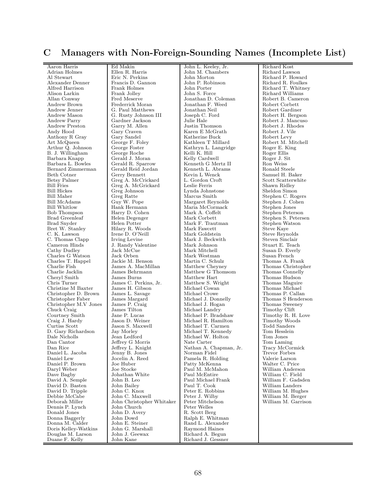### C Managers with Non-Foreign-Sounding Names (Incomplete List)

Aaron Harris Ed Makin John L. Keeley, Jr. Richard Kost Adrian Holmes Ellen R. Harris John M. Chambers<br>Al Stewart Eric N. Perkins John Morton Al Stewart **Eric N. Perkins John Morton Richard P. Howard R. Equilibrity** Richard P. Howard Richard P. Howard R. Equilibrity P. Robinson Richard R. Equilibrity P. Robinson Alexander Denner Francis D. Gannon John P. Robinson Richard R. Foulkes<br>Alfred Harrison Frank Holmes John Porter Richard T. Whitne Alfred Harrison Frank Holmes John Porter Richard T. Whitney<br>Alison Larkin Frank Jolley John S. Force Richard Williams Alison Larkin Frank Jolley John S. Force Richard Williams<br>Allan Conway Fred Meserve Jonathan D. Coleman Robert B. Cameron Allan Conway Fred Meserve Jonathan D. Coleman Robert B. Came<br>Andrew Brown Frederrick Moran Jonathan F. Weed Robert Corbett Andrew Brown Frederrick Moran Jonathan F. Weed<br>Andrew Jenner G. Paul Matthews Jonathan Neil Andrew Jenner G. Paul Matthews Jonathan Neil Robert Gardiner<br>Andrew Mason G. Rusty Johnson III Joseph C. Ford Robert H. Bergson Andrew Mason G. Rusty Johnson III Joseph C.<br>Andrew Parry Gardner Jackson Julie Hale Andrew Parry Gardner Jackson Julie Hale (Robert J. Mancuso Andrew Preston Garry M. Allen Justin Thomson Robert J. Rhodes Andrew Preston Garry M. Allen Justin Thomson Robert J. Rho<br>Andy Hood Gary Craven Karen E McGrath Robert J. Vile Anthony R Gray Gary Sandel (Gray Gary Sandel Katherine Buck Robert Levy Robert Levy Robert Levy Robert M. Mitchell Arthur Q. Johnson | George Foster | Kathryn L. Langridge | Roger E. King B. J. Willingham George Roche Kelli K. Hill Roger Ellis Barbara Knapp Gerald J. Moran | Kelly Cardwell Roger J. Sit<br>Barbara L. Bowles | Gerald R. Sparrow | Kenneth G Mertz II | Ron Weiss Bernard Zimmerman Gerald Reid Jordan Kenneth L. Abr<br>Beth Cotner Gerry Bennett Kevin L Wenck Beth Cotner Gerry Bennett (Gerry Bennett Kevin L Wenck Samuel H. Baker<br>Betsy Palmer Greg A McCrickard L. Gordon Croft Scott Scatterwhite Betsy Palmer Greg A. McCrickard L. Gordon Croft Scott Scattery<br>Bill Fries Greg A. McGrickard Leslie Ferris Shawn Ridley Bill Fries Greg A. McGrickard Leslie Ferris Shawn Ridley<br>Bill Hickes Greg Johnson Lynda Johnstone Sheldon Simon Bill Hickes Greg Johnson Lynda Johnstone Bill Maher Greg Ratte Narcus Smith Bill Maher Greg Ratte Greg Ratte Marcus Smith Stephen C. Rogers Bill McAdams Guy W. Pope Margaret Reynolds Stephen J. Cohen Bill McAdams Guy W. Pope Margaret Reynolds Stephen J. Col<br>Bill Whitlow Hank Hermann Maria McCormack Stephen Jones Bill Whitlow Hank Hermann Maria McCormack Bob Thompson Harry D. Cohen Mark A. Coffelt Bob Thompson Harry D. Cohen Mark A. Coffelt Stephen Peterson Stephen Peterson Helen Degenger Mark A. Coffelt Stephen S. Peters Brad Greenleaf Helen Degenger Mark Corbett Stephen S. Petersen Brad Snyder Helen Potter Mark F. Trautman Stephen Watson Brad Snyder Helen Potter Mark F. Trautman Stephen Watsons Stephen Watsons Stephen Watsons Stephen Watsons Stephen Watsons Stephen Watsons Stephen Watsons Stephen Watsons Stephen Watsons Stephen Watsons Stephen Watsons Step Bret W. Stanley Hilary R. Woods Mark Fawcett C. K. Lawson Irene D. O'Neill Mark Goldstein C. K. Lawson Irene D. O'Neill Mark Goldstein Steve Reynolds<br>
C. Thomas Clapp Irving Levine Mark J. Beckwith Steven Sinclair C. Thomas Clapp Irving Levine Mark J. Beckwith Cameron Hinds J. Randy Valentine Mark Johnson Cameron Hinds J. Randy Valentine Mark Johnson Cathy Dudley<br>Jack McCue Mark Mitchell Charles G Watson Jack Orben Mark Westman Susan French (Susan French)<br>Charles T. Happel Jackie M. Benson Martin C. Schulz (Thomas A. Frank Charles T. Happel Jackie M. Benson Martin C. Schulz Thomas A. Frank<br>Charlie Fish James A. MacMillan Matthew Chevney Thomas Christopher Charlie Fish James A. MacMillan Matthew Cheyney Thomas Christopl<br/> Charlie Jacklin James Behrmann Matthew G<br/> Thomas Connelly Thomas Connelly Charlie Jacklin James Behrmann Matthew G Thomsom Cheryl Smith James Burns Matthew Hart Cheryl Smith James Burns Matthew Hart Thomas Hudson<br>Chris Turner James C. Perkins, Jr. Matthew S. Wright Thomas Maguire Christine M Baxter James H. Gibson Michael Cowan Thomas Michael Christopher D. Brown James L. Savage Michael Crowe Thomas P. Callan Christopher D. Brown James L. Savage Michael Crowe Christopher Faber James Margard Michael J. Donnelly Christopher M.V Jones James P. Craig Michael J. Hogan Thomas Sweeney Chuck Craig James Tilton Michael Landry Timothy Clift Chuck Craig James Tilton Michael Landry Timothy Clift Courtney Smith Jane P. Lucas Nichael P. Bradshaw Timothy R. H. Love Craig J. Hardy Jason D. Weiner Michael R. Hamilton Timothy Woods Courtney Smith Jane P. Lucas Michael P. Bradshaw Timothy R. H. Love Craig J. Hardy Jason D. Weiner Michael R. Hamilton Timothy Woods Curtiss Scott Jason S. Maxwell Michael T. Carmen Todd Sanders D. Gary Richardson Jay Morley Michael T. Kennedy Tom Hesslein Dale Nicholls Jean Ledford Michael W. Holton Tom Jones Dan Cantor Jeffrey G Morris Nate Carter Tom Laming Dan Rice **Jeffrey L. Knight** Nathan A. Chapman, Jr. Tracy McCormick Daniel L. Jacobs Jenny B. Jones Norman Fidel Trevor Forbes<br>Daniel Lew Jocelin A. Reed Pamela R. Holding Valerie Larson Daniel P. Brown Joe Huber Patty McKenna Walter C. Price Daryl Weber Joe Stocke Paul M. McMahon Dave Bagby Johathan White Paul McEntire Dave Bagby Johathan White Paul McEntire William C. Field David A. Semple John B. Leo Paul Michael Frank William F. Gadsden  $\begin{tabular}{|l|c|c|c|} \hline \textbf{David D. Basten} & \textbf{John Bailey} & \textbf{Paul T. Cook} \\ \hline \textbf{David D. Triple} & \textbf{John C. Knox} & \textbf{Peter E. Robbins} \end{tabular}$ David D. Tripple John C. Knox Peter E. Robbins William M. Hughes<br>
Debbie McCabe John C. Maxwell Peter J. Wilby William M. Berger Debbie McCabe John C. Maxwell Peter J. Wilby William M. Berger Dennis P. Lynch John Church Peter Welles<br>Donald Jones John D. Avery R. Scott Berg Donald Jones John D. Avery Donna Baggerly John Dowd  $\begin{tabular}{|l|l|} Domain Baagerly & John Dowd & Ralph E. Whittman  
Donna M. Calder & John E. Steiner & Rand L. Alexander \end{tabular}$ Doris Kelley-Watkins John G. Marsha<br>Douglas M. Larson John J. Geewax Douglas M. Larson John J. Geewax Richard A. Begun

John Christopher Whitaker Peter Mitchels<br>John Church Peter Welles John E. Steiner Rand L. Alexander<br> John G. Marshall Raymond Haines

Andy Hood Gary Craven Karen E McGrath Robert J. Vile Art McQueen George F. Foley Kathleen T Millard Robert M. Mitchell Gerald R. Sparrow Kenneth G Mertz II Ron Weiss<br>
Ronald Steele Kenneth L. Abrams Ronald Steele Cathy Dudley Jack McCue Mark Mitchell Susan D. Everly James C. Perkins, Jr. Matthew S. Wright Thomas Maguire<br>
James H. Gibson Michael Cowan Thomas Michael James Margard Michael J. Donnelly Thomas S Henderson James P. Craig Michael J. Hogan Thomas S Weeney Jocelin A. Reed Pamela R. Holding Valerie Larson<br>
De Huber C. Price Patty McKenna  $\begin{array}{|l|c|c|}\n\hline \text{John B. Leo} & \text{Paul Michael Frank} & \text{William F. Gads} \\
\hline \text{John Bailey} & \text{Paul T. Cook} & \text{William Landers} \\
\hline \end{array}$ Richard J. Gessner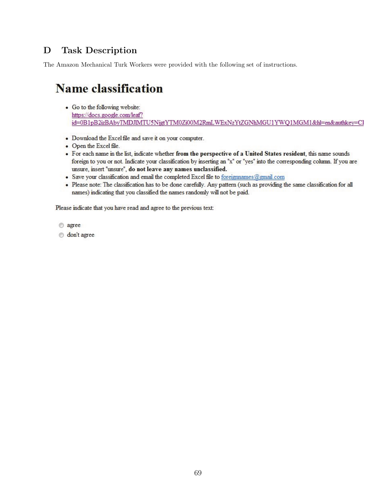# D Task Description

The Amazon Mechanical Turk Workers were provided with the following set of instructions.

# **Name classification**

- Go to the following website: https://docs.google.com/leaf? id=0B1pB2izBAbyTMDJIMTU5NjgtYTM0Zi00M2RmLWExNzYtZGNhMGU1YWQ1MGM1&hl=en&authkey=Cl
- Download the Excel file and save it on your computer.
- Open the Excel file.
- For each name in the list, indicate whether from the perspective of a United States resident, this name sounds foreign to you or not. Indicate your classification by inserting an "x" or "yes" into the corresponding column. If you are unsure, insert "unsure", do not leave any names unclassified.
- Save your classification and email the completed Excel file to foreignnames@gmail.com
- · Please note: The classification has to be done carefully. Any pattern (such as providing the same classification for all names) indicating that you classified the names randomly will not be paid.

Please indicate that you have read and agree to the previous text:

agree

o don't agree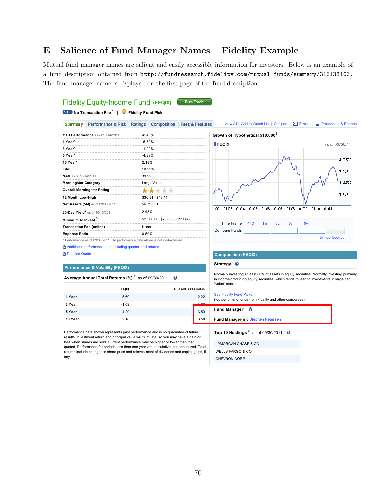### E Salience of Fund Manager Names – Fidelity Example

Mutual fund manager names are salient and easily accessible information for investors. Below is an example of a fund description obtained from http://fundresearch.fidelity.com/mutual-funds/summary/316138106. The fund manager name is displayed on the first page of the fund description.

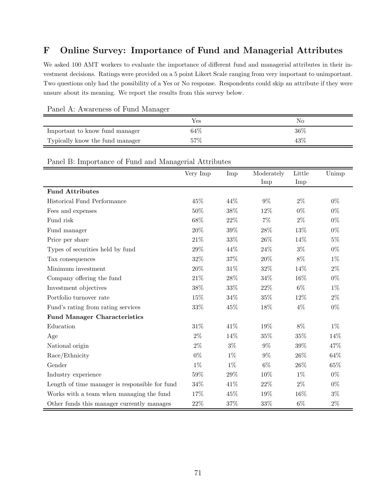# F Online Survey: Importance of Fund and Managerial Attributes

We asked 100 AMT workers to evaluate the importance of different fund and managerial attributes in their investment decisions. Ratings were provided on a 5 point Likert Scale ranging from very important to unimportant. Two questions only had the possibility of a Yes or No response. Respondents could skip an attribute if they were unsure about its meaning. We report the results from this survey below.

|                                 | $\sim$ |        |
|---------------------------------|--------|--------|
|                                 | Yes    | No     |
| Important to know fund manager  | 64\%   | $36\%$ |
| Typically know the fund manager | $57\%$ | 43\%   |

Panel A: Awareness of Fund Manager

#### Panel B: Importance of Fund and Managerial Attributes

|                                                | Very Imp | Imp    | Moderately | Little | Unimp |
|------------------------------------------------|----------|--------|------------|--------|-------|
|                                                |          |        | Imp        | Imp    |       |
| <b>Fund Attributes</b>                         |          |        |            |        |       |
| Historical Fund Performance                    | 45%      | 44%    | $9\%$      | $2\%$  | $0\%$ |
| Fees and expenses                              | 50%      | 38%    | 12%        | $0\%$  | $0\%$ |
| Fund risk                                      | 68%      | 22%    | $7\%$      | $2\%$  | $0\%$ |
| Fund manager                                   | $20\%$   | $39\%$ | 28%        | 13%    | $0\%$ |
| Price per share                                | 21\%     | $33\%$ | $26\%$     | 14%    | $5\%$ |
| Types of securities held by fund               | $29\%$   | 44%    | 24%        | $3\%$  | $0\%$ |
| Tax consequences                               | 32%      | 37%    | 20%        | $8\%$  | $1\%$ |
| Minimum investment                             | $20\%$   | 31%    | 32%        | 14%    | $2\%$ |
| Company offering the fund                      | 21\%     | 28%    | 34%        | 16%    | $0\%$ |
| Investment objectives                          | 38%      | 33%    | 22%        | $6\%$  | $1\%$ |
| Portfolio turnover rate                        | 15%      | 34%    | $35\%$     | 12%    | $2\%$ |
| Fund's rating from rating services             | $33\%$   | 45%    | 18%        | $4\%$  | $0\%$ |
| <b>Fund Manager Characteristics</b>            |          |        |            |        |       |
| Education                                      | 31%      | 41%    | 19%        | 8%     | $1\%$ |
| Age                                            | $2\%$    | 14%    | 35%        | $35\%$ | 14%   |
| National origin                                | $2\%$    | $3\%$  | $9\%$      | $39\%$ | 47%   |
| Race/Ethnicity                                 | $0\%$    | $1\%$  | 9%         | 26%    | 64%   |
| Gender                                         | $1\%$    | $1\%$  | 6%         | 26%    | 65%   |
| Industry experience                            | $59\%$   | 29%    | 10%        | $1\%$  | $0\%$ |
| Length of time manager is responsible for fund | 34%      | 41%    | 22%        | $2\%$  | $0\%$ |
| Works with a team when managing the fund       | 17%      | 45%    | 19%        | 16%    | $3\%$ |
| Other funds this manager currently manages     | $22\%$   | 37%    | 33%        | $6\%$  | $2\%$ |